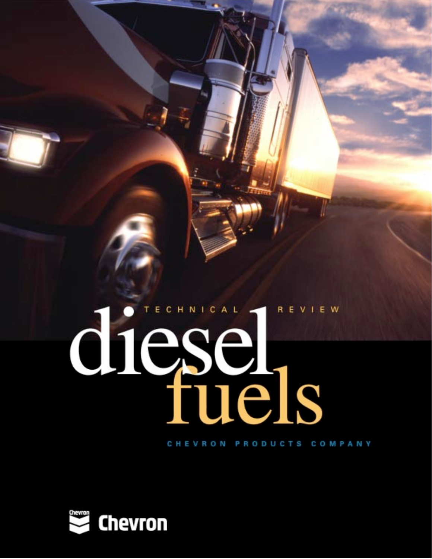# diesel R E V I E W

CHEVRON PRODUCTS COMPANY

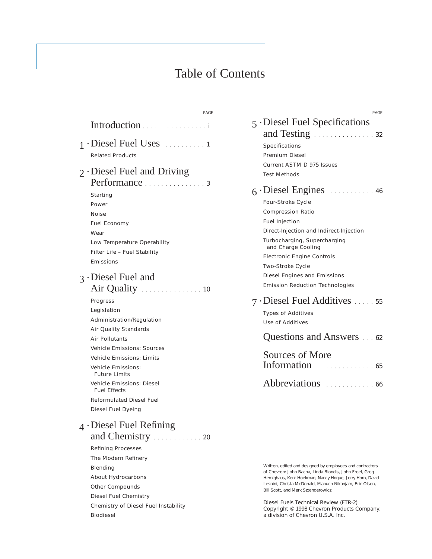# Table of Contents

PAGE

| Introduction                                                                                                                                                                                                                                                                                       |  |
|----------------------------------------------------------------------------------------------------------------------------------------------------------------------------------------------------------------------------------------------------------------------------------------------------|--|
| $1$ Diesel Fuel Uses $\ldots$ 1<br><b>Related Products</b>                                                                                                                                                                                                                                         |  |
| $2$ Diesel Fuel and Driving<br>Performance<br>. 3<br>Starting<br>Power<br>Noise<br><b>Fuel Economy</b><br>Wear<br>Low Temperature Operability<br>Filter Life - Fuel Stability<br>Emissions                                                                                                         |  |
| 3 Diesel Fuel and<br>Air Quality<br>. 10<br>Progress<br>Legislation<br>Administration/Regulation<br>Air Quality Standards<br><b>Air Pollutants</b><br><b>Vehicle Emissions: Sources</b><br><b>Vehicle Emissions: Limits</b><br><b>Vehicle Emissions:</b><br><b>Future Limits</b>                   |  |
| Vehicle Emissions: Diesel<br><b>Fuel Effects</b><br>Reformulated Diesel Fuel<br>Diesel Fuel Dyeing<br>$_4$ Diesel Fuel Refining<br>and Chemistry.<br>$\ldots$ 20<br><b>Refining Processes</b><br>The Modern Refinery<br>Blending<br>About Hydrocarbons<br>Other Compounds<br>Diesel Fuel Chemistry |  |
| Chemistry of Diesel Fuel Instability                                                                                                                                                                                                                                                               |  |

Biodiesel

| PAGE                                               |  |
|----------------------------------------------------|--|
| $\sim$ 5 $\cdot$ Diesel Fuel Specifications        |  |
| and Testing<br>. 32                                |  |
| Specifications                                     |  |
| Premium Diesel                                     |  |
| Current ASTM D 975 Issues                          |  |
| Test Methods                                       |  |
|                                                    |  |
| Four-Stroke Cycle                                  |  |
| <b>Compression Ratio</b>                           |  |
| <b>Fuel Injection</b>                              |  |
| Direct-Injection and Indirect-Injection            |  |
| Turbocharging, Supercharging<br>and Charge Cooling |  |
| <b>Electronic Engine Controls</b>                  |  |
| Two-Stroke Cycle                                   |  |
| Diesel Engines and Emissions                       |  |
| <b>Emission Reduction Technologies</b>             |  |
|                                                    |  |
| <b>Types of Additives</b>                          |  |
| Use of Additives                                   |  |
| Questions and Answers 62                           |  |
| Sources of More<br>Information                     |  |
| . 65                                               |  |
| <i>Abbreviations</i><br>$\ldots$ . 66              |  |

Written, edited and designed by employees and contractors of Chevron: John Bacha, Linda Blondis, John Freel, Greg Hemighaus, Kent Hoekman, Nancy Hogue, Jerry Horn, David Lesnini, Christa McDonald, Manuch Nikanjam, Eric Olsen, Bill Scott, and Mark Sztenderowicz.

*Diesel Fuels Technical Review* (FTR-2) Copyright © 1998 Chevron Products Company, a division of Chevron U.S.A. Inc.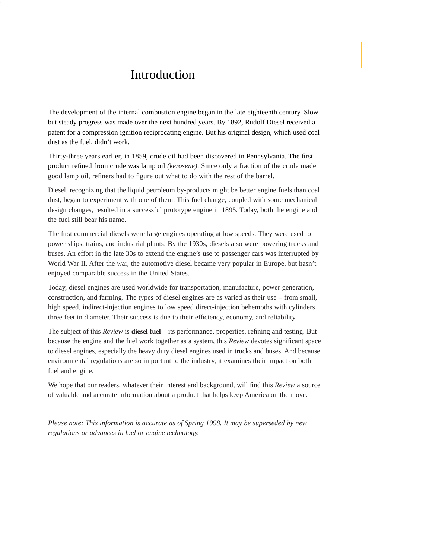# Introduction

The development of the internal combustion engine began in the late eighteenth century. Slow but steady progress was made over the next hundred years. By 1892, Rudolf Diesel received a patent for a compression ignition reciprocating engine. But his original design, which used coal dust as the fuel, didn't work.

Thirty-three years earlier, in 1859, crude oil had been discovered in Pennsylvania. The first product refined from crude was lamp oil *(kerosene)*. Since only a fraction of the crude made good lamp oil, refiners had to figure out what to do with the rest of the barrel.

Diesel, recognizing that the liquid petroleum by-products might be better engine fuels than coal dust, began to experiment with one of them. This fuel change, coupled with some mechanical design changes, resulted in a successful prototype engine in 1895. Today, both the engine and the fuel still bear his name.

The first commercial diesels were large engines operating at low speeds. They were used to power ships, trains, and industrial plants. By the 1930s, diesels also were powering trucks and buses. An effort in the late 30s to extend the engine's use to passenger cars was interrupted by World War II. After the war, the automotive diesel became very popular in Europe, but hasn't enjoyed comparable success in the United States.

Today, diesel engines are used worldwide for transportation, manufacture, power generation, construction, and farming. The types of diesel engines are as varied as their use – from small, high speed, indirect-injection engines to low speed direct-injection behemoths with cylinders three feet in diameter. Their success is due to their efficiency, economy, and reliability.

The subject of this *Review* is **diesel fuel** – its performance, properties, refining and testing. But because the engine and the fuel work together as a system, this *Review* devotes significant space to diesel engines, especially the heavy duty diesel engines used in trucks and buses. And because environmental regulations are so important to the industry, it examines their impact on both fuel and engine.

We hope that our readers, whatever their interest and background, will find this *Review* a source of valuable and accurate information about a product that helps keep America on the move.

*Please note: This information is accurate as of Spring 1998. It may be superseded by new regulations or advances in fuel or engine technology.*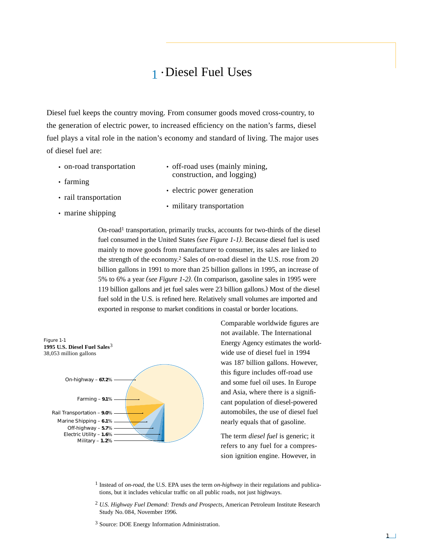# 1 • Diesel Fuel Uses

Diesel fuel keeps the country moving. From consumer goods moved cross-country, to the generation of electric power, to increased efficiency on the nation's farms, diesel fuel plays a vital role in the nation's economy and standard of living. The major uses of diesel fuel are:

- on-road transportation
- farming
- rail transportation
- electric power generation

• off-road uses (mainly mining, construction, and logging)

- marine shipping
- military transportation

On-road1 transportation, primarily trucks, accounts for two-thirds of the diesel fuel consumed in the United States *(see Figure 1-1).* Because diesel fuel is used mainly to move goods from manufacturer to consumer, its sales are linked to the strength of the economy.2 Sales of on-road diesel in the U.S. rose from 20 billion gallons in 1991 to more than 25 billion gallons in 1995, an increase of 5% to 6% a year *(see Figure 1-2).* (In comparison, gasoline sales in 1995 were 119 billion gallons and jet fuel sales were 23 billion gallons.) Most of the diesel fuel sold in the U.S. is refined here. Relatively small volumes are imported and exported in response to market conditions in coastal or border locations.



Comparable worldwide figures are not available. The International Energy Agency estimates the worldwide use of diesel fuel in 1994 was 187 billion gallons. However, this figure includes off-road use and some fuel oil uses. In Europe and Asia, where there is a significant population of diesel-powered automobiles, the use of diesel fuel nearly equals that of gasoline.

The term *diesel fuel* is generic; it refers to any fuel for a compression ignition engine. However, in

- 1 Instead of *on-road,* the U.S. EPA uses the term *on-highway* in their regulations and publications, but it includes vehicular traffic on all public roads, not just highways.
- 2 *U.S. Highway Fuel Demand: Trends and Prospects,* American Petroleum Institute Research Study No. 084, November 1996.
- 3 Source: DOE Energy Information Administration.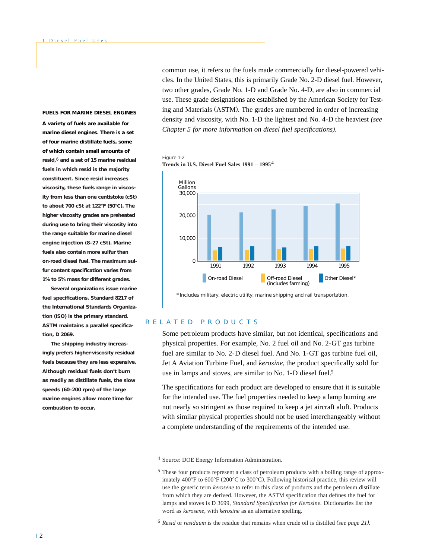#### **FUELS FOR MARINE DIESEL ENGINES**

**A variety of fuels are available for marine diesel engines. There is a set of four marine distillate fuels, some of which contain small amounts of** *resid***,**6 **and a set of 15 marine residual fuels in which resid is the majority constituent. Since resid increases viscosity, these fuels range in viscosity from less than one centistoke (cSt) to about 700 cSt at 122°F (50°C). The higher viscosity grades are preheated during use to bring their viscosity into the range suitable for marine diesel engine injection (8–27 cSt). Marine fuels also contain more sulfur than on-road diesel fuel. The maximum sulfur content specification varies from 1% to 5% mass for different grades.**

**Several organizations issue marine fuel specifications. Standard 8217 of the International Standards Organization (ISO) is the primary standard. ASTM maintains a parallel specification, D 2069.**

**The shipping industry increasingly prefers higher-viscosity residual fuels because they are less expensive. Although residual fuels don't burn as readily as distillate fuels, the slow speeds (60–200 rpm) of the large marine engines allow more time for combustion to occur.**

common use, it refers to the fuels made commercially for diesel-powered vehicles. In the United States, this is primarily Grade No. 2-D diesel fuel. However, two other grades, Grade No. 1-D and Grade No. 4-D, are also in commercial use. These grade designations are established by the American Society for Testing and Materials (ASTM). The grades are numbered in order of increasing density and viscosity, with No. 1-D the lightest and No. 4-D the heaviest *(see Chapter 5 for more information on diesel fuel specifications).*

#### Figure 1-2 **Trends in U.S. Diesel Fuel Sales 1991 – 1995**4



# RELATED PRODUCTS

Some petroleum products have similar, but not identical, specifications and physical properties. For example, No. 2 fuel oil and No. 2-GT gas turbine fuel are similar to No. 2-D diesel fuel. And No. 1-GT gas turbine fuel oil, Jet A Aviation Turbine Fuel, and *kerosine,* the product specifically sold for use in lamps and stoves, are similar to No. 1-D diesel fuel.5

The specifications for each product are developed to ensure that it is suitable for the intended use. The fuel properties needed to keep a lamp burning are not nearly so stringent as those required to keep a jet aircraft aloft. Products with similar physical properties should not be used interchangeably without a complete understanding of the requirements of the intended use.

<sup>4</sup> Source: DOE Energy Information Administration.

<sup>5</sup> These four products represent a class of petroleum products with a boiling range of approximately 400°F to 600°F (200°C to 300°C). Following historical practice, this review will use the generic term *kerosene* to refer to this class of products and the petroleum distillate from which they are derived. However, the ASTM specification that defines the fuel for lamps and stoves is D 3699, *Standard Specification for Kerosine.* Dictionaries list the word as *kerosene,* with *kerosine* as an alternative spelling.

<sup>6</sup> *Resid* or *residuum* is the residue that remains when crude oil is distilled *(see page 21).*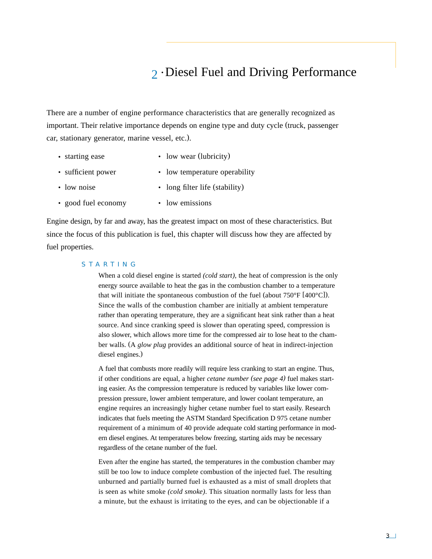# 2 • Diesel Fuel and Driving Performance

There are a number of engine performance characteristics that are generally recognized as important. Their relative importance depends on engine type and duty cycle (truck, passenger car, stationary generator, marine vessel, etc.).

- starting ease low wear (lubricity)
- sufficient power low temperature operability
- low noise long filter life (stability)
- good fuel economy low emissions

Engine design, by far and away, has the greatest impact on most of these characteristics. But since the focus of this publication is fuel, this chapter will discuss how they are affected by fuel properties.

# STARTING

When a cold diesel engine is started *(cold start),* the heat of compression is the only energy source available to heat the gas in the combustion chamber to a temperature that will initiate the spontaneous combustion of the fuel (about 750°F [400°C]). Since the walls of the combustion chamber are initially at ambient temperature rather than operating temperature, they are a significant heat sink rather than a heat source. And since cranking speed is slower than operating speed, compression is also slower, which allows more time for the compressed air to lose heat to the chamber walls. (A *glow plug* provides an additional source of heat in indirect-injection diesel engines.)

A fuel that combusts more readily will require less cranking to start an engine. Thus, if other conditions are equal, a higher *cetane number (see page 4)* fuel makes starting easier. As the compression temperature is reduced by variables like lower compression pressure, lower ambient temperature, and lower coolant temperature, an engine requires an increasingly higher cetane number fuel to start easily. Research indicates that fuels meeting the ASTM Standard Specification D 975 cetane number requirement of a minimum of 40 provide adequate cold starting performance in modern diesel engines. At temperatures below freezing, starting aids may be necessary regardless of the cetane number of the fuel.

Even after the engine has started, the temperatures in the combustion chamber may still be too low to induce complete combustion of the injected fuel. The resulting unburned and partially burned fuel is exhausted as a mist of small droplets that is seen as white smoke *(cold smoke)*. This situation normally lasts for less than a minute, but the exhaust is irritating to the eyes, and can be objectionable if a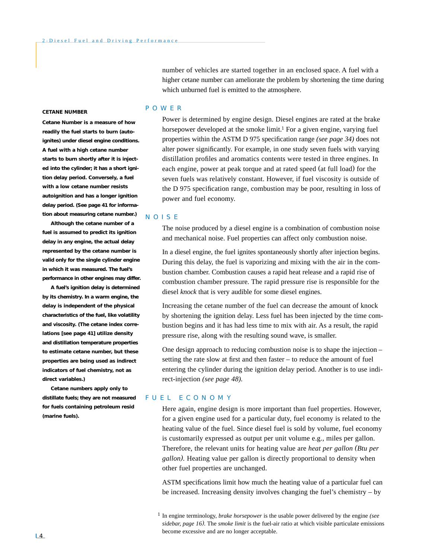number of vehicles are started together in an enclosed space. A fuel with a higher cetane number can ameliorate the problem by shortening the time during which unburned fuel is emitted to the atmosphere.

#### **CETANE NUMBER**

*Cetane Number* **is a measure of how readily the fuel starts to burn** *(autoignites)* **under diesel engine conditions. A fuel with a high cetane number starts to burn shortly after it is injected into the cylinder; it has a short** *ignition delay period.* **Conversely, a fuel with a low cetane number resists autoignition and has a longer ignition delay period.** *(See page 41 for information about measuring cetane number.)*

**Although the cetane number of a fuel is assumed to predict its ignition delay in any engine, the actual delay represented by the cetane number is valid only for the single cylinder engine in which it was measured. The fuel's performance in other engines may differ.** 

**A fuel's ignition delay is determined by its chemistry. In a warm engine, the delay is independent of the physical characteristics of the fuel, like volatility and viscosity. (The cetane index correlations** *[see page 41]* **utilize density and distillation temperature properties to estimate cetane number, but these properties are being used as indirect indicators of fuel chemistry, not as direct variables.)**

**Cetane numbers apply only to distillate fuels; they are not measured for fuels containing petroleum resid (marine fuels).**

## POWER

Power is determined by engine design. Diesel engines are rated at the brake horsepower developed at the smoke limit.<sup>1</sup> For a given engine, varying fuel properties within the ASTM D 975 specification range *(see page 34)* does not alter power significantly. For example, in one study seven fuels with varying distillation profiles and aromatics contents were tested in three engines. In each engine, power at peak torque and at rated speed (at full load) for the seven fuels was relatively constant. However, if fuel viscosity is outside of the D 975 specification range, combustion may be poor, resulting in loss of power and fuel economy.

## NOISE

The noise produced by a diesel engine is a combination of combustion noise and mechanical noise. Fuel properties can affect only combustion noise.

In a diesel engine, the fuel ignites spontaneously shortly after injection begins. During this delay, the fuel is vaporizing and mixing with the air in the combustion chamber. Combustion causes a rapid heat release and a rapid rise of combustion chamber pressure*.* The rapid pressure rise is responsible for the diesel *knock* that is very audible for some diesel engines.

Increasing the cetane number of the fuel can decrease the amount of knock by shortening the ignition delay. Less fuel has been injected by the time combustion begins and it has had less time to mix with air. As a result, the rapid pressure rise, along with the resulting sound wave, is smaller.

One design approach to reducing combustion noise is to shape the injection – setting the rate slow at first and then faster – to reduce the amount of fuel entering the cylinder during the ignition delay period. Another is to use indirect-injection *(see page 48).*

# FUEL ECONOMY

Here again, engine design is more important than fuel properties. However, for a given engine used for a particular duty, fuel economy is related to the heating value of the fuel. Since diesel fuel is sold by volume, fuel economy is customarily expressed as output per unit volume e.g., miles per gallon. Therefore, the relevant units for heating value are *heat per gallon (Btu per gallon).* Heating value per gallon is directly proportional to density when other fuel properties are unchanged.

ASTM specifications limit how much the heating value of a particular fuel can be increased. Increasing density involves changing the fuel's chemistry – by

<sup>1</sup> In engine terminology, *brake horsepower* is the usable power delivered by the engine *(see sidebar, page 16).* The *smoke limit* is the fuel-air ratio at which visible particulate emissions become excessive and are no longer acceptable.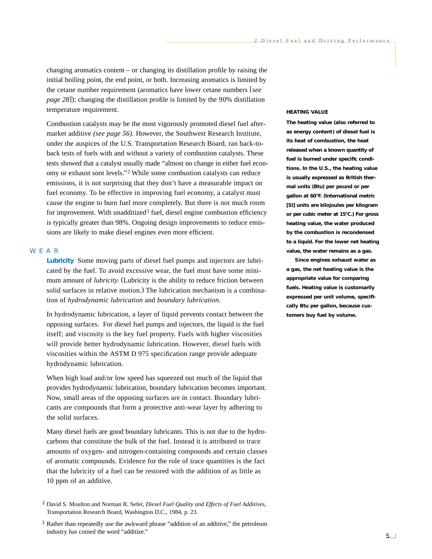changing aromatics content – or changing its distillation profile by raising the initial boiling point, the end point, or both. Increasing aromatics is limited by the cetane number requirement (aromatics have lower cetane numbers [*see page 28*]); changing the distillation profile is limited by the 90% distillation temperature requirement.

Combustion catalysts may be the most vigorously promoted diesel fuel aftermarket additive *(see page 56).* However, the Southwest Research Institute, under the auspices of the U.S. Transportation Research Board, ran back-toback tests of fuels with and without a variety of combustion catalysts. These tests showed that a catalyst usually made "almost no change in either fuel economy or exhaust soot levels."2 While some combustion catalysts can reduce emissions, it is not surprising that they don't have a measurable impact on fuel economy. To be effective in improving fuel economy, a catalyst must cause the engine to burn fuel more completely. But there is not much room for improvement. With unadditized<sup>3</sup> fuel, diesel engine combustion efficiency is typically greater than 98%. Ongoing design improvements to reduce emissions are likely to make diesel engines even more efficient.

# WEAR

**Lubricity** Some moving parts of diesel fuel pumps and injectors are lubricated by the fuel. To avoid excessive wear, the fuel must have some minimum amount of *lubricity*. (Lubricity is the ability to reduce friction between solid surfaces in relative motion.) The lubrication mechanism is a combination of *hydrodynamic lubrication* and *boundary lubrication.*

In hydrodynamic lubrication, a layer of liquid prevents contact between the opposing surfaces. For diesel fuel pumps and injectors, the liquid is the fuel itself; and viscosity is the key fuel property. Fuels with higher viscosities will provide better hydrodynamic lubrication. However, diesel fuels with viscosities within the ASTM D 975 specification range provide adequate hydrodynamic lubrication.

When high load and/or low speed has squeezed out much of the liquid that provides hydrodynamic lubrication, boundary lubrication becomes important. Now, small areas of the opposing surfaces are in contact. Boundary lubricants are compounds that form a protective anti-wear layer by adhering to the solid surfaces.

Many diesel fuels are good boundary lubricants. This is not due to the hydrocarbons that constitute the bulk of the fuel. Instead it is attributed to trace amounts of oxygen- and nitrogen-containing compounds and certain classes of aromatic compounds. Evidence for the role of trace quantities is the fact that the lubricity of a fuel can be restored with the addition of as little as 10 ppm of an additive.

#### **HEATING VALUE**

**The** *heating value* **(also referred to as** *energy content***) of diesel fuel is its heat of combustion, the heat released when a known quantity of fuel is burned under specific conditions. In the U.S., the heating value is usually expressed as British thermal units (Btu) per pound or per gallon at 60°F. (International metric [SI] units are kilojoules per kilogram or per cubic meter at 15°C.) For** *gross heating value,* **the water produced by the combustion is recondensed to a liquid. For the lower** *net heating value,* **the water remains as a gas.**

**Since engines exhaust water as a gas, the net heating value is the appropriate value for comparing fuels. Heating value is customarily expressed** *per unit volume,* **specifically** *Btu per gallon,* **because customers buy fuel by volume.**

<sup>2</sup> David S. Moulton and Norman R. Sefer, *Diesel Fuel Quality and Effects of Fuel Additives,* Transportation Research Board, Washington D.C., 1984, p. 23.

<sup>3</sup> Rather than repeatedly use the awkward phrase "addition of an additive," the petroleum industry has coined the word "additize."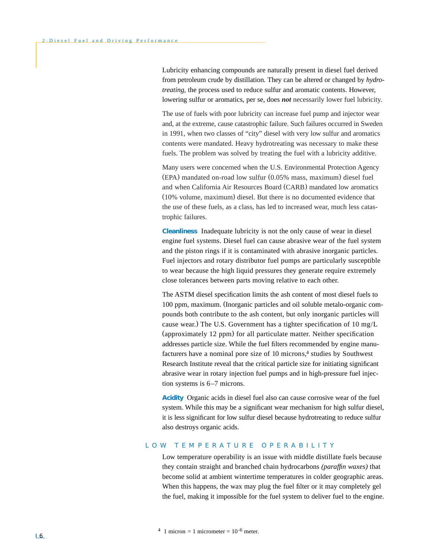Lubricity enhancing compounds are naturally present in diesel fuel derived from petroleum crude by distillation. They can be altered or changed by *hydrotreating,* the process used to reduce sulfur and aromatic contents. However, lowering sulfur or aromatics, per se, does *not* necessarily lower fuel lubricity.

The use of fuels with poor lubricity can increase fuel pump and injector wear and, at the extreme, cause catastrophic failure. Such failures occurred in Sweden in 1991, when two classes of "city" diesel with very low sulfur and aromatics contents were mandated. Heavy hydrotreating was necessary to make these fuels. The problem was solved by treating the fuel with a lubricity additive.

Many users were concerned when the U.S. Environmental Protection Agency (EPA) mandated on-road low sulfur (0.05% mass, maximum) diesel fuel and when California Air Resources Board (CARB) mandated low aromatics (10% volume, maximum) diesel. But there is no documented evidence that the use of these fuels, as a class, has led to increased wear, much less catastrophic failures.

**Cleanliness** Inadequate lubricity is not the only cause of wear in diesel engine fuel systems. Diesel fuel can cause abrasive wear of the fuel system and the piston rings if it is contaminated with abrasive inorganic particles. Fuel injectors and rotary distributor fuel pumps are particularly susceptible to wear because the high liquid pressures they generate require extremely close tolerances between parts moving relative to each other.

The ASTM diesel specification limits the ash content of most diesel fuels to 100 ppm, maximum. (Inorganic particles and oil soluble metalo-organic compounds both contribute to the ash content, but only inorganic particles will cause wear.) The U.S. Government has a tighter specification of 10 mg/L (approximately 12 ppm) for all particulate matter. Neither specification addresses particle size. While the fuel filters recommended by engine manufacturers have a nominal pore size of 10 microns,<sup>4</sup> studies by Southwest Research Institute reveal that the critical particle size for initiating significant abrasive wear in rotary injection fuel pumps and in high-pressure fuel injection systems is 6–7 microns.

**Acidity** Organic acids in diesel fuel also can cause corrosive wear of the fuel system. While this may be a significant wear mechanism for high sulfur diesel, it is less significant for low sulfur diesel because hydrotreating to reduce sulfur also destroys organic acids.

## LOW TEMPERATURE OPERABILITY

Low temperature operability is an issue with middle distillate fuels because they contain straight and branched chain hydrocarbons *(paraffin waxes)* that become solid at ambient wintertime temperatures in colder geographic areas. When this happens, the wax may plug the fuel filter or it may completely gel the fuel, making it impossible for the fuel system to deliver fuel to the engine.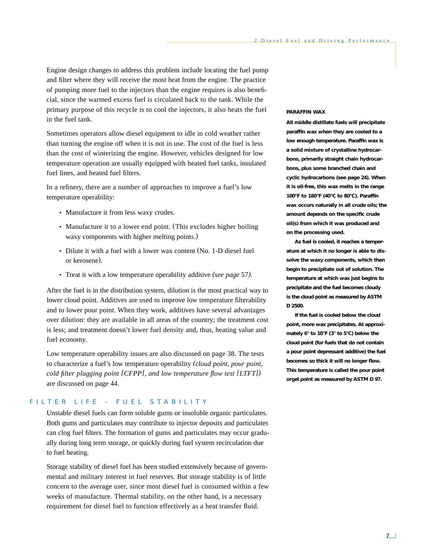Engine design changes to address this problem include locating the fuel pump and filter where they will receive the most heat from the engine. The practice of pumping more fuel to the injectors than the engine requires is also beneficial, since the warmed excess fuel is circulated back to the tank. While the primary purpose of this recycle is to cool the injectors, it also heats the fuel in the fuel tank.

Sometimes operators allow diesel equipment to idle in cold weather rather than turning the engine off when it is not in use. The cost of the fuel is less than the cost of winterizing the engine. However, vehicles designed for low temperature operation are usually equipped with heated fuel tanks, insulated fuel lines, and heated fuel filters.

In a refinery, there are a number of approaches to improve a fuel's low temperature operability:

- Manufacture it from less waxy crudes.
- Manufacture it to a lower end point. (This excludes higher boiling waxy components with higher melting points.)
- Dilute it with a fuel with a lower wax content (No. 1-D diesel fuel or kerosene).
- Treat it with a low temperature operability additive *(see page* 57*).*

After the fuel is in the distribution system, dilution is the most practical way to lower cloud point. Additives are used to improve low temperature filterability and to lower pour point. When they work, additives have several advantages over dilution: they are available in all areas of the country; the treatment cost is less; and treatment doesn't lower fuel density and, thus, heating value and fuel economy.

Low temperature operability issues are also discussed on page 38. The tests to characterize a fuel's low temperature operability *(cloud point, pour point, cold filter plugging point [CFPP], and low temperature flow test [LTFT])* are discussed on page 44.

# FILTER LIFE – FUEL STABILITY

Unstable diesel fuels can form soluble gums or insoluble organic particulates. Both gums and particulates may contribute to injector deposits and particulates can clog fuel filters. The formation of gums and particulates may occur gradually during long term storage, or quickly during fuel system recirculation due to fuel heating.

Storage stability of diesel fuel has been studied extensively because of governmental and military interest in fuel reserves. But storage stability is of little concern to the average user, since most diesel fuel is consumed within a few weeks of manufacture. Thermal stability, on the other hand, is a necessary requirement for diesel fuel to function effectively as a heat transfer fluid.

#### **PARAFFIN WAX**

**All middle distillate fuels will precipitate paraffin wax when they are cooled to a low enough temperature. Paraffin wax is a solid mixture of crystalline hydrocarbons, primarily straight chain hydrocarbons, plus some branched chain and cyclic hydrocarbons** *(see page 24).* **When it is oil-free, this wax melts in the range 100°F to 180°F (40°C to 80°C). Paraffin wax occurs naturally in all crude oils; the amount depends on the specific crude oil(s) from which it was produced and on the processing used.**

**As fuel is cooled, it reaches a temperature at which it no longer is able to dissolve the waxy components, which then begin to precipitate out of solution. The temperature at which wax just begins to precipitate and the fuel becomes cloudy is the** *cloud point* **as measured by ASTM D 2500.**

**If the fuel is cooled below the cloud point, more wax precipitates. At approximately 6° to 10°F (3° to 5°C) below the cloud point (for fuels that do not contain a pour point depressant additive) the fuel becomes so thick it will no longer flow. This temperature is called the** *pour point* **or***gel point* **as measured by ASTM D 97.**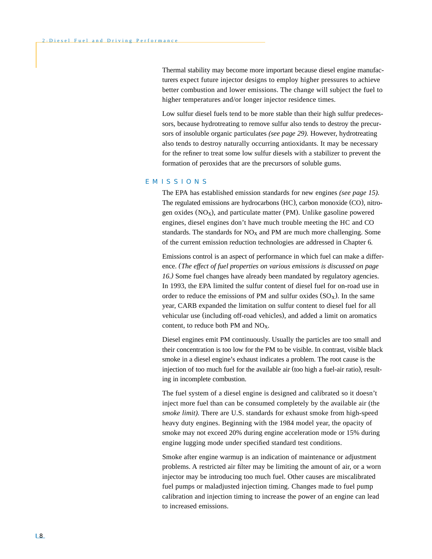Thermal stability may become more important because diesel engine manufacturers expect future injector designs to employ higher pressures to achieve better combustion and lower emissions. The change will subject the fuel to higher temperatures and/or longer injector residence times.

Low sulfur diesel fuels tend to be more stable than their high sulfur predecessors, because hydrotreating to remove sulfur also tends to destroy the precursors of insoluble organic particulates *(see page 29).* However, hydrotreating also tends to destroy naturally occurring antioxidants. It may be necessary for the refiner to treat some low sulfur diesels with a stabilizer to prevent the formation of peroxides that are the precursors of soluble gums.

## EMISSIONS

The EPA has established emission standards for new engines *(see page 15).* The regulated emissions are hydrocarbons (HC), carbon monoxide (CO), nitrogen oxides  $(NO<sub>x</sub>)$ , and particulate matter (PM). Unlike gasoline powered engines, diesel engines don't have much trouble meeting the HC and CO standards. The standards for  $NO<sub>x</sub>$  and PM are much more challenging. Some of the current emission reduction technologies are addressed in Chapter 6*.*

Emissions control is an aspect of performance in which fuel can make a difference. *(The effect of fuel properties on various emissions is discussed on page 16.)* Some fuel changes have already been mandated by regulatory agencies. In 1993, the EPA limited the sulfur content of diesel fuel for on-road use in order to reduce the emissions of PM and sulfur oxides  $(SO<sub>x</sub>)$ . In the same year, CARB expanded the limitation on sulfur content to diesel fuel for all vehicular use (including off-road vehicles), and added a limit on aromatics content, to reduce both PM and  $NO<sub>X</sub>$ .

Diesel engines emit PM continuously. Usually the particles are too small and their concentration is too low for the PM to be visible. In contrast, visible black smoke in a diesel engine's exhaust indicates a problem. The root cause is the injection of too much fuel for the available air (too high a fuel-air ratio), resulting in incomplete combustion.

The fuel system of a diesel engine is designed and calibrated so it doesn't inject more fuel than can be consumed completely by the available air (the *smoke limit).* There are U.S. standards for exhaust smoke from high-speed heavy duty engines. Beginning with the 1984 model year, the opacity of smoke may not exceed 20% during engine acceleration mode or 15% during engine lugging mode under specified standard test conditions.

Smoke after engine warmup is an indication of maintenance or adjustment problems. A restricted air filter may be limiting the amount of air, or a worn injector may be introducing too much fuel. Other causes are miscalibrated fuel pumps or maladjusted injection timing. Changes made to fuel pump calibration and injection timing to increase the power of an engine can lead to increased emissions.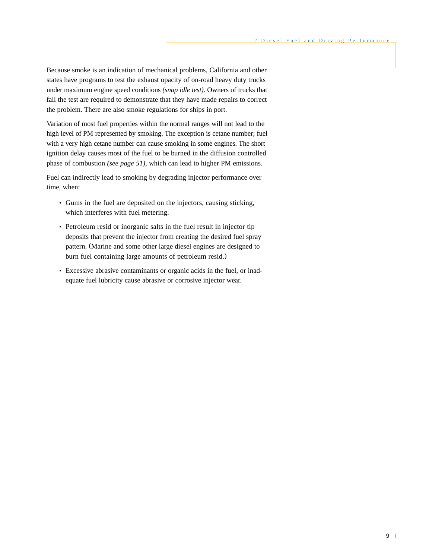Because smoke is an indication of mechanical problems, California and other states have programs to test the exhaust opacity of on-road heavy duty trucks under maximum engine speed conditions *(snap idle test).* Owners of trucks that fail the test are required to demonstrate that they have made repairs to correct the problem. There are also smoke regulations for ships in port.

Variation of most fuel properties within the normal ranges will not lead to the high level of PM represented by smoking. The exception is cetane number; fuel with a very high cetane number can cause smoking in some engines. The short ignition delay causes most of the fuel to be burned in the diffusion controlled phase of combustion *(see page 51)*, which can lead to higher PM emissions.

Fuel can indirectly lead to smoking by degrading injector performance over time, when:

- Gums in the fuel are deposited on the injectors, causing sticking, which interferes with fuel metering.
- Petroleum resid or inorganic salts in the fuel result in injector tip deposits that prevent the injector from creating the desired fuel spray pattern. (Marine and some other large diesel engines are designed to burn fuel containing large amounts of petroleum resid.)
- Excessive abrasive contaminants or organic acids in the fuel, or inadequate fuel lubricity cause abrasive or corrosive injector wear.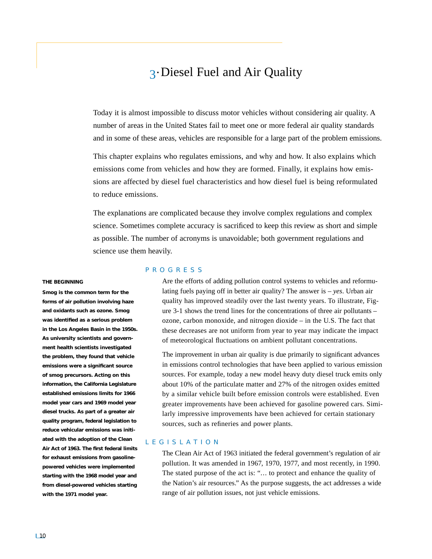# 3• Diesel Fuel and Air Quality

Today it is almost impossible to discuss motor vehicles without considering air quality. A number of areas in the United States fail to meet one or more federal air quality standards and in some of these areas, vehicles are responsible for a large part of the problem emissions.

This chapter explains who regulates emissions, and why and how. It also explains which emissions come from vehicles and how they are formed. Finally, it explains how emissions are affected by diesel fuel characteristics and how diesel fuel is being reformulated to reduce emissions.

The explanations are complicated because they involve complex regulations and complex science. Sometimes complete accuracy is sacrificed to keep this review as short and simple as possible. The number of acronyms is unavoidable; both government regulations and science use them heavily.

#### **THE BEGINNING**

**Smog is the common term for the forms of air pollution involving haze and oxidants such as ozone. Smog was identified as a serious problem in the Los Angeles Basin in the 1950s. As university scientists and government health scientists investigated the problem, they found that vehicle emissions were a significant source of smog precursors. Acting on this information, the California Legislature established emissions limits for 1966 model year cars and 1969 model year diesel trucks. As part of a greater air quality program, federal legislation to reduce vehicular emissions was initiated with the adoption of the Clean Air Act of 1963. The first federal limits for exhaust emissions from gasolinepowered vehicles were implemented starting with the 1968 model year and from diesel-powered vehicles starting with the 1971 model year.**

#### PROGRESS

Are the efforts of adding pollution control systems to vehicles and reformulating fuels paying off in better air quality? The answer is – *yes*. Urban air quality has improved steadily over the last twenty years. To illustrate, Figure 3-1 shows the trend lines for the concentrations of three air pollutants – ozone, carbon monoxide, and nitrogen dioxide – in the U.S. The fact that these decreases are not uniform from year to year may indicate the impact of meteorological fluctuations on ambient pollutant concentrations.

The improvement in urban air quality is due primarily to significant advances in emissions control technologies that have been applied to various emission sources. For example, today a new model heavy duty diesel truck emits only about 10% of the particulate matter and 27% of the nitrogen oxides emitted by a similar vehicle built before emission controls were established. Even greater improvements have been achieved for gasoline powered cars. Similarly impressive improvements have been achieved for certain stationary sources, such as refineries and power plants.

# LEGISLATION

The Clean Air Act of 1963 initiated the federal government's regulation of air pollution. It was amended in 1967, 1970, 1977, and most recently, in 1990. The stated purpose of the act is: "... to protect and enhance the quality of the Nation's air resources." As the purpose suggests, the act addresses a wide range of air pollution issues, not just vehicle emissions.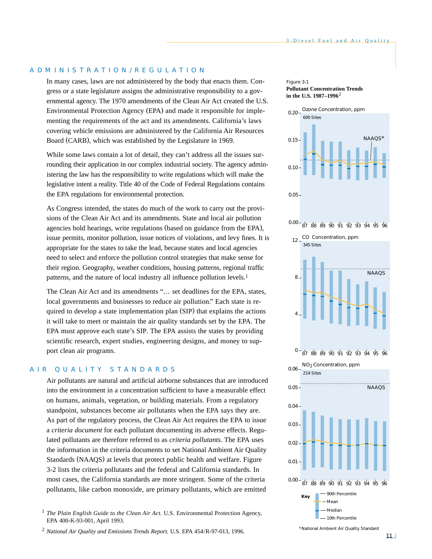# ADMINISTRATION/REGULATION

In many cases, laws are not administered by the body that enacts them. Congress or a state legislature assigns the administrative responsibility to a governmental agency. The 1970 amendments of the Clean Air Act created the U.S. Environmental Protection Agency (EPA) and made it responsible for implementing the requirements of the act and its amendments. California's laws covering vehicle emissions are administered by the California Air Resources Board (CARB), which was established by the Legislature in 1969.

While some laws contain a lot of detail, they can't address all the issues surrounding their application in our complex industrial society. The agency administering the law has the responsibility to write regulations which will make the legislative intent a reality. Title 40 of the Code of Federal Regulations contains the EPA regulations for environmental protection.

As Congress intended, the states do much of the work to carry out the provisions of the Clean Air Act and its amendments. State and local air pollution agencies hold hearings, write regulations (based on guidance from the EPA), issue permits, monitor pollution, issue notices of violations, and levy fines. It is appropriate for the states to take the lead, because states and local agencies need to select and enforce the pollution control strategies that make sense for their region. Geography, weather conditions, housing patterns, regional traffic patterns, and the nature of local industry all influence pollution levels.<sup>1</sup>

The Clean Air Act and its amendments "... set deadlines for the EPA, states, local governments and businesses to reduce air pollution." Each state is required to develop a state implementation plan (SIP) that explains the actions it will take to meet or maintain the air quality standards set by the EPA. The EPA must approve each state's SIP. The EPA assists the states by providing scientific research, expert studies, engineering designs, and money to support clean air programs.

# AIR QUALITY STANDARDS

Air pollutants are natural and artificial airborne substances that are introduced into the environment in a concentration sufficient to have a measurable effect on humans, animals, vegetation, or building materials. From a regulatory standpoint, substances become air pollutants when the EPA says they are. As part of the regulatory process, the Clean Air Act requires the EPA to issue a *criteria document* for each pollutant documenting its adverse effects. Regulated pollutants are therefore referred to as *criteria pollutants.* The EPA uses the information in the criteria documents to set National Ambient Air Quality Standards (NAAQS) at levels that protect public health and welfare. Figure 3-2 lists the criteria pollutants and the federal and California standards. In most cases, the California standards are more stringent. Some of the criteria pollutants, like carbon monoxide, are primary pollutants, which are emitted

<sup>2</sup> *National Air Quality and Emissions Trends Report.* U.S. EPA 454/R-97-013*,* 1996.

Figure 3-1 **Pollutant Concentration Trends in the U.S. 1987–1996**2



*\*National Ambient Air Quality Standard*

<sup>&</sup>lt;sup>1</sup> *The Plain English Guide to the Clean Air Act. U.S. Environmental Protection Agency,* EPA 400-K-93-001, April 1993.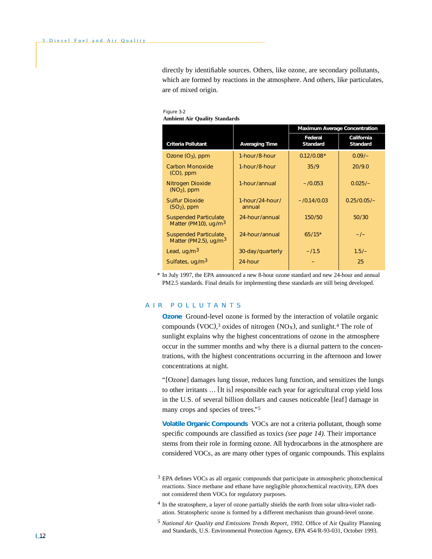directly by identifiable sources. Others, like ozone, are secondary pollutants, which are formed by reactions in the atmosphere. And others, like particulates, are of mixed origin.

Figure 3-2 **Ambient Air Quality Standards**

|                                                                   |                              | <b>Maximum Average Concentration</b> |                               |
|-------------------------------------------------------------------|------------------------------|--------------------------------------|-------------------------------|
| <b>Criteria Pollutant</b>                                         | <b>Averaging Time</b>        | Federal<br><b>Standard</b>           | California<br><b>Standard</b> |
| Ozone $(O_3)$ , ppm                                               | 1-hour/8-hour                | $0.12/0.08*$                         | $0.09/-$                      |
| <b>Carbon Monoxide</b><br>$(CO)$ , ppm                            | 1-hour/8-hour                | 35/9                                 | 20/9.0                        |
| Nitrogen Dioxide<br>$(NO2)$ , ppm                                 | 1-hour/annual                | $-10.053$                            | $0.025/-$                     |
| <b>Sulfur Dioxide</b><br>$(SO2)$ , ppm                            | $1$ -hour/24-hour/<br>annual | $-10.14/0.03$                        | $0.25/0.05/-$                 |
| <b>Suspended Particulate</b><br>Matter (PM10), $uq/m3$            | 24-hour/annual               | 150/50                               | 50/30                         |
| <b>Suspended Particulate</b><br>Matter (PM2.5), ug/m <sup>3</sup> | 24-hour/annual               | $65/15*$                             | $-1-$                         |
| Lead, $uq/m3$                                                     | 30-day/quarterly             | $-11.5$                              | $1.5/-$                       |
| Sulfates, ug/m <sup>3</sup>                                       | 24-hour                      |                                      | 25                            |

\* In July 1997, the EPA announced a new 8-hour ozone standard and new 24-hour and annual PM2.5 standards. Final details for implementing these standards are still being developed.

# AIR POLLUTANTS

**Ozone** Ground-level ozone is formed by the interaction of volatile organic compounds (VOC),<sup>3</sup> oxides of nitrogen (NO<sub>x</sub>), and sunlight.<sup>4</sup> The role of sunlight explains why the highest concentrations of ozone in the atmosphere occur in the summer months and why there is a diurnal pattern to the concentrations, with the highest concentrations occurring in the afternoon and lower concentrations at night.

"[Ozone] damages lung tissue, reduces lung function, and sensitizes the lungs to other irritants ... [It is] responsible each year for agricultural crop yield loss in the U.S. of several billion dollars and causes noticeable [leaf] damage in many crops and species of trees."5

**Volatile Organic Compounds** VOCs are not a criteria pollutant, though some specific compounds are classified as toxics *(see page 14).* Their importance stems from their role in forming ozone. All hydrocarbons in the atmosphere are considered VOCs, as are many other types of organic compounds. This explains

- <sup>4</sup> In the stratosphere, a layer of ozone partially shields the earth from solar ultra-violet radiation. Stratospheric ozone is formed by a different mechanism than ground-level ozone.
- <sup>5</sup> *National Air Quality and Emissions Trends Report,* 1992. Office of Air Quality Planning and Standards, U.S. Environmental Protection Agency, EPA 454/R-93-031, October 1993.

<sup>&</sup>lt;sup>3</sup> EPA defines VOCs as all organic compounds that participate in atmospheric photochemical reactions. Since methane and ethane have negligible photochemical reactivity, EPA does not considered them VOCs for regulatory purposes.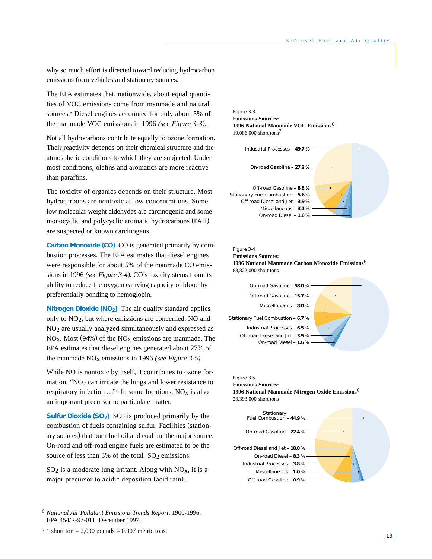why so much effort is directed toward reducing hydrocarbon emissions from vehicles and stationary sources.

The EPA estimates that, nationwide, about equal quantities of VOC emissions come from manmade and natural sources.6 Diesel engines accounted for only about 5% of the manmade VOC emissions in 1996 *(see Figure 3-3).*

Not all hydrocarbons contribute equally to ozone formation. Their reactivity depends on their chemical structure and the atmospheric conditions to which they are subjected. Under most conditions, olefins and aromatics are more reactive than paraffins.

The toxicity of organics depends on their structure. Most hydrocarbons are nontoxic at low concentrations. Some low molecular weight aldehydes are carcinogenic and some monocyclic and polycyclic aromatic hydrocarbons (PAH) are suspected or known carcinogens.

**Carbon Monoxide (CO)** CO is generated primarily by combustion processes. The EPA estimates that diesel engines were responsible for about 5% of the manmade CO emissions in 1996 *(see Figure 3-4).* CO's toxicity stems from its ability to reduce the oxygen carrying capacity of blood by preferentially bonding to hemoglobin.

**Nitrogen Dioxide (NO<sub>2</sub>)** The air quality standard applies only to NO2, but where emissions are concerned, NO and NO2 are usually analyzed simultaneously and expressed as  $NO<sub>x</sub>$ . Most (94%) of the  $NO<sub>x</sub>$  emissions are manmade. The EPA estimates that diesel engines generated about 27% of the manmade NOx emissions in 1996 *(see Figure 3-5).*

While NO is nontoxic by itself, it contributes to ozone formation. "NO<sub>2</sub> can irritate the lungs and lower resistance to respiratory infection  $\ldots$ <sup>6</sup> In some locations, NO<sub>x</sub> is also an important precursor to particulate matter.

**Sulfur Dioxide (SO<sub>2</sub>)**  $SO_2$  is produced primarily by the combustion of fuels containing sulfur. Facilities (stationary sources) that burn fuel oil and coal are the major source. On-road and off-road engine fuels are estimated to be the source of less than 3% of the total SO<sub>2</sub> emissions.

 $SO_2$  is a moderate lung irritant. Along with  $NO<sub>x</sub>$ , it is a major precursor to acidic deposition (acid rain).

Figure 3-3 **Emissions Sources: 1996 National Manmade VOC Emissions**6 19,086,000 short tons7







#### Figure 3-5 **Emissions Sources:**

**1996 National Manmade Nitrogen Oxide Emissions**6 23,393,000 short tons



<sup>6</sup> *National Air Pollutant Emissions Trends Report,* 1900-1996. EPA 454/R-97-011, December 1997.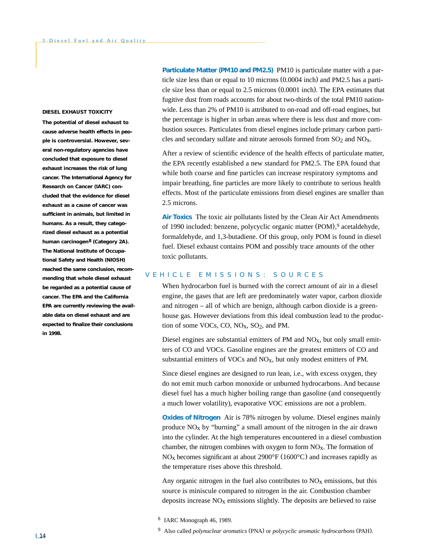#### **DIESEL EXHAUST TOXICITY**

**The potential of diesel exhaust to cause adverse health effects in people is controversial. However, several non-regulatory agencies have concluded that exposure to diesel exhaust increases the risk of lung cancer. The International Agency for Research on Cancer (IARC) concluded that the evidence for diesel exhaust as a cause of cancer was sufficient in animals, but limited in humans. As a result, they categorized diesel exhaust as a potential human carcinogen8 (Category 2A). The National Institute of Occupational Safety and Health (NIOSH) reached the same conclusion, recommending that whole diesel exhaust be regarded as a potential cause of cancer. The EPA and the California EPA are currently reviewing the available data on diesel exhaust and are expected to finalize their conclusions in 1998.**

**Particulate Matter (PM10 and PM2.5)** PM10 is particulate matter with a particle size less than or equal to 10 microns (0.0004 inch) and PM2.5 has a particle size less than or equal to 2.5 microns (0.0001 inch). The EPA estimates that fugitive dust from roads accounts for about two-thirds of the total PM10 nationwide. Less than 2% of PM10 is attributed to on-road and off-road engines, but the percentage is higher in urban areas where there is less dust and more combustion sources. Particulates from diesel engines include primary carbon particles and secondary sulfate and nitrate aerosols formed from  $SO_2$  and  $NO<sub>X</sub>$ .

After a review of scientific evidence of the health effects of particulate matter, the EPA recently established a new standard for PM2.5. The EPA found that while both coarse and fine particles can increase respiratory symptoms and impair breathing, fine particles are more likely to contribute to serious health effects. Most of the particulate emissions from diesel engines are smaller than 2.5 microns.

**Air Toxics** The toxic air pollutants listed by the Clean Air Act Amendments of 1990 included: benzene, polycyclic organic matter (POM), <sup>9</sup> acetaldehyde, formaldehyde, and 1,3-butadiene. Of this group, only POM is found in diesel fuel. Diesel exhaust contains POM and possibly trace amounts of the other toxic pollutants.

# VEHICLE EMISSIONS: SOURCES

When hydrocarbon fuel is burned with the correct amount of air in a diesel engine, the gases that are left are predominately water vapor, carbon dioxide and nitrogen – all of which are benign, although carbon dioxide is a greenhouse gas. However deviations from this ideal combustion lead to the production of some VOCs, CO,  $NO<sub>X</sub>$ , SO<sub>2</sub>, and PM.

Diesel engines are substantial emitters of PM and  $NO<sub>x</sub>$ , but only small emitters of CO and VOCs. Gasoline engines are the greatest emitters of CO and substantial emitters of VOCs and  $NO<sub>X</sub>$ , but only modest emitters of PM.

Since diesel engines are designed to run lean, i.e., with excess oxygen, they do not emit much carbon monoxide or unburned hydrocarbons. And because diesel fuel has a much higher boiling range than gasoline (and consequently a much lower volatility), evaporative VOC emissions are not a problem.

**Oxides of Nitrogen** Air is 78% nitrogen by volume. Diesel engines mainly produce  $NO<sub>x</sub>$  by "burning" a small amount of the nitrogen in the air drawn into the cylinder. At the high temperatures encountered in a diesel combustion chamber, the nitrogen combines with oxygen to form  $NO<sub>x</sub>$ . The formation of  $NO<sub>x</sub>$  becomes significant at about 2900 $\degree$ F (1600 $\degree$ C) and increases rapidly as the temperature rises above this threshold.

Any organic nitrogen in the fuel also contributes to  $NO<sub>x</sub>$  emissions, but this source is miniscule compared to nitrogen in the air. Combustion chamber deposits increase  $NO<sub>x</sub>$  emissions slightly. The deposits are believed to raise

<sup>8</sup> IARC Monograph 46, 1989.

<sup>9</sup> Also called *polynuclear aromatics* (PNA) or *polycyclic aromatic hydrocarbons* (PAH).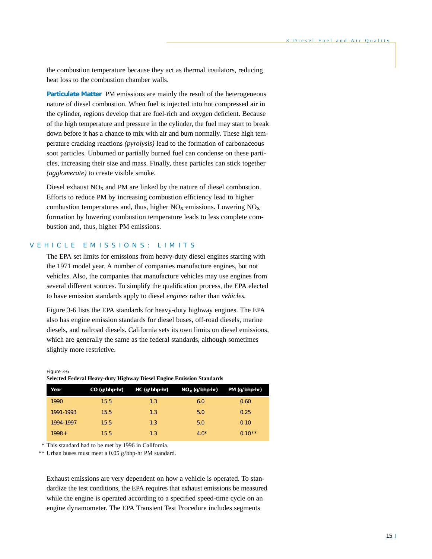the combustion temperature because they act as thermal insulators, reducing heat loss to the combustion chamber walls.

**Particulate Matter** PM emissions are mainly the result of the heterogeneous nature of diesel combustion. When fuel is injected into hot compressed air in the cylinder, regions develop that are fuel-rich and oxygen deficient. Because of the high temperature and pressure in the cylinder, the fuel may start to break down before it has a chance to mix with air and burn normally. These high temperature cracking reactions *(pyrolysis)* lead to the formation of carbonaceous soot particles. Unburned or partially burned fuel can condense on these particles, increasing their size and mass. Finally, these particles can stick together *(agglomerate)* to create visible smoke.

Diesel exhaust  $NO<sub>x</sub>$  and PM are linked by the nature of diesel combustion. Efforts to reduce PM by increasing combustion efficiency lead to higher combustion temperatures and, thus, higher  $NO<sub>x</sub>$  emissions. Lowering  $NO<sub>x</sub>$ formation by lowering combustion temperature leads to less complete combustion and, thus, higher PM emissions.

# VEHICLE EMISSIONS: LIMITS

The EPA set limits for emissions from heavy-duty diesel engines starting with the 1971 model year. A number of companies manufacture engines, but not vehicles. Also, the companies that manufacture vehicles may use engines from several different sources. To simplify the qualification process, the EPA elected to have emission standards apply to diesel *engines* rather than *vehicles.*

Figure 3-6 lists the EPA standards for heavy-duty highway engines. The EPA also has engine emission standards for diesel buses, off-road diesels, marine diesels, and railroad diesels. California sets its own limits on diesel emissions, which are generally the same as the federal standards, although sometimes slightly more restrictive.

#### Figure 3-6 **Selected Federal Heavy-duty Highway Diesel Engine Emission Standards**

| Year      | CO (g/bhp-hr) | HC (g/bhp-hr) | $NOX$ (g/bhp-hr) | PM (g/bhp-hr) |
|-----------|---------------|---------------|------------------|---------------|
| 1990      | 15.5          | 1.3           | 6.0              | 0.60          |
| 1991-1993 | 15.5          | 1.3           | 5.0              | 0.25          |
| 1994-1997 | 15.5          | 1.3           | 5.0              | 0.10          |
| $1998 +$  | 15.5          | 1.3           | $4.0*$           | $0.10**$      |

\* This standard had to be met by 1996 in California.

\*\* Urban buses must meet a 0.05 g/bhp-hr PM standard.

Exhaust emissions are very dependent on how a vehicle is operated. To standardize the test conditions, the EPA requires that exhaust emissions be measured while the engine is operated according to a specified speed-time cycle on an engine dynamometer. The EPA Transient Test Procedure includes segments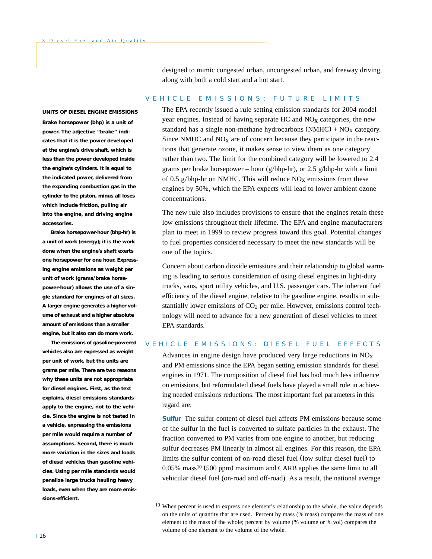designed to mimic congested urban, uncongested urban, and freeway driving, along with both a cold start and a hot start.

## VEHICLE EMISSIONS: FUTURE LIMITS

#### **UNITS OF DIESEL ENGINE EMISSIONS**

*Brake horsepower* **(bhp) is a unit of power. The adjective "brake" indicates that it is the power developed at the engine's drive shaft, which is less than the power developed inside the engine's cylinders. It is equal to the** *indicated power,* **delivered from the expanding combustion gas in the cylinder to the piston, minus all loses which include friction, pulling air into the engine, and driving engine accessories.** 

*Brake horsepower-hour* **(bhp-hr) is a unit of work (energy); it is the work done when the engine's shaft exerts one horsepower for one hour. Expressing engine emissions as weight per unit of work (grams/brake horsepower-hour) allows the use of a single standard for engines of all sizes. A larger engine generates a higher volume of exhaust and a higher absolute amount of emissions than a smaller engine, but it also can do more work.**

**The emissions of gasoline-powered vehicles also are expressed as weight per unit of work, but the units are** *grams per mile.* **There are two reasons why these units are not appropriate for diesel engines. First, as the text explains, diesel emissions standards apply to the engine, not to the vehicle. Since the engine is not tested in a vehicle, expressing the emissions** *per mile* **would require a number of assumptions. Second, there is much more variation in the sizes and loads of diesel vehicles than gasoline vehicles. Using** *per mile* **standards would penalize large trucks hauling heavy loads, even when they are more emissions-efficient.**

The EPA recently issued a rule setting emission standards for 2004 model year engines. Instead of having separate HC and  $NO<sub>x</sub>$  categories, the new standard has a single non-methane hydrocarbons  $(NMHC) + NO<sub>X</sub>$  category. Since NMHC and  $NO<sub>X</sub>$  are of concern because they participate in the reactions that generate ozone, it makes sense to view them as one category rather than two. The limit for the combined category will be lowered to 2.4 grams per brake horsepower – hour (g/bhp-hr), or 2.5 g/bhp-hr with a limit of 0.5 g/bhp-hr on NMHC. This will reduce  $NO<sub>X</sub>$  emissions from these engines by 50%, which the EPA expects will lead to lower ambient ozone concentrations.

The new rule also includes provisions to ensure that the engines retain these low emissions throughout their lifetime. The EPA and engine manufacturers plan to meet in 1999 to review progress toward this goal. Potential changes to fuel properties considered necessary to meet the new standards will be one of the topics.

Concern about carbon dioxide emissions and their relationship to global warming is leading to serious consideration of using diesel engines in light-duty trucks, vans, sport utility vehicles, and U.S. passenger cars. The inherent fuel efficiency of the diesel engine, relative to the gasoline engine, results in substantially lower emissions of CO<sub>2</sub> per mile. However, emissions control technology will need to advance for a new generation of diesel vehicles to meet EPA standards.

# VEHICLE EMISSIONS: DIESEL FUEL EFFECTS

Advances in engine design have produced very large reductions in  $NO<sub>x</sub>$ and PM emissions since the EPA began setting emission standards for diesel engines in 1971. The composition of diesel fuel has had much less influence on emissions, but reformulated diesel fuels have played a small role in achieving needed emissions reductions. The most important fuel parameters in this regard are:

**Sulfur** The sulfur content of diesel fuel affects PM emissions because some of the sulfur in the fuel is converted to sulfate particles in the exhaust. The fraction converted to PM varies from one engine to another, but reducing sulfur decreases PM linearly in almost all engines. For this reason, the EPA limits the sulfur content of on-road diesel fuel (low sulfur diesel fuel) to 0.05% mass10 (500 ppm) maximum and CARB applies the same limit to all vehicular diesel fuel (on-road and off-road). As a result, the national average

 $10$  When percent is used to express one element's relationship to the whole, the value depends on the units of quantity that are used. Percent by mass (% mass) compares the mass of one element to the mass of the whole; percent by volume (% volume or % vol) compares the volume of one element to the volume of the whole.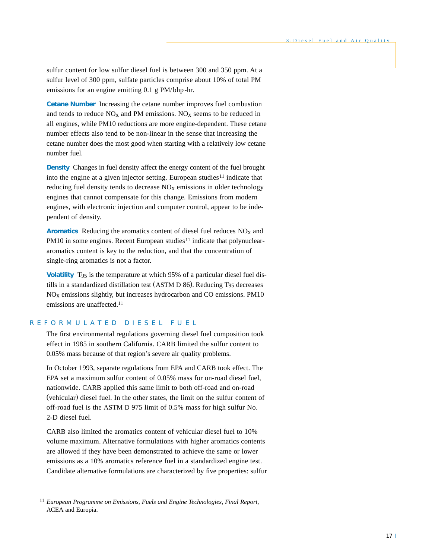sulfur content for low sulfur diesel fuel is between 300 and 350 ppm. At a sulfur level of 300 ppm, sulfate particles comprise about 10% of total PM emissions for an engine emitting 0.1 g PM/bhp-hr.

**Cetane Number** Increasing the cetane number improves fuel combustion and tends to reduce  $NO<sub>x</sub>$  and PM emissions.  $NO<sub>x</sub>$  seems to be reduced in all engines, while PM10 reductions are more engine-dependent. These cetane number effects also tend to be non-linear in the sense that increasing the cetane number does the most good when starting with a relatively low cetane number fuel.

**Density** Changes in fuel density affect the energy content of the fuel brought into the engine at a given injector setting. European studies<sup>11</sup> indicate that reducing fuel density tends to decrease  $NO<sub>x</sub>$  emissions in older technology engines that cannot compensate for this change. Emissions from modern engines, with electronic injection and computer control, appear to be independent of density.

**Aromatics** Reducing the aromatics content of diesel fuel reduces NOx and PM10 in some engines. Recent European studies<sup>11</sup> indicate that polynucleararomatics content is key to the reduction, and that the concentration of single-ring aromatics is not a factor.

**Volatility** T95 is the temperature at which 95% of a particular diesel fuel distills in a standardized distillation test (ASTM D 86). Reducing T95 decreases NOx emissions slightly, but increases hydrocarbon and CO emissions. PM10 emissions are unaffected.11

# REFORMULATED DIESEL FUEL

The first environmental regulations governing diesel fuel composition took effect in 1985 in southern California. CARB limited the sulfur content to 0.05% mass because of that region's severe air quality problems.

In October 1993, separate regulations from EPA and CARB took effect. The EPA set a maximum sulfur content of 0.05% mass for on-road diesel fuel, nationwide. CARB applied this same limit to both off-road and on-road (vehicular) diesel fuel. In the other states, the limit on the sulfur content of off-road fuel is the ASTM D 975 limit of 0.5% mass for high sulfur No. 2-D diesel fuel.

CARB also limited the aromatics content of vehicular diesel fuel to 10% volume maximum. Alternative formulations with higher aromatics contents are allowed if they have been demonstrated to achieve the same or lower emissions as a 10% aromatics reference fuel in a standardized engine test. Candidate alternative formulations are characterized by five properties: sulfur

<sup>11</sup> *European Programme on Emissions, Fuels and Engine Technologies, Final Report,* ACEA and Europia.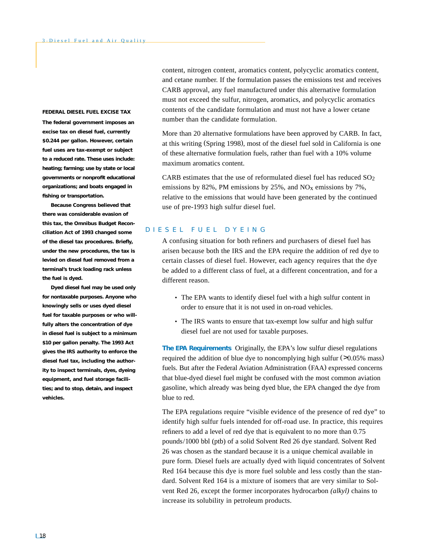#### **FEDERAL DIESEL FUEL EXCISE TAX**

**The federal government imposes an excise tax on diesel fuel, currently \$ 0.244 per gallon. However, certain fuel uses are tax-exempt or subject to a reduced rate. These uses include: heating; farming; use by state or local governments or nonprofit educational organizations; and boats engaged in fishing or transportation.**

**Because Congress believed that there was considerable evasion of this tax, the Omnibus Budget Reconciliation Act of 1993 changed some of the diesel tax procedures. Briefly, under the new procedures, the tax is levied on diesel fuel removed from a terminal's truck loading rack unless the fuel is dyed.**

**Dyed diesel fuel may be used only for nontaxable purposes. Anyone who knowingly sells or uses dyed diesel fuel for taxable purposes or who willfully alters the concentration of dye in diesel fuel is subject to a minimum \$10 per gallon penalty. The 1993 Act gives the IRS authority to enforce the diesel fuel tax, including the authority to inspect terminals, dyes, dyeing equipment, and fuel storage facilities; and to stop, detain, and inspect vehicles.**

content, nitrogen content, aromatics content, polycyclic aromatics content, and cetane number. If the formulation passes the emissions test and receives CARB approval, any fuel manufactured under this alternative formulation must not exceed the sulfur, nitrogen, aromatics, and polycyclic aromatics contents of the candidate formulation and must not have a lower cetane number than the candidate formulation.

More than 20 alternative formulations have been approved by CARB. In fact, at this writing (Spring 1998), most of the diesel fuel sold in California is one of these alternative formulation fuels, rather than fuel with a 10% volume maximum aromatics content.

CARB estimates that the use of reformulated diesel fuel has reduced  $SO<sub>2</sub>$ emissions by 82%, PM emissions by 25%, and  $NO<sub>x</sub>$  emissions by 7%, relative to the emissions that would have been generated by the continued use of pre-1993 high sulfur diesel fuel.

# DIESEL FUEL DYEING

A confusing situation for both refiners and purchasers of diesel fuel has arisen because both the IRS and the EPA require the addition of red dye to certain classes of diesel fuel. However, each agency requires that the dye be added to a different class of fuel, at a different concentration, and for a different reason.

- The EPA wants to identify diesel fuel with a high sulfur content in order to ensure that it is not used in on-road vehicles.
- The IRS wants to ensure that tax-exempt low sulfur and high sulfur diesel fuel are not used for taxable purposes.

**The EPA Requirements** Originally, the EPA's low sulfur diesel regulations required the addition of blue dye to noncomplying high sulfur (>0.05% mass) fuels. But after the Federal Aviation Administration (FAA) expressed concerns that blue-dyed diesel fuel might be confused with the most common aviation gasoline, which already was being dyed blue, the EPA changed the dye from blue to red.

The EPA regulations require "visible evidence of the presence of red dye" to identify high sulfur fuels intended for off-road use. In practice, this requires refiners to add a level of red dye that is equivalent to no more than 0.75 pounds/1000 bbl (ptb) of a solid Solvent Red 26 dye standard. Solvent Red 26 was chosen as the standard because it is a unique chemical available in pure form. Diesel fuels are actually dyed with liquid concentrates of Solvent Red 164 because this dye is more fuel soluble and less costly than the standard. Solvent Red 164 is a mixture of isomers that are very similar to Solvent Red 26, except the former incorporates hydrocarbon *(alkyl)* chains to increase its solubility in petroleum products.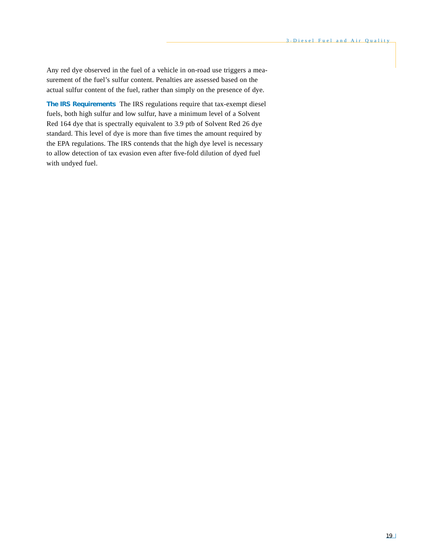Any red dye observed in the fuel of a vehicle in on-road use triggers a measurement of the fuel's sulfur content. Penalties are assessed based on the actual sulfur content of the fuel, rather than simply on the presence of dye.

**The IRS Requirements** The IRS regulations require that tax-exempt diesel fuels, both high sulfur and low sulfur, have a minimum level of a Solvent Red 164 dye that is spectrally equivalent to 3.9 ptb of Solvent Red 26 dye standard. This level of dye is more than five times the amount required by the EPA regulations. The IRS contends that the high dye level is necessary to allow detection of tax evasion even after five-fold dilution of dyed fuel with undyed fuel.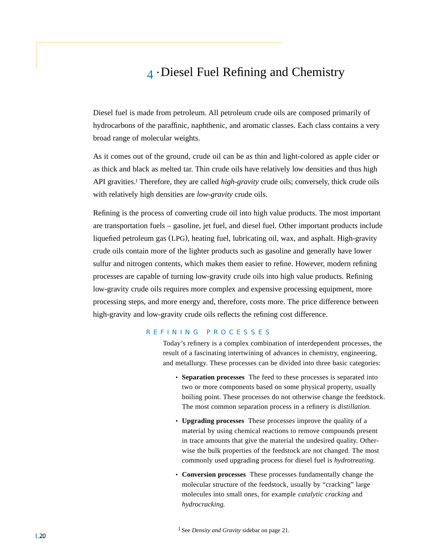# 4 • Diesel Fuel Refining and Chemistry

Diesel fuel is made from petroleum. All petroleum crude oils are composed primarily of hydrocarbons of the paraffinic, naphthenic, and aromatic classes. Each class contains a very broad range of molecular weights.

As it comes out of the ground, crude oil can be as thin and light-colored as apple cider or as thick and black as melted tar. Thin crude oils have relatively low densities and thus high API gravities.1 Therefore, they are called *high-gravity* crude oils; conversely, thick crude oils with relatively high densities are *low-gravity* crude oils.

Refining is the process of converting crude oil into high value products. The most important are transportation fuels – gasoline, jet fuel, and diesel fuel. Other important products include liquefied petroleum gas (LPG), heating fuel, lubricating oil, wax, and asphalt. High-gravity crude oils contain more of the lighter products such as gasoline and generally have lower sulfur and nitrogen contents, which makes them easier to refine. However, modern refining processes are capable of turning low-gravity crude oils into high value products. Refining low-gravity crude oils requires more complex and expensive processing equipment, more processing steps, and more energy and, therefore, costs more. The price difference between high-gravity and low-gravity crude oils reflects the refining cost difference.

# REFINING PROCESSES

Today's refinery is a complex combination of interdependent processes, the result of a fascinating intertwining of advances in chemistry, engineering, and metallurgy. These processes can be divided into three basic categories:

- **Separation processes** The feed to these processes is separated into two or more components based on some physical property, usually boiling point. These processes do not otherwise change the feedstock. The most common separation process in a refinery is *distillation.*
- **Upgrading processes** These processes improve the quality of a material by using chemical reactions to remove compounds present in trace amounts that give the material the undesired quality. Otherwise the bulk properties of the feedstock are not changed. The most commonly used upgrading process for diesel fuel is *hydrotreating.*
- **Conversion processes** These processes fundamentally change the molecular structure of the feedstock, usually by "cracking" large molecules into small ones, for example *catalytic cracking* and *hydrocracking.*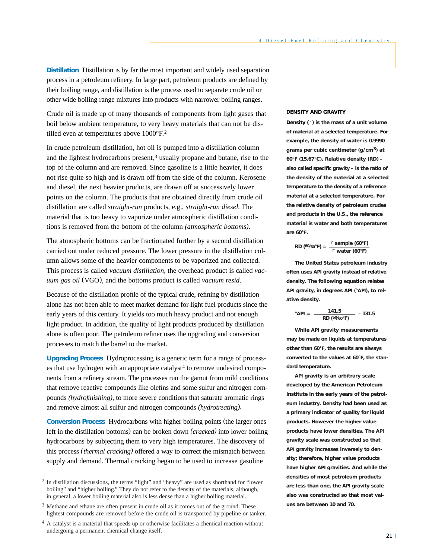**Distillation** Distillation is by far the most important and widely used separation process in a petroleum refinery. In large part, petroleum products are defined by their boiling range, and distillation is the process used to separate crude oil or other wide boiling range mixtures into products with narrower boiling ranges.

Crude oil is made up of many thousands of components from light gases that boil below ambient temperature, to very heavy materials that can not be distilled even at temperatures above 1000°F.2

In crude petroleum distillation, hot oil is pumped into a distillation column and the lightest hydrocarbons present,<sup>3</sup> usually propane and butane, rise to the top of the column and are removed. Since gasoline is a little heavier, it does not rise quite so high and is drawn off from the side of the column. Kerosene and diesel, the next heavier products, are drawn off at successively lower points on the column. The products that are obtained directly from crude oil distillation are called *straight-run* products, e.g., *straight-run diesel.* The material that is too heavy to vaporize under atmospheric distillation conditions is removed from the bottom of the column *(atmospheric bottoms).*

The atmospheric bottoms can be fractionated further by a second distillation carried out under reduced pressure. The lower pressure in the distillation column allows some of the heavier components to be vaporized and collected. This process is called *vacuum distillation,* the overhead product is called *vacuum gas oil* (VGO), and the bottoms product is called *vacuum resid*.

Because of the distillation profile of the typical crude, refining by distillation alone has not been able to meet market demand for light fuel products since the early years of this century. It yields too much heavy product and not enough light product. In addition, the quality of light products produced by distillation alone is often poor. The petroleum refiner uses the upgrading and conversion processes to match the barrel to the market.

**Upgrading Process** Hydroprocessing is a generic term for a range of process $es$  that use hydrogen with an appropriate catalyst<sup>4</sup> to remove undesired components from a refinery stream. The processes run the gamut from mild conditions that remove reactive compounds like olefins and some sulfur and nitrogen compounds *(hydrofinishing),* to more severe conditions that saturate aromatic rings and remove almost all sulfur and nitrogen compounds *(hydrotreating).*

**Conversion Process** Hydrocarbons with higher boiling points (the larger ones left in the distillation bottoms) can be broken down *(cracked)* into lower boiling hydrocarbons by subjecting them to very high temperatures. The discovery of this process *(thermal cracking)* offered a way to correct the mismatch between supply and demand. Thermal cracking began to be used to increase gasoline

#### **DENSITY AND GRAVITY**

*Density (*r*)* **is the mass of a unit volume of material at a selected temperature. For example, the density of water is 0.9990 grams per cubic centimeter (g/cm3) at 60°F (15.67°C).** *Relative density* **(RD) – also called** *specific gravity* **– is the ratio of the density of the material at a selected temperature to the density of a reference material at a selected temperature. For the relative density of petroleum crudes and products in the U.S., the reference material is water and both temperatures are 60°F.**

RD (60/60°F) = 
$$
\frac{r \text{ sample (60°F)}}{r \text{ water (60°F)}}
$$

**The United States petroleum industry often uses API gravity instead of relative density. The following equation relates API gravity, in degrees API (°API), to relative density.**

$$
^{\circ}API = \frac{141.5}{RD (60/60^{\circ}F)} - 131.5
$$

**While API gravity measurements may be made on liquids at temperatures other than 60°F, the results are always converted to the values at 60°F, the standard temperature.**

**API gravity is an arbitrary scale developed by the American Petroleum Institute in the early years of the petroleum industry. Density had been used as a primary indicator of quality for liquid products. However the higher value products have lower densities. The API gravity scale was constructed so that API gravity increases inversely to density; therefore, higher value products have higher API gravities. And while the densities of most petroleum products are less than one, the API gravity scale also was constructed so that most values are between 10 and 70.** 

<sup>2</sup> In distillation discussions, the terms "light" and "heavy" are used as shorthand for "lower boiling" and "higher boiling." They do not refer to the density of the materials, although, in general, a lower boiling material also is less dense than a higher boiling material.

<sup>3</sup> Methane and ethane are often present in crude oil as it comes out of the ground. These lightest compounds are removed before the crude oil is transported by pipeline or tanker.

<sup>&</sup>lt;sup>4</sup> A catalyst is a material that speeds up or otherwise facilitates a chemical reaction without undergoing a permanent chemical change itself.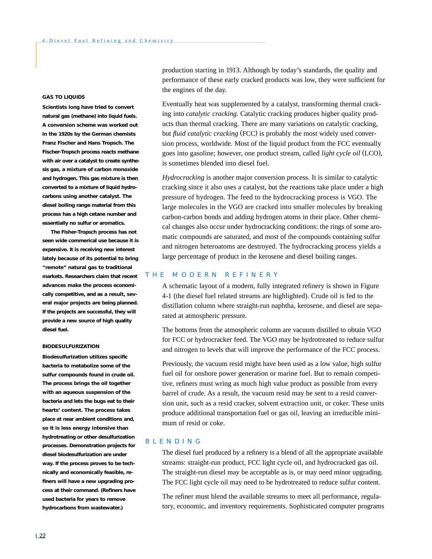## **GAS TO LIQUIDS**

**Scientists long have tried to convert natural gas (methane) into liquid fuels. A conversion scheme was worked out in the 1920s by the German chemists Franz Fischer and Hans Tropsch. The** *Fischer-Tropsch* **process reacts methane with air over a catalyst to create** *synthesis gas,* **a mixture of carbon monoxide and hydrogen. This gas mixture is then converted to a mixture of liquid hydrocarbons using another catalyst. The diesel boiling range material from this process has a high cetane number and essentially no sulfur or aromatics.**

**The Fisher-Tropsch process has not seen wide commerical use because it is expensive. It is receiving new interest lately because of its potential to bring "remote" natural gas to traditional markets. Researchers claim that recent advances make the process economically competitive, and as a result, several major projects are being planned. If the projects are successful, they will provide a new source of high quality diesel fuel.**

#### **BIODESULFURIZATION**

**Biodesulfurization utilizes specific bacteria to metabolize some of the sulfur compounds found in crude oil. The process brings the oil together with an aqueous suspension of the bacteria and lets the bugs eat to their hearts' content. The process takes place at near ambient conditions and, so it is less energy intensive than hydrotreating or other desulfurization processes. Demonstration projects for diesel biodesulfurization are under way. If the process proves to be technically and economically feasible, refiners will have a new upgrading process at their command. (Refiners have used bacteria for years to remove hydrocarbons from wastewater.)**

production starting in 1913. Although by today's standards, the quality and performance of these early cracked products was low, they were sufficient for the engines of the day.

Eventually heat was supplemented by a catalyst, transforming thermal cracking into *catalytic cracking.* Catalytic cracking produces higher quality products than thermal cracking. There are many variations on catalytic cracking, but *fluid catalytic cracking* (FCC) is probably the most widely used conversion process, worldwide. Most of the liquid product from the FCC eventually goes into gasoline; however, one product stream, called *light cycle oil* (LCO), is sometimes blended into diesel fuel.

*Hydrocracking* is another major conversion process. It is similar to catalytic cracking since it also uses a catalyst, but the reactions take place under a high pressure of hydrogen. The feed to the hydrocracking process is VGO. The large molecules in the VGO are cracked into smaller molecules by breaking carbon-carbon bonds and adding hydrogen atoms in their place. Other chemical changes also occur under hydrocracking conditions: the rings of some aromatic compounds are saturated, and most of the compounds containing sulfur and nitrogen heteroatoms are destroyed. The hydrocracking process yields a large percentage of product in the kerosene and diesel boiling ranges.

# THE MODERN REFINERY

A schematic layout of a modern, fully integrated refinery is shown in Figure 4-1 (the diesel fuel related streams are highlighted). Crude oil is fed to the distillation column where straight-run naphtha, kerosene, and diesel are separated at atmospheric pressure.

The bottoms from the atmospheric column are vacuum distilled to obtain VGO for FCC or hydrocracker feed. The VGO may be hydrotreated to reduce sulfur and nitrogen to levels that will improve the performance of the FCC process.

Previously, the vacuum resid might have been used as a low value, high sulfur fuel oil for onshore power generation or marine fuel. But to remain competitive, refiners must wring as much high value product as possible from every barrel of crude. As a result, the vacuum resid may be sent to a resid conversion unit, such as a resid cracker, solvent extraction unit, or coker. These units produce additional transportation fuel or gas oil, leaving an irreducible minimum of resid or coke.

#### BLENDING

The diesel fuel produced by a refinery is a blend of all the appropriate available streams: straight-run product, FCC light cycle oil, and hydrocracked gas oil. The straight-run diesel may be acceptable as is, or may need minor upgrading. The FCC light cycle oil may need to be hydrotreated to reduce sulfur content.

The refiner must blend the available streams to meet all performance, regulatory, economic, and inventory requirements. Sophisticated computer programs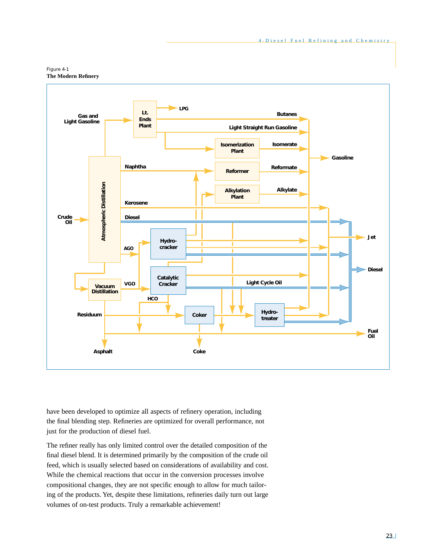



have been developed to optimize all aspects of refinery operation, including the final blending step. Refineries are optimized for overall performance, not just for the production of diesel fuel.

The refiner really has only limited control over the detailed composition of the final diesel blend. It is determined primarily by the composition of the crude oil feed, which is usually selected based on considerations of availability and cost. While the chemical reactions that occur in the conversion processes involve compositional changes, they are not specific enough to allow for much tailoring of the products. Yet, despite these limitations, refineries daily turn out large volumes of on-test products. Truly a remarkable achievement!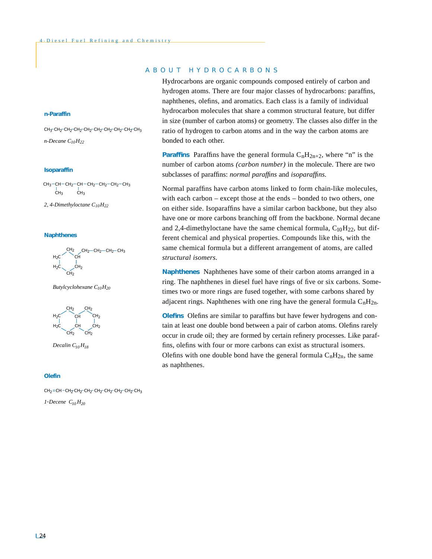#### **n-Paraffin**

*n-Decane C10H22*  $CH_3$ <sup>-</sup>CH<sub>2</sub><sup>-</sup>CH<sub>2</sub><sup>-</sup>CH<sub>2</sub><sup>-</sup>CH<sub>2</sub><sup>-</sup>CH<sub>2</sub><sup>-</sup>CH<sub>2</sub><sup>-</sup>CH<sub>3</sub>

## **Isoparaffin**

СН $_{3}$ —СН—СН $_{2}$ —СН $_{2}$ —СН $_{2}$ —С $\rm H_{3}$ —СН $_{3}$ CH<sub>3</sub> CH<sub>3</sub>

*2, 4-Dimethyloctane C10H22*

## **Naphthenes**



*Butylcyclohexane C10H20*



*Decalin C10 H18*

#### **Olefin**

 $CH_2 = CH = CH_2 - CH_2 - CH_2 - CH_2 - CH_2 - CH_2 - CH_3$ 

*1-Decene*  $C_{10}H_{20}$ 

# ABOUT HYDROCARBONS

Hydrocarbons are organic compounds composed entirely of carbon and hydrogen atoms. There are four major classes of hydrocarbons: paraffins, naphthenes, olefins, and aromatics. Each class is a family of individual hydrocarbon molecules that share a common structural feature, but differ in size (number of carbon atoms) or geometry. The classes also differ in the ratio of hydrogen to carbon atoms and in the way the carbon atoms are bonded to each other.

**Paraffins** Paraffins have the general formula  $C_nH_{2n+2}$ , where "n" is the number of carbon atoms *(carbon number)* in the molecule. There are two subclasses of paraffins: *normal paraffins* and *isoparaffins.*

Normal paraffins have carbon atoms linked to form chain-like molecules, with each carbon – except those at the ends – bonded to two others, one on either side. Isoparaffins have a similar carbon backbone, but they also have one or more carbons branching off from the backbone. Normal decane and 2,4-dimethyloctane have the same chemical formula,  $C_{10}H_{22}$ , but different chemical and physical properties. Compounds like this, with the same chemical formula but a different arrangement of atoms, are called *structural isomers.*

**Naphthenes** Naphthenes have some of their carbon atoms arranged in a ring. The naphthenes in diesel fuel have rings of five or six carbons. Sometimes two or more rings are fused together, with some carbons shared by adjacent rings. Naphthenes with one ring have the general formula  $C_nH_{2n}$ .

**Olefins** Olefins are similar to paraffins but have fewer hydrogens and contain at least one double bond between a pair of carbon atoms. Olefins rarely occur in crude oil; they are formed by certain refinery processes. Like paraffins, olefins with four or more carbons can exist as structural isomers. Olefins with one double bond have the general formula  $C_nH_{2n}$ , the same as naphthenes.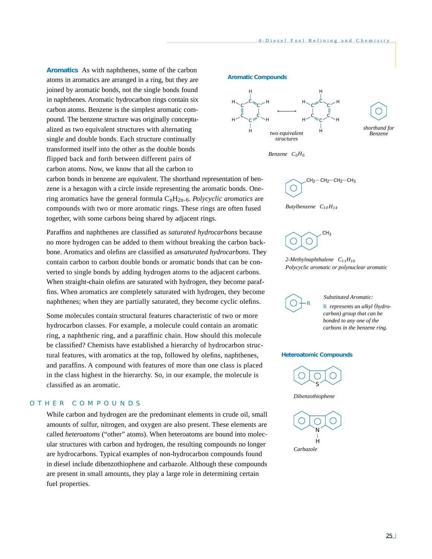**Aromatics** As with naphthenes, some of the carbon atoms in aromatics are arranged in a ring, but they are joined by aromatic bonds, not the single bonds found in naphthenes. Aromatic hydrocarbon rings contain six carbon atoms. Benzene is the simplest aromatic compound. The benzene structure was originally conceptualized as two equivalent structures with alternating single and double bonds. Each structure continually transformed itself into the other as the double bonds flipped back and forth between different pairs of carbon atoms. Now, we know that all the carbon to

carbon bonds in benzene are equivalent. The shorthand representation of benzene is a hexagon with a circle inside representing the aromatic bonds. Onering aromatics have the general formula  $C_nH_{2n-6}$ . *Polycyclic aromatics* are compounds with two or more aromatic rings. These rings are often fused together, with some carbons being shared by adjacent rings.

Paraffins and naphthenes are classified as *saturated hydrocarbons* because no more hydrogen can be added to them without breaking the carbon backbone. Aromatics and olefins are classified as *unsaturated hydrocarbons.* They contain carbon to carbon double bonds or aromatic bonds that can be converted to single bonds by adding hydrogen atoms to the adjacent carbons. When straight-chain olefins are saturated with hydrogen, they become paraffins. When aromatics are completely saturated with hydrogen, they become naphthenes; when they are partially saturated, they become cyclic olefins.

Some molecules contain structural features characteristic of two or more hydrocarbon classes. For example, a molecule could contain an aromatic ring, a naphthenic ring, and a paraffinic chain. How should this molecule be classified? Chemists have established a hierarchy of hydrocarbon structural features, with aromatics at the top, followed by olefins, naphthenes, and paraffins. A compound with features of more than one class is placed in the class highest in the hierarchy. So, in our example, the molecule is classified as an aromatic.

# OTHER COMPOUNDS

While carbon and hydrogen are the predominant elements in crude oil, small amounts of sulfur, nitrogen, and oxygen are also present. These elements are called *heteroatoms* ("other" atoms). When heteroatoms are bound into molecular structures with carbon and hydrogen, the resulting compounds no longer are hydrocarbons. Typical examples of non-hydrocarbon compounds found in diesel include dibenzothiophene and carbazole. Although these compounds are present in small amounts, they play a large role in determining certain fuel properties.

#### **Aromatic Compounds**



*Benzene C6H6*





CH<sub>3</sub>  $\subset$ 





R *represents an alkyl (hydrocarbon) group that can be bonded to any one of the carbons in the benzene ring. Substituted Aromatic:*

#### **Heteroatomic Compounds**



*Dibenzothiophene*

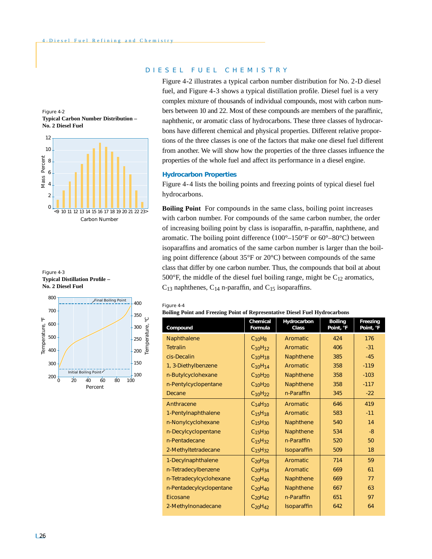







# DIESEL FUEL CHEMISTRY

Figure 4-2 illustrates a typical carbon number distribution for No. 2-D diesel fuel, and Figure 4-3 shows a typical distillation profile. Diesel fuel is a very complex mixture of thousands of individual compounds, most with carbon numbers between 10 and 22. Most of these compounds are members of the paraffinic, naphthenic, or aromatic class of hydrocarbons. These three classes of hydrocarbons have different chemical and physical properties. Different relative proportions of the three classes is one of the factors that make one diesel fuel different from another. We will show how the properties of the three classes influence the properties of the whole fuel and affect its performance in a diesel engine.

# **Hydrocarbon Properties**

Figure 4-4 lists the boiling points and freezing points of typical diesel fuel hydrocarbons.

**Boiling Point** For compounds in the same class, boiling point increases with carbon number. For compounds of the same carbon number, the order of increasing boiling point by class is isoparaffin, n-paraffin, naphthene, and aromatic. The boiling point difference  $(100^{\circ} - 150^{\circ}F)$  or  $60^{\circ} - 80^{\circ}C$  between isoparaffins and aromatics of the same carbon number is larger than the boiling point difference (about 35°F or 20°C) between compounds of the same class that differ by one carbon number. Thus, the compounds that boil at about 500 $\degree$ F, the middle of the diesel fuel boiling range, might be C<sub>12</sub> aromatics,  $C_{13}$  naphthenes,  $C_{14}$  n-paraffin, and  $C_{15}$  isoparaffins.

#### Figure 4-4

#### **Boiling Point and Freezing Point of Representative Diesel Fuel Hydrocarbons**

| Compound                 | Chemical<br>Formula             | Hydrocarbon<br>Class | <b>Boiling</b><br>Point, °F | Freezing<br>Point, °F |
|--------------------------|---------------------------------|----------------------|-----------------------------|-----------------------|
| Naphthalene              | $C_{10}H_8$                     | Aromatic             | 424                         | 176                   |
| <b>Tetralin</b>          | $C_{10}H_{12}$                  | Aromatic             | 406                         | $-31$                 |
| cis-Decalin              | C <sub>10</sub> H <sub>18</sub> | Naphthene            | 385                         | $-45$                 |
| 1, 3-Diethylbenzene      | C <sub>10</sub> H <sub>14</sub> | Aromatic             | 358                         | $-119$                |
| n-Butylcyclohexane       | $C_{10}H_{20}$                  | Naphthene            | 358                         | $-103$                |
| n-Pentylcyclopentane     | $C_{10}H_{20}$                  | Naphthene            | 358                         | $-117$                |
| Decane                   | C <sub>10</sub> H <sub>22</sub> | n-Paraffin           | 345                         | $-22$                 |
| Anthracene               | C <sub>14</sub> H <sub>10</sub> | Aromatic             | 646                         | 419                   |
| 1-Pentylnaphthalene      | C <sub>15</sub> H <sub>18</sub> | Aromatic             | 583                         | $-11$                 |
| n-Nonylcyclohexane       | C <sub>15</sub> H <sub>30</sub> | Naphthene            | 540                         | 14                    |
| n-Decylcyclopentane      | C <sub>15</sub> H <sub>30</sub> | Naphthene            | 534                         | $-8$                  |
| n-Pentadecane            | $C_{15}H_{32}$                  | n-Paraffin           | 520                         | 50                    |
| 2-Methyltetradecane      | C <sub>15</sub> H <sub>32</sub> | Isoparaffin          | 509                         | 18                    |
| 1-Decylnaphthalene       | C <sub>20</sub> H <sub>28</sub> | Aromatic             | 714                         | 59                    |
| n-Tetradecylbenzene      | C <sub>20</sub> H <sub>34</sub> | Aromatic             | 669                         | 61                    |
| n-Tetradecylcyclohexane  | $C_{20}H_{40}$                  | Naphthene            | 669                         | 77                    |
| n-Pentadecylcyclopentane | $C_{20}H_{40}$                  | Naphthene            | 667                         | 63                    |
| Eicosane                 | $C_{20}H_{42}$                  | n-Paraffin           | 651                         | 97                    |
| 2-Methylnonadecane       | $C_{20}H_{42}$                  | Isoparaffin          | 642                         | 64                    |
|                          |                                 |                      |                             |                       |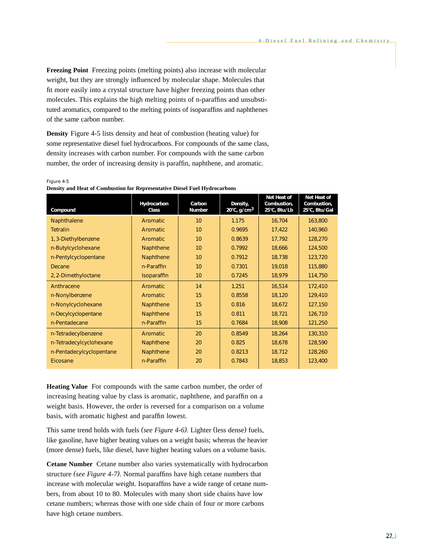**Freezing Point** Freezing points (melting points) also increase with molecular weight, but they are strongly influenced by molecular shape. Molecules that fit more easily into a crystal structure have higher freezing points than other molecules. This explains the high melting points of n-paraffins and unsubstituted aromatics, compared to the melting points of isoparaffins and naphthenes of the same carbon number.

**Density** Figure 4-5 lists density and heat of combustion (heating value) for some representative diesel fuel hydrocarbons. For compounds of the same class, density increases with carbon number. For compounds with the same carbon number, the order of increasing density is paraffin, naphthene, and aromatic.

**Net Heat of** Net Heat of Combustion. **Hydrocarbon Carbon Density,<br>Class Number 20°C, g/cm<sup>3</sup> Compound** Class **Number 20°C, g/cm<sup>3</sup> 25°C, Btu/Lb** 25°C, Btu/Lal Naphthalene **Aromatic 10** 11.175 16,704 163,800 Tetralin Aromatic 10 0.9695 17,422 140,960 1, 3-Diethylbenzene | Aromatic | 10 | 0.8639 | 17,792 | 128,270 n-Butylcyclohexane | Naphthene | 10 | 0.7992 | 18,666 | 124,500 n-Pentylcyclopentane | Naphthene | 10 | 0.7912 | 18,738 | 123,720 Decane 10 10 | n-Paraffin | 10 | 0.7301 | 19,018 | 115,880 2, 2-Dimethyloctane | Isoparaffin | 10 | 0.7245 | 18,979 | 114,750 Anthracene Aromatic 14 1.251 16,514 172,410 n-Nonylbenzene | Aromatic | 15 | 0.8558 | 18,120 | 129,410 n-Nonylcyclohexane | Naphthene | 15 | 0.816 | 18,672 | 127,150 n-Decylcyclopentane Naphthene 15 0.811 18,721 126,710 n-Pentadecane | n-Paraffin | 15 | 0.7684 | 18,908 | 121,250 n-Tetradecylbenzene | Aromatic | 20 | 0.8549 | 18,264 | 130,310 n-Tetradecylcyclohexane | Naphthene | 20 | 0.825 | 18,678 | 128,590 n-Pentadecylcyclopentane | Naphthene | 20 | 0.8213 | 18,712 | 128,260 Eicosane 123,400 | n-Paraffin | 20 | 0.7843 | 18,853 | 123,400

Figure 4-5 **Density and Heat of Combustion for Representative Diesel Fuel Hydrocarbons**

**Heating Value** For compounds with the same carbon number, the order of increasing heating value by class is aromatic, naphthene, and paraffin on a weight basis. However, the order is reversed for a comparison on a volume basis, with aromatic highest and paraffin lowest.

This same trend holds with fuels *(see Figure 4-6).* Lighter (less dense) fuels, like gasoline, have higher heating values on a weight basis; whereas the heavier (more dense) fuels, like diesel, have higher heating values on a volume basis.

**Cetane Number** Cetane number also varies systematically with hydrocarbon structure *(see Figure 4-7).* Normal paraffins have high cetane numbers that increase with molecular weight. Isoparaffins have a wide range of cetane numbers, from about 10 to 80. Molecules with many short side chains have low cetane numbers; whereas those with one side chain of four or more carbons have high cetane numbers.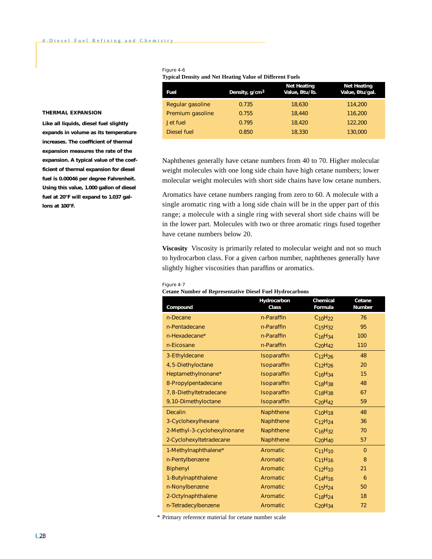| Fuel             | Density, g/cm <sup>3</sup> | <b>Net Heating</b><br>Value, Btu/lb. | <b>Net Heating</b><br>Value, Btu/gal. |
|------------------|----------------------------|--------------------------------------|---------------------------------------|
| Regular gasoline | 0.735                      | 18,630                               | 114,200                               |
| Premium gasoline | 0.755                      | 18,440                               | 116,200                               |
| Jet fuel         | 0.795                      | 18,420                               | 122,200                               |
| Diesel fuel      | 0.850                      | 18,330                               | 130,000                               |

#### Figure 4-6 **Typical Density and Net Heating Value of Different Fuels**

#### **THERMAL EXPANSION**

**Like all liquids, diesel fuel slightly expands in volume as its temperature increases. The** *coefficient of thermal expansion* **measures the rate of the expansion. A typical value of the coefficient of thermal expansion for diesel fuel is 0.00046 per degree Fahrenheit. Using this value, 1.000 gallon of diesel fuel at 20°F will expand to 1.037 gallons at 100°F.**

Naphthenes generally have cetane numbers from 40 to 70. Higher molecular weight molecules with one long side chain have high cetane numbers; lower molecular weight molecules with short side chains have low cetane numbers.

Aromatics have cetane numbers ranging from zero to 60. A molecule with a single aromatic ring with a long side chain will be in the upper part of this range; a molecule with a single ring with several short side chains will be in the lower part. Molecules with two or three aromatic rings fused together have cetane numbers below 20.

**Viscosity** Viscosity is primarily related to molecular weight and not so much to hydrocarbon class. For a given carbon number, naphthenes generally have slightly higher viscosities than paraffins or aromatics.

#### Figure 4-7

#### **Cetane Number of Representative Diesel Fuel Hydrocarbons**

| Compound                    | Hydrocarbon<br>Class | Chemical<br>Formula             | Cetane<br><b>Number</b> |
|-----------------------------|----------------------|---------------------------------|-------------------------|
| n-Decane                    | n-Paraffin           | $C_{10}H_{22}$                  | 76                      |
| n-Pentadecane               | n-Paraffin           | C <sub>15</sub> H <sub>32</sub> | 95                      |
| n-Hexadecane*               | n-Paraffin           | C <sub>16</sub> H <sub>34</sub> | 100                     |
| n-Eicosane                  | n-Paraffin           | $C_{20}H_{42}$                  | 110                     |
| 3-Ethyldecane               | Isoparaffin          | C <sub>12</sub> H <sub>26</sub> | 48                      |
| 4,5-Diethyloctane           | Isoparaffin          | C <sub>12</sub> H <sub>26</sub> | 20                      |
| Heptamethylnonane*          | Isoparaffin          | C <sub>16</sub> H <sub>34</sub> | 15                      |
| 8-Propylpentadecane         | Isoparaffin          | $C_{18}H_{38}$                  | 48                      |
| 7,8-Diethyltetradecane      | Isoparaffin          | $C_{18}H_{38}$                  | 67                      |
| 9,10-Dimethyloctane         | Isoparaffin          | C <sub>20</sub> H <sub>42</sub> | 59                      |
| <b>Decalin</b>              | Naphthene            | C <sub>10</sub> H <sub>18</sub> | 48                      |
| 3-Cyclohexylhexane          | Naphthene            | C <sub>12</sub> H <sub>24</sub> | 36                      |
| 2-Methyl-3-cyclohexylnonane | Naphthene            | C <sub>16</sub> H <sub>32</sub> | 70                      |
| 2-Cyclohexyltetradecane     | Naphthene            | C <sub>20</sub> H <sub>40</sub> | 57                      |
| 1-Methylnaphthalene*        | Aromatic             | C <sub>11</sub> H <sub>10</sub> | $\Omega$                |
| n-Pentylbenzene             | Aromatic             | C <sub>11</sub> H <sub>16</sub> | 8                       |
| <b>Biphenyl</b>             | Aromatic             | C <sub>12</sub> H <sub>10</sub> | 21                      |
| 1-Butylnaphthalene          | Aromatic             | C <sub>14</sub> H <sub>16</sub> | 6                       |
| n-Nonylbenzene              | Aromatic             | C <sub>15</sub> H <sub>24</sub> | 50                      |
| 2-Octylnaphthalene          | Aromatic             | C <sub>18</sub> H <sub>24</sub> | 18                      |
| n-Tetradecylbenzene         | Aromatic             | C <sub>20</sub> H <sub>34</sub> | 72                      |

\* Primary reference material for cetane number scale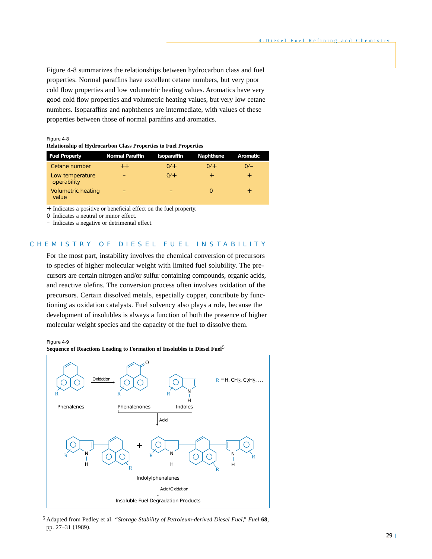Figure 4-8 summarizes the relationships between hydrocarbon class and fuel properties. Normal paraffins have excellent cetane numbers, but very poor cold flow properties and low volumetric heating values. Aromatics have very good cold flow properties and volumetric heating values, but very low cetane numbers. Isoparaffins and naphthenes are intermediate, with values of these properties between those of normal paraffins and aromatics.

Figure 4-8

| <b>Relationship of Hydrocarbon Class Properties to Fuel Properties</b> |  |
|------------------------------------------------------------------------|--|
|------------------------------------------------------------------------|--|

| <b>Fuel Property</b>               | <b>Normal Paraffin</b> | Isoparaffin | <b>Naphthene</b> | Aromatic  |
|------------------------------------|------------------------|-------------|------------------|-----------|
| Cetane number                      | $+ +$                  | $0/1 +$     | $0/$ +           | $0/-$     |
| Low temperature<br>operability     | -                      | $0/1 +$     | $\ddot{}$        | $\ddot{}$ |
| <b>Volumetric heating</b><br>value |                        |             | 0                | $+$       |

+ Indicates a positive or beneficial effect on the fuel property.

0 Indicates a neutral or minor effect.

– Indicates a negative or detrimental effect.

# CHEMISTRY OF DIESEL FUEL INSTABILITY

For the most part, instability involves the chemical conversion of precursors to species of higher molecular weight with limited fuel solubility. The precursors are certain nitrogen and/or sulfur containing compounds, organic acids, and reactive olefins. The conversion process often involves oxidation of the precursors. Certain dissolved metals, especially copper, contribute by functioning as oxidation catalysts. Fuel solvency also plays a role, because the development of insolubles is always a function of both the presence of higher molecular weight species and the capacity of the fuel to dissolve them.

Figure 4-9



5 Adapted from Pedley et al. *"Storage Stability of Petroleum-derived Diesel Fuel," Fuel* **68**, pp. 27–31 (1989).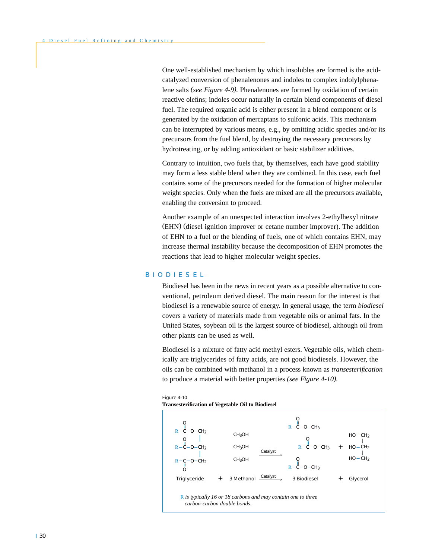One well-established mechanism by which insolubles are formed is the acidcatalyzed conversion of phenalenones and indoles to complex indolylphenalene salts *(see Figure 4-9).* Phenalenones are formed by oxidation of certain reactive olefins; indoles occur naturally in certain blend components of diesel fuel. The required organic acid is either present in a blend component or is generated by the oxidation of mercaptans to sulfonic acids. This mechanism can be interrupted by various means, e.g., by omitting acidic species and/or its precursors from the fuel blend, by destroying the necessary precursors by hydrotreating, or by adding antioxidant or basic stabilizer additives.

Contrary to intuition, two fuels that, by themselves, each have good stability may form a less stable blend when they are combined. In this case, each fuel contains some of the precursors needed for the formation of higher molecular weight species. Only when the fuels are mixed are all the precursors available, enabling the conversion to proceed.

Another example of an unexpected interaction involves 2-ethylhexyl nitrate (EHN) (diesel ignition improver or cetane number improver). The addition of EHN to a fuel or the blending of fuels, one of which contains EHN, may increase thermal instability because the decomposition of EHN promotes the reactions that lead to higher molecular weight species.

## BIODIESEL

Biodiesel has been in the news in recent years as a possible alternative to conventional, petroleum derived diesel. The main reason for the interest is that biodiesel is a renewable source of energy. In general usage, the term *biodiesel* covers a variety of materials made from vegetable oils or animal fats. In the United States, soybean oil is the largest source of biodiesel, although oil from other plants can be used as well.

Biodiesel is a mixture of fatty acid methyl esters. Vegetable oils, which chemically are triglycerides of fatty acids, are not good biodiesels. However, the oils can be combined with methanol in a process known as *transesterification* to produce a material with better properties *(see Figure 4-10).*





#### **Transesterification of Vegetable Oil to Biodiesel**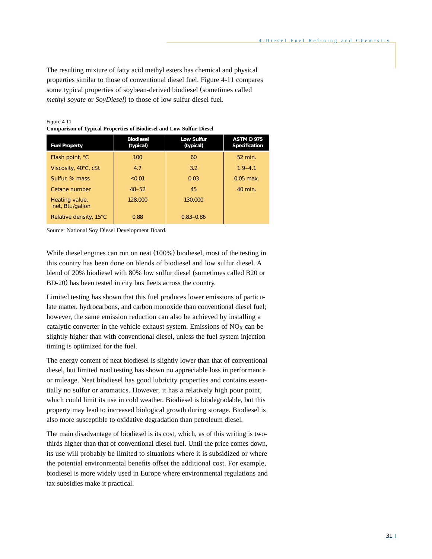The resulting mixture of fatty acid methyl esters has chemical and physical properties similar to those of conventional diesel fuel. Figure 4-11 compares some typical properties of soybean-derived biodiesel (sometimes called *methyl soyate* or *SoyDiesel*) to those of low sulfur diesel fuel.

Figure 4-11 **Comparison of Typical Properties of Biodiesel and Low Sulfur Diesel**

| <b>Fuel Property</b>              | <b>Biodiesel</b><br>(typical) | <b>Low Sulfur</b><br>(typical) | <b>ASTM D 975</b><br>Specification |
|-----------------------------------|-------------------------------|--------------------------------|------------------------------------|
| Flash point, °C                   | 100                           | 60                             | 52 min.                            |
| Viscosity, 40°C, cSt              | 4.7                           | 3.2                            | $1.9 - 4.1$                        |
| Sulfur, % mass                    | 50.01                         | 0.03                           | $0.05$ max.                        |
| Cetane number                     | $48 - 52$                     | 45                             | 40 min.                            |
| Heating value,<br>net, Btu/gallon | 128,000                       | 130,000                        |                                    |
| Relative density, 15°C            | 0.88                          | $0.83 - 0.86$                  |                                    |

Source: National Soy Diesel Development Board.

While diesel engines can run on neat (100%) biodiesel, most of the testing in this country has been done on blends of biodiesel and low sulfur diesel. A blend of 20% biodiesel with 80% low sulfur diesel (sometimes called B20 or BD-20) has been tested in city bus fleets across the country.

Limited testing has shown that this fuel produces lower emissions of particulate matter, hydrocarbons, and carbon monoxide than conventional diesel fuel; however, the same emission reduction can also be achieved by installing a catalytic converter in the vehicle exhaust system. Emissions of  $NO<sub>x</sub>$  can be slightly higher than with conventional diesel, unless the fuel system injection timing is optimized for the fuel.

The energy content of neat biodiesel is slightly lower than that of conventional diesel, but limited road testing has shown no appreciable loss in performance or mileage. Neat biodiesel has good lubricity properties and contains essentially no sulfur or aromatics. However, it has a relatively high pour point, which could limit its use in cold weather. Biodiesel is biodegradable, but this property may lead to increased biological growth during storage. Biodiesel is also more susceptible to oxidative degradation than petroleum diesel.

The main disadvantage of biodiesel is its cost, which, as of this writing is twothirds higher than that of conventional diesel fuel. Until the price comes down, its use will probably be limited to situations where it is subsidized or where the potential environmental benefits offset the additional cost. For example, biodiesel is more widely used in Europe where environmental regulations and tax subsidies make it practical.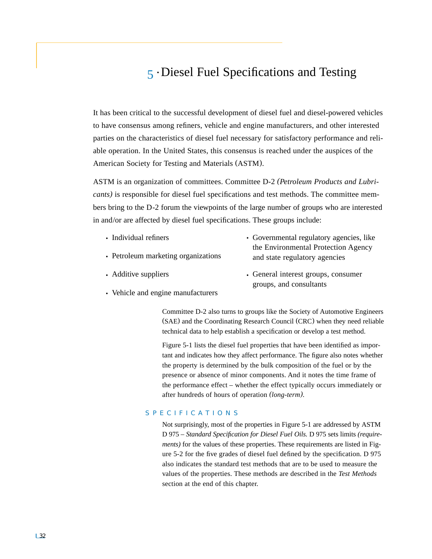# 5 • Diesel Fuel Specifications and Testing

It has been critical to the successful development of diesel fuel and diesel-powered vehicles to have consensus among refiners, vehicle and engine manufacturers, and other interested parties on the characteristics of diesel fuel necessary for satisfactory performance and reliable operation. In the United States, this consensus is reached under the auspices of the American Society for Testing and Materials (ASTM).

ASTM is an organization of committees. Committee D-2 *(Petroleum Products and Lubricants)* is responsible for diesel fuel specifications and test methods. The committee members bring to the D-2 forum the viewpoints of the large number of groups who are interested in and/or are affected by diesel fuel specifications. These groups include:

- Individual refiners
- Petroleum marketing organizations
- Additive suppliers
- Vehicle and engine manufacturers
- Governmental regulatory agencies, like the Environmental Protection Agency and state regulatory agencies
- General interest groups, consumer groups, and consultants

Committee D-2 also turns to groups like the Society of Automotive Engineers (SAE) and the Coordinating Research Council (CRC) when they need reliable technical data to help establish a specification or develop a test method.

Figure 5-1 lists the diesel fuel properties that have been identified as important and indicates how they affect performance. The figure also notes whether the property is determined by the bulk composition of the fuel or by the presence or absence of minor components. And it notes the time frame of the performance effect – whether the effect typically occurs immediately or after hundreds of hours of operation *(long-term).*

# SPECIFICATIONS

Not surprisingly, most of the properties in Figure 5-1 are addressed by ASTM D 975 – *Standard Specification for Diesel Fuel Oils.* D 975 sets limits *(requirements*) for the values of these properties. These requirements are listed in Figure 5-2 for the five grades of diesel fuel defined by the specification. D 975 also indicates the standard test methods that are to be used to measure the values of the properties. These methods are described in the *Test Methods* section at the end of this chapter.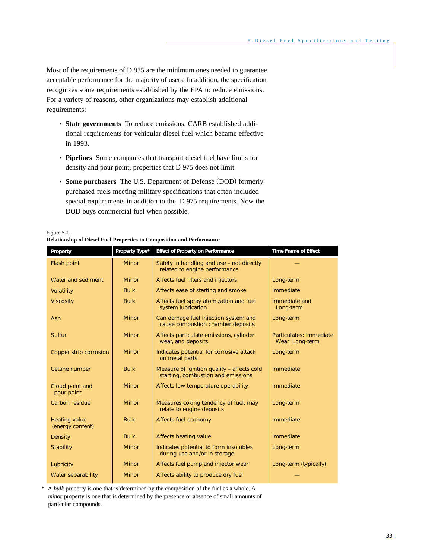Most of the requirements of D 975 are the minimum ones needed to guarantee acceptable performance for the majority of users. In addition, the specification recognizes some requirements established by the EPA to reduce emissions. For a variety of reasons, other organizations may establish additional requirements:

- **State governments** To reduce emissions, CARB established additional requirements for vehicular diesel fuel which became effective in 1993.
- **Pipelines** Some companies that transport diesel fuel have limits for density and pour point, properties that D 975 does not limit.
- **Some purchasers** The U.S. Department of Defense (DOD) formerly purchased fuels meeting military specifications that often included special requirements in addition to the D 975 requirements. Now the DOD buys commercial fuel when possible.

| Figure 5-1                                                                   |  |
|------------------------------------------------------------------------------|--|
| <b>Relationship of Diesel Fuel Properties to Composition and Performance</b> |  |

| Property                                 | Property Type* | <b>Effect of Property on Performance</b>                                         | <b>Time Frame of Effect</b>                |
|------------------------------------------|----------------|----------------------------------------------------------------------------------|--------------------------------------------|
| Flash point                              | <b>Minor</b>   | Safety in handling and use - not directly<br>related to engine performance       |                                            |
| Water and sediment                       | <b>Minor</b>   | Affects fuel filters and injectors                                               | Long-term                                  |
| Volatility                               | <b>Bulk</b>    | Affects ease of starting and smoke                                               | Immediate                                  |
| <b>Viscosity</b>                         | <b>Bulk</b>    | Affects fuel spray atomization and fuel<br>system lubrication                    | Immediate and<br>Long-term                 |
| <b>Ash</b>                               | <b>Minor</b>   | Can damage fuel injection system and<br>cause combustion chamber deposits        | Long-term                                  |
| Sulfur                                   | <b>Minor</b>   | Affects particulate emissions, cylinder<br>wear, and deposits                    | Particulates: Immediate<br>Wear: Long-term |
| Copper strip corrosion                   | <b>Minor</b>   | Indicates potential for corrosive attack<br>on metal parts                       | Long-term                                  |
| Cetane number                            | <b>Bulk</b>    | Measure of ignition quality - affects cold<br>starting, combustion and emissions | Immediate                                  |
| Cloud point and<br>pour point            | <b>Minor</b>   | Affects low temperature operability                                              | Immediate                                  |
| Carbon residue                           | <b>Minor</b>   | Measures coking tendency of fuel, may<br>relate to engine deposits               | Long-term                                  |
| <b>Heating value</b><br>(energy content) | <b>Bulk</b>    | Affects fuel economy                                                             | Immediate                                  |
| Density                                  | <b>Bulk</b>    | <b>Affects heating value</b>                                                     | Immediate                                  |
| <b>Stability</b>                         | <b>Minor</b>   | Indicates potential to form insolubles<br>during use and/or in storage           | Long-term                                  |
| Lubricity                                | <b>Minor</b>   | Affects fuel pump and injector wear                                              | Long-term (typically)                      |
| Water separability                       | <b>Minor</b>   | Affects ability to produce dry fuel                                              |                                            |

\* A *bulk* property is one that is determined by the composition of the fuel as a whole. A *minor* property is one that is determined by the presence or absence of small amounts of particular compounds.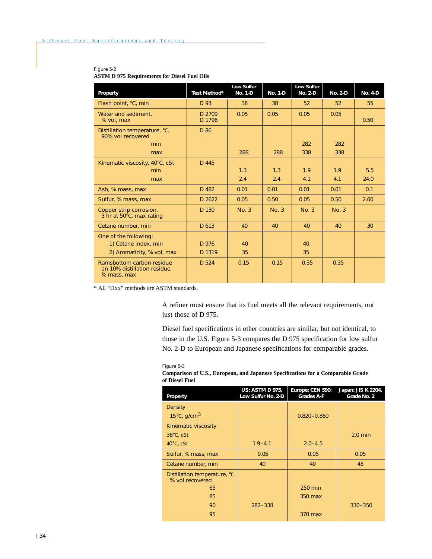# **Low Sulfur** <br> **No. 1-D No. 1-D No. 2-D Property Test Method\*** No. 1-D No. 1-D No. 2-D No. 2-D No. 4-D Flash point, °C, min | D 93 | 38 | 38 | 52 | 52 | 55 Water and sediment,  $\begin{array}{|c|c|c|c|c|c|} \hline \text{Water and sediment,} & \text{D 2709} & \text{0.05} & \text{0.05} & \text{0.05} & \text{0.05} \ \hline \text{\% vol, max} & \text{D 1796} & \text{0.05} & \text{0.05} & \text{0.05} & \text{0.05} \ \hline \end{array}$ **When the set of the set of the set of the set of the set of the set of the set of the set of the set of the set o**  $\vert$  0.50  $\vert$ Distillation temperature, °C, P D 86 90% vol recovered min | 282 | 282 | 282 max | | 288 | 288 | 338 | 338 Kinematic viscosity,  $40^{\circ}$ C, cSt D 445 min 1.3 1.3 1.9 1.9 5.5 max | | 2.4 | 2.4 | 4.1 | 24.0 Ash, % mass, max | D 482 0.01 0.01 0.01 0.01 0.01 0.1 Sulfur, % mass, max  $\begin{array}{|c|c|c|c|c|c|c|c|c|c|c|c|} \hline \text{Solution} & \text{D} & 2622 & 0.05 & 0.50 & 0.50 & 0.50 & 2.00 \ \hline \end{array}$ Copper strip corrosion,  $\vert$  D 130  $\vert$  No. 3  $\vert$  No. 3  $\vert$  No. 3  $\vert$  No. 3 3 hr at 50°C, max rating Cetane number, min D 613 40 40 40 40 30 One of the following: 1) Cetane index, min D 976 40 40 2) Aromaticity, % vol, max | D 1319 | 35 | 35 Ramsbottom carbon residue | D 524 | 0.15 | 0.15 | 0.35 | 0.35 on 10% distillation residue, % mass, max

# Figure 5-2

#### **ASTM D 975 Requirements for Diesel Fuel Oils**

\* All "Dxx" methods are ASTM standards.

A refiner must ensure that its fuel meets all the relevant requirements, not just those of D 975.

Diesel fuel specifications in other countries are similar, but not identical, to those in the U.S. Figure 5-3 compares the D 975 specification for low sulfur No. 2-D to European and Japanese specifications for comparable grades.

#### Figure 5-3

| Comparison of U.S., European, and Japanese Specifications for a Comparable Grade |  |
|----------------------------------------------------------------------------------|--|
| of Diesel Fuel                                                                   |  |

| Property                                        | <b>US: ASTM D 975,</b><br>Low Sulfur No. 2-D | Europe: CEN 590:<br><b>Grades A-F</b> | Japan: JIS K 2204,<br>Grade No. 2 |
|-------------------------------------------------|----------------------------------------------|---------------------------------------|-----------------------------------|
| <b>Density</b>                                  |                                              |                                       |                                   |
| $15^{\circ}$ C, g/cm <sup>3</sup>               |                                              | $0.820 - 0.860$                       |                                   |
| Kinematic viscosity                             |                                              |                                       |                                   |
| $38^{\circ}$ C, cSt                             |                                              |                                       | $2.0$ min                         |
| $40^{\circ}$ C, cSt                             | $1.9 - 4.1$                                  | $2.0 - 4.5$                           |                                   |
| Sulfur, % mass, max                             | 0.05                                         | 0.05                                  | 0.05                              |
| Cetane number, min                              | 40                                           | 49                                    | 45                                |
| Distillation temperature, °C<br>% vol recovered |                                              |                                       |                                   |
| 65                                              |                                              | 250 min                               |                                   |
| 85                                              |                                              | 350 max                               |                                   |
| 90                                              | $282 - 338$                                  |                                       | $330 - 350$                       |
| 95                                              |                                              | 370 max                               |                                   |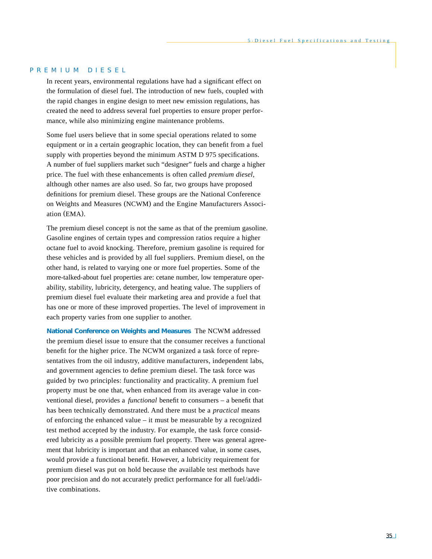# PREMIUM DIESEL

In recent years, environmental regulations have had a significant effect on the formulation of diesel fuel. The introduction of new fuels, coupled with the rapid changes in engine design to meet new emission regulations, has created the need to address several fuel properties to ensure proper performance, while also minimizing engine maintenance problems.

Some fuel users believe that in some special operations related to some equipment or in a certain geographic location, they can benefit from a fuel supply with properties beyond the minimum ASTM D 975 specifications. A number of fuel suppliers market such "designer" fuels and charge a higher price. The fuel with these enhancements is often called *premium diesel,* although other names are also used. So far, two groups have proposed definitions for premium diesel. These groups are the National Conference on Weights and Measures (NCWM) and the Engine Manufacturers Association (EMA).

The premium diesel concept is not the same as that of the premium gasoline. Gasoline engines of certain types and compression ratios require a higher octane fuel to avoid knocking. Therefore, premium gasoline is required for these vehicles and is provided by all fuel suppliers. Premium diesel, on the other hand, is related to varying one or more fuel properties. Some of the more-talked-about fuel properties are: cetane number, low temperature operability, stability, lubricity, detergency, and heating value. The suppliers of premium diesel fuel evaluate their marketing area and provide a fuel that has one or more of these improved properties. The level of improvement in each property varies from one supplier to another.

**National Conference on Weights and Measures** The NCWM addressed the premium diesel issue to ensure that the consumer receives a functional benefit for the higher price. The NCWM organized a task force of representatives from the oil industry, additive manufacturers, independent labs, and government agencies to define premium diesel. The task force was guided by two principles: functionality and practicality. A premium fuel property must be one that, when enhanced from its average value in conventional diesel, provides a *functional* benefit to consumers – a benefit that has been technically demonstrated. And there must be a *practical* means of enforcing the enhanced value – it must be measurable by a recognized test method accepted by the industry. For example, the task force considered lubricity as a possible premium fuel property. There was general agreement that lubricity is important and that an enhanced value, in some cases, would provide a functional benefit. However, a lubricity requirement for premium diesel was put on hold because the available test methods have poor precision and do not accurately predict performance for all fuel/additive combinations.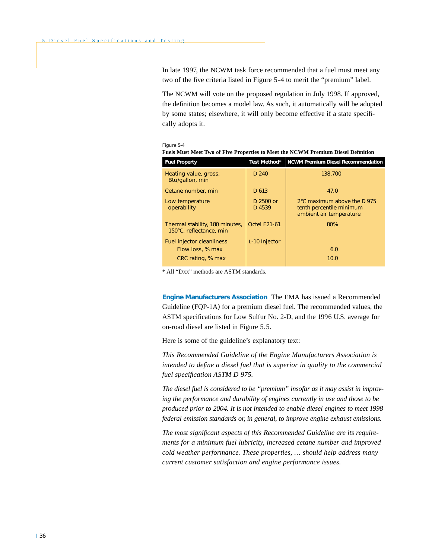In late 1997, the NCWM task force recommended that a fuel must meet any two of the five criteria listed in Figure 5-4 to merit the "premium" label.

The NCWM will vote on the proposed regulation in July 1998. If approved, the definition becomes a model law. As such, it automatically will be adopted by some states; elsewhere, it will only become effective if a state specifically adopts it.

#### Figure 5-4

| <b>Fuel Property</b>                                                      | Test Method*        | <b>NCWM Premium Diesel Recommendation</b>                                          |
|---------------------------------------------------------------------------|---------------------|------------------------------------------------------------------------------------|
| Heating value, gross,<br>Btu/gallon, min                                  | D <sub>240</sub>    | 138,700                                                                            |
| Cetane number, min                                                        | D 613               | 47.0                                                                               |
| Low temperature<br>operability                                            | D 2500 or<br>D 4539 | 2°C maximum above the D 975<br>tenth percentile minimum<br>ambient air temperature |
| Thermal stability, 180 minutes,<br>150°C, reflectance, min                | <b>Octel F21-61</b> | 80%                                                                                |
| <b>Fuel injector cleanliness</b><br>Flow loss, % max<br>CRC rating, % max | L-10 Injector       | 6.0<br>10.0                                                                        |
|                                                                           |                     |                                                                                    |

| .                                                                                 |  |  |
|-----------------------------------------------------------------------------------|--|--|
| Fuels Must Meet Two of Five Properties to Meet the NCWM Premium Diesel Definition |  |  |
|                                                                                   |  |  |

\* All "Dxx" methods are ASTM standards.

**Engine Manufacturers Association** The EMA has issued a Recommended Guideline (FQP-1A) for a premium diesel fuel. The recommended values, the ASTM specifications for Low Sulfur No. 2-D, and the 1996 U.S. average for on-road diesel are listed in Figure 5.5.

Here is some of the guideline's explanatory text:

*This Recommended Guideline of the Engine Manufacturers Association is intended to define a diesel fuel that is superior in quality to the commercial fuel specification ASTM D 975.*

*The diesel fuel is considered to be "premium" insofar as it may assist in improving the performance and durability of engines currently in use and those to be produced prior to 2004. It is not intended to enable diesel engines to meet 1998 federal emission standards or, in general, to improve engine exhaust emissions.*

*The most significant aspects of this Recommended Guideline are its requirements for a minimum fuel lubricity, increased cetane number and improved cold weather performance. These properties, ... should help address many current customer satisfaction and engine performance issues.*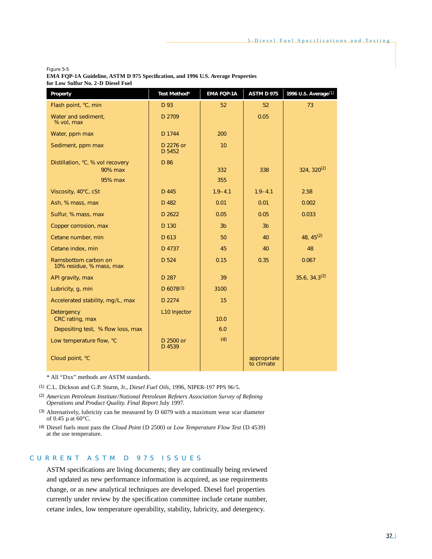#### Figure 5-5

| <b>EMA FOP-1A Guideline, ASTM D 975 Specification, and 1996 U.S. Average Properties</b> |  |
|-----------------------------------------------------------------------------------------|--|
| for Low Sulfur No. 2-D Diesel Fuel                                                      |  |

| Property                                         | Test Method*        | EMA FQP-1A     | <b>ASTM D 975</b>         | 1996 U.S. Average <sup>(1)</sup> |
|--------------------------------------------------|---------------------|----------------|---------------------------|----------------------------------|
| Flash point, °C, min                             | D 93                | 52             | 52                        | 73                               |
| Water and sediment,<br>% vol, max                | D 2709              |                | 0.05                      |                                  |
| Water, ppm max                                   | D 1744              | 200            |                           |                                  |
| Sediment, ppm max                                | D 2276 or<br>D 5452 | 10             |                           |                                  |
| Distillation, °C, % vol recovery<br>90% max      | D 86                | 332            | 338                       | $324, 320^{(2)}$                 |
| 95% max                                          |                     | 355            |                           |                                  |
| Viscosity, 40°C, cSt                             | D 445               | $1.9 - 4.1$    | $1.9 - 4.1$               | 2.58                             |
| Ash, % mass, max                                 | D 482               | 0.01           | 0.01                      | 0.002                            |
| Sulfur, % mass, max                              | D 2622              | 0.05           | 0.05                      | 0.033                            |
| Copper corrosion, max                            | D 130               | 3 <sub>b</sub> | 3 <sub>b</sub>            |                                  |
| Cetane number, min                               | D 613               | 50             | 40                        | 48, $45^{(2)}$                   |
| Cetane index, min                                | D 4737              | 45             | 40                        | 48                               |
| Ramsbottom carbon on<br>10% residue, % mass, max | D 524               | 0.15           | 0.35                      | 0.067                            |
| API gravity, max                                 | D 287               | 39             |                           | $35.6, 34.3^{(2)}$               |
| Lubricity, q, min                                | D $6078^{(3)}$      | 3100           |                           |                                  |
| Accelerated stability, mg/L, max                 | D 2274              | 15             |                           |                                  |
| <b>Detergency</b><br>CRC rating, max             | L10 Injector        | 10.0           |                           |                                  |
| Depositing test, % flow loss, max                |                     | 6.0            |                           |                                  |
| Low temperature flow, °C                         | D 2500 or<br>D 4539 | (4)            |                           |                                  |
| Cloud point, °C                                  |                     |                | appropriate<br>to climate |                                  |

\* All "Dxx" methods are ASTM standards.

(1) C.L. Dickson and G.P. Sturm, Jr., *Diesel Fuel Oils,* 1996, NIPER-197 PPS 96/5.

- (2) *American Petroleum Institute/National Petroleum Refiners Association Survey of Refining Operations and Product Quality. Final Report* July 1997.
- (3) Alternatively, lubricity can be measured by D 6079 with a maximum wear scar diameter of 0.45 µ at 60°C.
- (4) Diesel fuels must pass the *Cloud Point* (D 2500) or *Low Temperature Flow Test* (D 4539) at the use temperature.

# CURRENT ASTM D 975 ISSUES

ASTM specifications are living documents; they are continually being reviewed and updated as new performance information is acquired, as use requirements change, or as new analytical techniques are developed. Diesel fuel properties currently under review by the specification committee include cetane number, cetane index, low temperature operability, stability, lubricity, and detergency.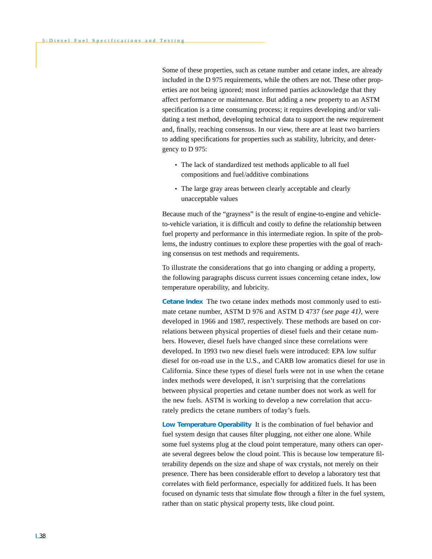Some of these properties, such as cetane number and cetane index, are already included in the D 975 requirements, while the others are not. These other properties are not being ignored; most informed parties acknowledge that they affect performance or maintenance. But adding a new property to an ASTM specification is a time consuming process; it requires developing and/or validating a test method, developing technical data to support the new requirement and, finally, reaching consensus. In our view, there are at least two barriers to adding specifications for properties such as stability, lubricity, and detergency to D 975:

- The lack of standardized test methods applicable to all fuel compositions and fuel/additive combinations
- The large gray areas between clearly acceptable and clearly unacceptable values

Because much of the "grayness" is the result of engine-to-engine and vehicleto-vehicle variation, it is difficult and costly to define the relationship between fuel property and performance in this intermediate region. In spite of the problems, the industry continues to explore these properties with the goal of reaching consensus on test methods and requirements.

To illustrate the considerations that go into changing or adding a property, the following paragraphs discuss current issues concerning cetane index, low temperature operability, and lubricity.

**Cetane Index** The two cetane index methods most commonly used to estimate cetane number, ASTM D 976 and ASTM D 4737 *(see page 41),* were developed in 1966 and 1987, respectively. These methods are based on correlations between physical properties of diesel fuels and their cetane numbers. However, diesel fuels have changed since these correlations were developed. In 1993 two new diesel fuels were introduced: EPA low sulfur diesel for on-road use in the U.S., and CARB low aromatics diesel for use in California. Since these types of diesel fuels were not in use when the cetane index methods were developed, it isn't surprising that the correlations between physical properties and cetane number does not work as well for the new fuels. ASTM is working to develop a new correlation that accurately predicts the cetane numbers of today's fuels.

**Low Temperature Operability** It is the combination of fuel behavior and fuel system design that causes filter plugging, not either one alone. While some fuel systems plug at the cloud point temperature, many others can operate several degrees below the cloud point. This is because low temperature filterability depends on the size and shape of wax crystals, not merely on their presence. There has been considerable effort to develop a laboratory test that correlates with field performance, especially for additized fuels. It has been focused on dynamic tests that simulate flow through a filter in the fuel system, rather than on static physical property tests, like cloud point.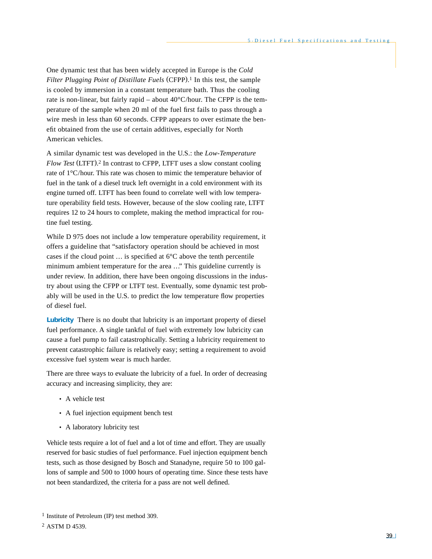One dynamic test that has been widely accepted in Europe is the *Cold Filter Plugging Point of Distillate Fuels* (CFPP).<sup>1</sup> In this test, the sample is cooled by immersion in a constant temperature bath. Thus the cooling rate is non-linear, but fairly rapid – about  $40^{\circ}$ C/hour. The CFPP is the temperature of the sample when 20 ml of the fuel first fails to pass through a wire mesh in less than 60 seconds. CFPP appears to over estimate the benefit obtained from the use of certain additives, especially for North American vehicles.

A similar dynamic test was developed in the U.S.: the *Low-Temperature Flow Test* (LTFT). <sup>2</sup> In contrast to CFPP, LTFT uses a slow constant cooling rate of 1°C/hour. This rate was chosen to mimic the temperature behavior of fuel in the tank of a diesel truck left overnight in a cold environment with its engine turned off. LTFT has been found to correlate well with low temperature operability field tests. However, because of the slow cooling rate, LTFT requires 12 to 24 hours to complete, making the method impractical for routine fuel testing.

While D 975 does not include a low temperature operability requirement, it offers a guideline that "satisfactory operation should be achieved in most cases if the cloud point  $\dots$  is specified at  $6^{\circ}$ C above the tenth percentile minimum ambient temperature for the area ..." This guideline currently is under review. In addition, there have been ongoing discussions in the industry about using the CFPP or LTFT test. Eventually, some dynamic test probably will be used in the U.S. to predict the low temperature flow properties of diesel fuel.

**Lubricity** There is no doubt that lubricity is an important property of diesel fuel performance. A single tankful of fuel with extremely low lubricity can cause a fuel pump to fail catastrophically. Setting a lubricity requirement to prevent catastrophic failure is relatively easy; setting a requirement to avoid excessive fuel system wear is much harder.

There are three ways to evaluate the lubricity of a fuel. In order of decreasing accuracy and increasing simplicity, they are:

- A vehicle test
- A fuel injection equipment bench test
- A laboratory lubricity test

Vehicle tests require a lot of fuel and a lot of time and effort. They are usually reserved for basic studies of fuel performance. Fuel injection equipment bench tests, such as those designed by Bosch and Stanadyne, require 50 to 100 gallons of sample and 500 to 1000 hours of operating time. Since these tests have not been standardized, the criteria for a pass are not well defined.

<sup>1</sup> Institute of Petroleum (IP) test method 309.

<sup>2</sup> ASTM D 4539.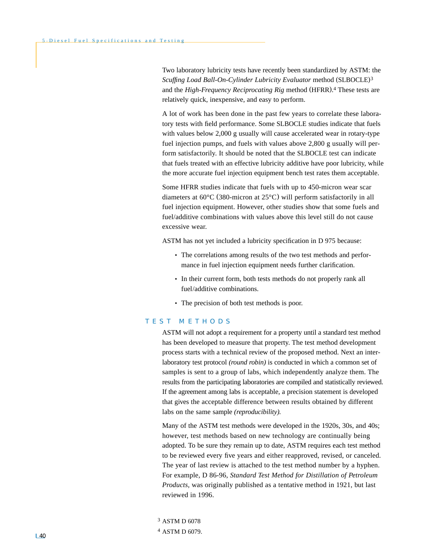Two laboratory lubricity tests have recently been standardized by ASTM: the *Scuffing Load Ball-On-Cylinder Lubricity Evaluator* method (SLBOCLE)3 and the *High-Frequency Reciprocating Rig* method (HFRR). <sup>4</sup> These tests are relatively quick, inexpensive, and easy to perform.

A lot of work has been done in the past few years to correlate these laboratory tests with field performance. Some SLBOCLE studies indicate that fuels with values below 2,000 g usually will cause accelerated wear in rotary-type fuel injection pumps, and fuels with values above 2,800 g usually will perform satisfactorily. It should be noted that the SLBOCLE test can indicate that fuels treated with an effective lubricity additive have poor lubricity, while the more accurate fuel injection equipment bench test rates them acceptable.

Some HFRR studies indicate that fuels with up to 450-micron wear scar diameters at 60°C (380-micron at 25°C) will perform satisfactorily in all fuel injection equipment. However, other studies show that some fuels and fuel/additive combinations with values above this level still do not cause excessive wear.

ASTM has not yet included a lubricity specification in D 975 because:

- The correlations among results of the two test methods and performance in fuel injection equipment needs further clarification.
- In their current form, both tests methods do not properly rank all fuel/additive combinations.
- The precision of both test methods is poor.

# TEST METHODS

ASTM will not adopt a requirement for a property until a standard test method has been developed to measure that property. The test method development process starts with a technical review of the proposed method. Next an interlaboratory test protocol *(round robin)* is conducted in which a common set of samples is sent to a group of labs, which independently analyze them. The results from the participating laboratories are compiled and statistically reviewed. If the agreement among labs is acceptable, a precision statement is developed that gives the acceptable difference between results obtained by different labs on the same sample *(reproducibility).*

Many of the ASTM test methods were developed in the 1920s, 30s, and 40s; however, test methods based on new technology are continually being adopted. To be sure they remain up to date, ASTM requires each test method to be reviewed every five years and either reapproved, revised, or canceled. The year of last review is attached to the test method number by a hyphen. For example, D 86-96, *Standard Test Method for Distillation of Petroleum Products,* was originally published as a tentative method in 1921, but last reviewed in 1996.

<sup>3</sup> ASTM D 6078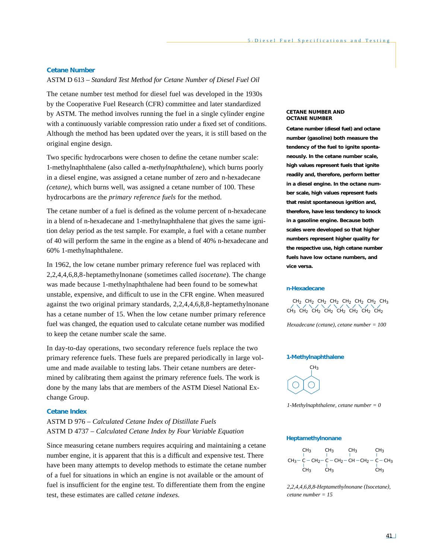#### **Cetane Number**

ASTM D 613 – *Standard Test Method for Cetane Number of Diesel Fuel Oil*

The cetane number test method for diesel fuel was developed in the 1930s by the Cooperative Fuel Research (CFR) committee and later standardized by ASTM. The method involves running the fuel in a single cylinder engine with a continuously variable compression ratio under a fixed set of conditions. Although the method has been updated over the years, it is still based on the original engine design.

Two specific hydrocarbons were chosen to define the cetane number scale: 1-methylnaphthalene (also called a*-methylnaphthalene*), which burns poorly in a diesel engine, was assigned a cetane number of zero and n-hexadecane *(cetane),* which burns well, was assigned a cetane number of 100. These hydrocarbons are the *primary reference fuels* for the method.

The cetane number of a fuel is defined as the volume percent of n-hexadecane in a blend of n-hexadecane and 1-methylnaphthalene that gives the same ignition delay period as the test sample. For example, a fuel with a cetane number of 40 will perform the same in the engine as a blend of 40% n-hexadecane and 60% 1-methylnaphthalene.

In 1962, the low cetane number primary reference fuel was replaced with 2,2,4,4,6,8,8-heptamethylnonane (sometimes called *isocetane*). The change was made because 1-methylnaphthalene had been found to be somewhat unstable, expensive, and difficult to use in the CFR engine. When measured against the two original primary standards, 2,2,4,4,6,8,8-heptamethylnonane has a cetane number of 15. When the low cetane number primary reference fuel was changed, the equation used to calculate cetane number was modified to keep the cetane number scale the same.

In day-to-day operations, two secondary reference fuels replace the two primary reference fuels. These fuels are prepared periodically in large volume and made available to testing labs. Their cetane numbers are determined by calibrating them against the primary reference fuels. The work is done by the many labs that are members of the ASTM Diesel National Exchange Group.

#### **Cetane Index**

ASTM D 976 – *Calculated Cetane Index of Distillate Fuels* ASTM D 4737 – *Calculated Cetane Index by Four Variable Equation*

Since measuring cetane numbers requires acquiring and maintaining a cetane number engine, it is apparent that this is a difficult and expensive test. There have been many attempts to develop methods to estimate the cetane number of a fuel for situations in which an engine is not available or the amount of fuel is insufficient for the engine test. To differentiate them from the engine test, these estimates are called *cetane indexes.*

#### **CETANE NUMBER AND OCTANE NUMBER**

**Cetane number (diesel fuel) and octane number (gasoline) both measure the tendency of the fuel to ignite spontaneously. In the cetane number scale, high values represent fuels that ignite readily and, therefore, perform better in a diesel engine. In the octane number scale, high values represent fuels that resist spontaneous ignition and, therefore, have less tendency to knock in a gasoline engine. Because both scales were developed so that higher numbers represent higher quality for the respective use, high cetane number fuels have low octane numbers, and vice versa.**

#### **n-Hexadecane**



*Hexadecane (cetane), cetane number = 100*

#### **1-Methylnaphthalene**



*1-Methylnaphthalene, cetane number = 0*

# **Heptamethylnonane**

$$
\begin{array}{ccccccccc} & C H_3 & & C H_3 & & C H_3 & & C H_3 \\ & | & | & & | & & | \\ C H_3 - C - C H_2 - C - C H_2 - C H - C H_2 - C - C H_3 & & & \\ & | & | & & | & & \\ C H_3 & & C H_3 & & & C H_3 \\ \end{array}
$$

*2,2,4,4,6,8,8-Heptamethylnonane (Isocetane), cetane number = 15*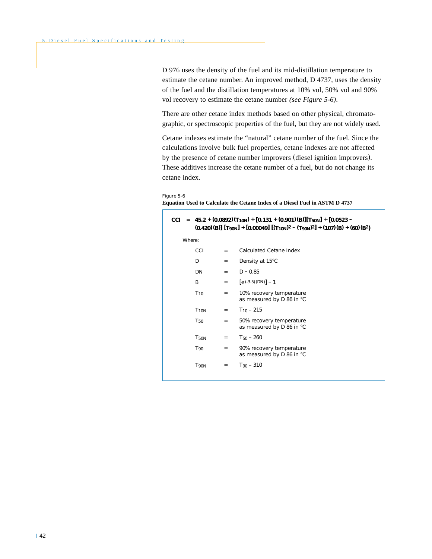D 976 uses the density of the fuel and its mid-distillation temperature to estimate the cetane number. An improved method, D 4737, uses the density of the fuel and the distillation temperatures at 10% vol, 50% vol and 90% vol recovery to estimate the cetane number *(see Figure 5-6)*.

There are other cetane index methods based on other physical, chromatographic, or spectroscopic properties of the fuel, but they are not widely used.

Cetane indexes estimate the "natural" cetane number of the fuel. Since the calculations involve bulk fuel properties, cetane indexes are not affected by the presence of cetane number improvers (diesel ignition improvers). These additives increase the cetane number of a fuel, but do not change its cetane index.

#### Figure 5-6

**Equation Used to Calculate the Cetane Index of a Diesel Fuel in ASTM D 4737**

| CCI    |                        |                   | = 45.2 + (0.0892) $(T_{10N})$ + [0.131 + (0.901) (B)][T <sub>50N</sub> ] + [0.0523 -<br>$(0.420)(B)$ $[T_{90N}] + [0.00049]$ $[(T_{10N})^2 - (T_{90N})^2] + (107)(B) + (60)(B^2)$ |
|--------|------------------------|-------------------|-----------------------------------------------------------------------------------------------------------------------------------------------------------------------------------|
| Where: |                        |                   |                                                                                                                                                                                   |
|        | CCI                    | $=$               | Calculated Cetane Index                                                                                                                                                           |
|        | D                      | $=$               | Density at 15°C                                                                                                                                                                   |
|        | DN                     | $=$               | $D - 0.85$                                                                                                                                                                        |
|        | <sub>R</sub>           | $=$               | $[e(-3.5)(DN)] - 1$                                                                                                                                                               |
|        | $T_{10}$               | $=$               | 10% recovery temperature<br>as measured by D 86 in °C                                                                                                                             |
|        | <b>T<sub>10N</sub></b> | $=$               | $T_{10}$ – 215                                                                                                                                                                    |
|        | T <sub>50</sub>        | $=$               | 50% recovery temperature<br>as measured by D 86 in °C                                                                                                                             |
|        | <b>T50N</b>            | $=$               | $T_{50} - 260$                                                                                                                                                                    |
|        | $T_{90}$               | $=$               | 90% recovery temperature<br>as measured by D 86 in °C                                                                                                                             |
|        | T <sub>90N</sub>       | $\qquad \qquad =$ | $T_{90} - 310$                                                                                                                                                                    |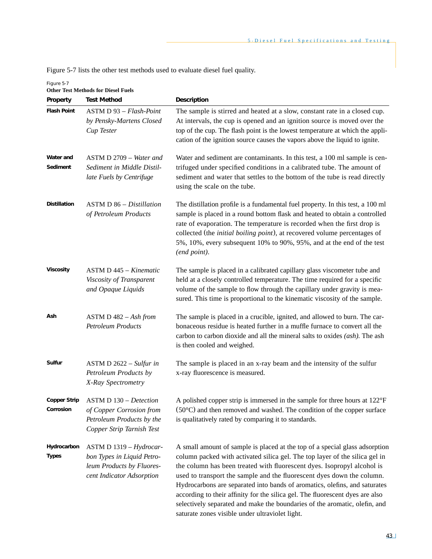Figure 5-7 lists the other test methods used to evaluate diesel fuel quality.

| Property                         | <b>Test Method</b>                                                                                                  | Description                                                                                                                                                                                                                                                                                                                                                                                                                                                                                                                                                                                                     |
|----------------------------------|---------------------------------------------------------------------------------------------------------------------|-----------------------------------------------------------------------------------------------------------------------------------------------------------------------------------------------------------------------------------------------------------------------------------------------------------------------------------------------------------------------------------------------------------------------------------------------------------------------------------------------------------------------------------------------------------------------------------------------------------------|
| <b>Flash Point</b>               | ASTM D 93 - Flash-Point<br>by Pensky-Martens Closed<br><b>Cup Tester</b>                                            | The sample is stirred and heated at a slow, constant rate in a closed cup.<br>At intervals, the cup is opened and an ignition source is moved over the<br>top of the cup. The flash point is the lowest temperature at which the appli-<br>cation of the ignition source causes the vapors above the liquid to ignite.                                                                                                                                                                                                                                                                                          |
| Water and<br>Sediment            | ASTM D 2709 - Water and<br>Sediment in Middle Distil-<br>late Fuels by Centrifuge                                   | Water and sediment are contaminants. In this test, a 100 ml sample is cen-<br>trifuged under specified conditions in a calibrated tube. The amount of<br>sediment and water that settles to the bottom of the tube is read directly<br>using the scale on the tube.                                                                                                                                                                                                                                                                                                                                             |
| <b>Distillation</b>              | $ASTM D 86 - Distillation$<br>of Petroleum Products                                                                 | The distillation profile is a fundamental fuel property. In this test, a 100 ml<br>sample is placed in a round bottom flask and heated to obtain a controlled<br>rate of evaporation. The temperature is recorded when the first drop is<br>collected (the initial boiling point), at recovered volume percentages of<br>5%, 10%, every subsequent 10% to 90%, 95%, and at the end of the test<br>(end point).                                                                                                                                                                                                  |
| <b>Viscosity</b>                 | $ASTM D 445 - Kinematic$<br>Viscosity of Transparent<br>and Opaque Liquids                                          | The sample is placed in a calibrated capillary glass viscometer tube and<br>held at a closely controlled temperature. The time required for a specific<br>volume of the sample to flow through the capillary under gravity is mea-<br>sured. This time is proportional to the kinematic viscosity of the sample.                                                                                                                                                                                                                                                                                                |
| Ash                              | ASTM D $482 - Ash from$<br>Petroleum Products                                                                       | The sample is placed in a crucible, ignited, and allowed to burn. The car-<br>bonaceous residue is heated further in a muffle furnace to convert all the<br>carbon to carbon dioxide and all the mineral salts to oxides $(a sh)$ . The ash<br>is then cooled and weighed.                                                                                                                                                                                                                                                                                                                                      |
| Sulfur                           | ASTM D $2622 - Sulfur$ in<br>Petroleum Products by<br>X-Ray Spectrometry                                            | The sample is placed in an x-ray beam and the intensity of the sulfur<br>x-ray fluorescence is measured.                                                                                                                                                                                                                                                                                                                                                                                                                                                                                                        |
| <b>Copper Strip</b><br>Corrosion | <b>ASTM D 130 – Detection</b><br>of Copper Corrosion from<br>Petroleum Products by the<br>Copper Strip Tarnish Test | A polished copper strip is immersed in the sample for three hours at 122°F<br>$(50^{\circ}$ C) and then removed and washed. The condition of the copper surface<br>is qualitatively rated by comparing it to standards.                                                                                                                                                                                                                                                                                                                                                                                         |
| Hydrocarbon<br><b>Types</b>      | ASTM D 1319 - Hydrocar-<br>bon Types in Liquid Petro-<br>leum Products by Fluores-<br>cent Indicator Adsorption     | A small amount of sample is placed at the top of a special glass adsorption<br>column packed with activated silica gel. The top layer of the silica gel in<br>the column has been treated with fluorescent dyes. Isopropyl alcohol is<br>used to transport the sample and the fluorescent dyes down the column.<br>Hydrocarbons are separated into bands of aromatics, olefins, and saturates<br>according to their affinity for the silica gel. The fluorescent dyes are also<br>selectively separated and make the boundaries of the aromatic, olefin, and<br>saturate zones visible under ultraviolet light. |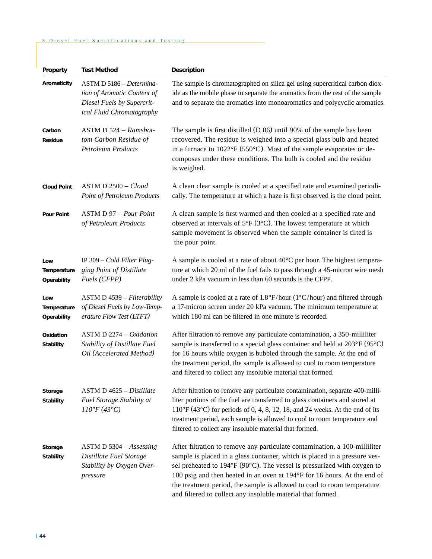# 5 . Diesel Fuel Specifications and Testing

| Property                           | <b>Test Method</b>                                                                                                 | Description                                                                                                                                                                                                                                                                                                                                                                                                                                              |
|------------------------------------|--------------------------------------------------------------------------------------------------------------------|----------------------------------------------------------------------------------------------------------------------------------------------------------------------------------------------------------------------------------------------------------------------------------------------------------------------------------------------------------------------------------------------------------------------------------------------------------|
| Aromaticity                        | ASTM D 5186 - Determina-<br>tion of Aromatic Content of<br>Diesel Fuels by Supercrit-<br>ical Fluid Chromatography | The sample is chromatographed on silica gel using supercritical carbon diox-<br>ide as the mobile phase to separate the aromatics from the rest of the sample<br>and to separate the aromatics into monoaromatics and polycyclic aromatics.                                                                                                                                                                                                              |
| Carbon<br>Residue                  | ASTM D 524 - Ramsbot-<br>tom Carbon Residue of<br><b>Petroleum Products</b>                                        | The sample is first distilled (D 86) until 90% of the sample has been<br>recovered. The residue is weighed into a special glass bulb and heated<br>in a furnace to $1022^{\circ}F(550^{\circ}C)$ . Most of the sample evaporates or de-<br>composes under these conditions. The bulb is cooled and the residue<br>is weighed.                                                                                                                            |
| <b>Cloud Point</b>                 | $ASTM D 2500 - Cloud$<br>Point of Petroleum Products                                                               | A clean clear sample is cooled at a specified rate and examined periodi-<br>cally. The temperature at which a haze is first observed is the cloud point.                                                                                                                                                                                                                                                                                                 |
| <b>Pour Point</b>                  | <b>ASTM D 97 - Pour Point</b><br>of Petroleum Products                                                             | A clean sample is first warmed and then cooled at a specified rate and<br>observed at intervals of $5^{\circ}F$ (3 $^{\circ}C$ ). The lowest temperature at which<br>sample movement is observed when the sample container is tilted is<br>the pour point.                                                                                                                                                                                               |
| Low<br>Temperature<br>Operability  | IP 309 $-$ Cold Filter Plug-<br>ging Point of Distillate<br>Fuels (CFPP)                                           | A sample is cooled at a rate of about $40^{\circ}$ C per hour. The highest tempera-<br>ture at which 20 ml of the fuel fails to pass through a 45-micron wire mesh<br>under 2 kPa vacuum in less than 60 seconds is the CFPP.                                                                                                                                                                                                                            |
| Low<br>Temperature<br>Operability  | ASTM D 4539 - Filterability<br>of Diesel Fuels by Low-Temp-<br>erature Flow Test (LTFT)                            | A sample is cooled at a rate of $1.8^{\circ}F/hour$ (1°C/hour) and filtered through<br>a 17-micron screen under 20 kPa vacuum. The minimum temperature at<br>which 180 ml can be filtered in one minute is recorded.                                                                                                                                                                                                                                     |
| Oxidation<br><b>Stability</b>      | ASTM D $2274 - Oxidation$<br>Stability of Distillate Fuel<br>Oil (Accelerated Method)                              | After filtration to remove any particulate contamination, a 350-milliliter<br>sample is transferred to a special glass container and held at 203°F (95°C)<br>for 16 hours while oxygen is bubbled through the sample. At the end of<br>the treatment period, the sample is allowed to cool to room temperature<br>and filtered to collect any insoluble material that formed.                                                                            |
| <b>Storage</b><br><b>Stability</b> | ASTM D 4625 – Distillate<br>Fuel Storage Stability at<br>$110^{\circ}F(43^{\circ}C)$                               | After filtration to remove any particulate contamination, separate 400-milli-<br>liter portions of the fuel are transferred to glass containers and stored at<br>$110^{\circ}F(43^{\circ}C)$ for periods of 0, 4, 8, 12, 18, and 24 weeks. At the end of its<br>treatment period, each sample is allowed to cool to room temperature and<br>filtered to collect any insoluble material that formed.                                                      |
| Storage<br><b>Stability</b>        | $ASTM D 5304 - Assessing$<br>Distillate Fuel Storage<br>Stability by Oxygen Over-<br>pressure                      | After filtration to remove any particulate contamination, a 100-milliliter<br>sample is placed in a glass container, which is placed in a pressure ves-<br>sel preheated to 194°F (90°C). The vessel is pressurized with oxygen to<br>100 psig and then heated in an oven at 194°F for 16 hours. At the end of<br>the treatment period, the sample is allowed to cool to room temperature<br>and filtered to collect any insoluble material that formed. |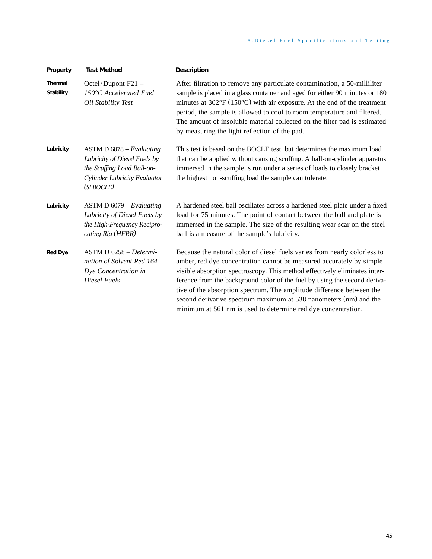| Property                    | <b>Test Method</b>                                                                                                                    | Description                                                                                                                                                                                                                                                                                                                                                                                                                                                                                                                 |
|-----------------------------|---------------------------------------------------------------------------------------------------------------------------------------|-----------------------------------------------------------------------------------------------------------------------------------------------------------------------------------------------------------------------------------------------------------------------------------------------------------------------------------------------------------------------------------------------------------------------------------------------------------------------------------------------------------------------------|
| Thermal<br><b>Stability</b> | Octel/Dupont F21 -<br>150°C Accelerated Fuel<br>Oil Stability Test                                                                    | After filtration to remove any particulate contamination, a 50-milliliter<br>sample is placed in a glass container and aged for either 90 minutes or 180<br>minutes at $302^{\circ}F(150^{\circ}C)$ with air exposure. At the end of the treatment<br>period, the sample is allowed to cool to room temperature and filtered.<br>The amount of insoluble material collected on the filter pad is estimated<br>by measuring the light reflection of the pad.                                                                 |
| Lubricity                   | $ASTM D 6078 - Evaluating$<br>Lubricity of Diesel Fuels by<br>the Scuffing Load Ball-on-<br>Cylinder Lubricity Evaluator<br>(SLBOCLE) | This test is based on the BOCLE test, but determines the maximum load<br>that can be applied without causing scuffing. A ball-on-cylinder apparatus<br>immersed in the sample is run under a series of loads to closely bracket<br>the highest non-scuffing load the sample can tolerate.                                                                                                                                                                                                                                   |
| Lubricity                   | $ASTM D 6079 - Evaluating$<br>Lubricity of Diesel Fuels by<br>the High-Frequency Recipro-<br>cating Rig (HFRR)                        | A hardened steel ball oscillates across a hardened steel plate under a fixed<br>load for 75 minutes. The point of contact between the ball and plate is<br>immersed in the sample. The size of the resulting wear scar on the steel<br>ball is a measure of the sample's lubricity.                                                                                                                                                                                                                                         |
| <b>Red Dye</b>              | $ASTM D 6258 - Determine$<br>nation of Solvent Red 164<br>Dye Concentration in<br>Diesel Fuels                                        | Because the natural color of diesel fuels varies from nearly colorless to<br>amber, red dye concentration cannot be measured accurately by simple<br>visible absorption spectroscopy. This method effectively eliminates inter-<br>ference from the background color of the fuel by using the second deriva-<br>tive of the absorption spectrum. The amplitude difference between the<br>second derivative spectrum maximum at 538 nanometers (nm) and the<br>minimum at 561 nm is used to determine red dye concentration. |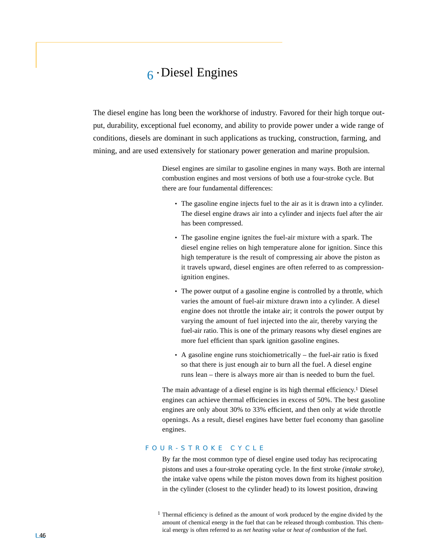# $6$  • Diesel Engines

The diesel engine has long been the workhorse of industry. Favored for their high torque output, durability, exceptional fuel economy, and ability to provide power under a wide range of conditions, diesels are dominant in such applications as trucking, construction, farming, and mining, and are used extensively for stationary power generation and marine propulsion.

> Diesel engines are similar to gasoline engines in many ways. Both are internal combustion engines and most versions of both use a four-stroke cycle. But there are four fundamental differences:

- The gasoline engine injects fuel to the air as it is drawn into a cylinder. The diesel engine draws air into a cylinder and injects fuel after the air has been compressed.
- The gasoline engine ignites the fuel-air mixture with a spark. The diesel engine relies on high temperature alone for ignition. Since this high temperature is the result of compressing air above the piston as it travels upward, diesel engines are often referred to as compressionignition engines.
- The power output of a gasoline engine is controlled by a throttle, which varies the amount of fuel-air mixture drawn into a cylinder. A diesel engine does not throttle the intake air; it controls the power output by varying the amount of fuel injected into the air, thereby varying the fuel-air ratio. This is one of the primary reasons why diesel engines are more fuel efficient than spark ignition gasoline engines.
- A gasoline engine runs stoichiometrically the fuel-air ratio is fixed so that there is just enough air to burn all the fuel. A diesel engine runs lean – there is always more air than is needed to burn the fuel.

The main advantage of a diesel engine is its high thermal efficiency.<sup>1</sup> Diesel engines can achieve thermal efficiencies in excess of 50%. The best gasoline engines are only about 30% to 33% efficient, and then only at wide throttle openings. As a result, diesel engines have better fuel economy than gasoline engines.

# FOUR-STROKE CYCLE

By far the most common type of diesel engine used today has reciprocating pistons and uses a four-stroke operating cycle. In the first stroke *(intake stroke),* the intake valve opens while the piston moves down from its highest position in the cylinder (closest to the cylinder head) to its lowest position, drawing

<sup>&</sup>lt;sup>1</sup> Thermal efficiency is defined as the amount of work produced by the engine divided by the amount of chemical energy in the fuel that can be released through combustion. This chemical energy is often referred to as *net heating value* or *heat of combustion* of the fuel.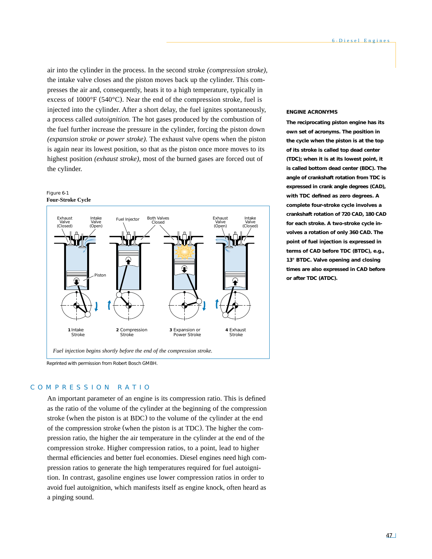air into the cylinder in the process. In the second stroke *(compression stroke),* the intake valve closes and the piston moves back up the cylinder. This compresses the air and, consequently, heats it to a high temperature, typically in excess of 1000°F (540°C). Near the end of the compression stroke, fuel is injected into the cylinder. After a short delay, the fuel ignites spontaneously, a process called *autoignition.* The hot gases produced by the combustion of the fuel further increase the pressure in the cylinder, forcing the piston down *(expansion stroke or power stroke).* The exhaust valve opens when the piston is again near its lowest position, so that as the piston once more moves to its highest position *(exhaust stroke),* most of the burned gases are forced out of the cylinder.





Reprinted with permission from Robert Bosch GMBH.

## COMPRESSION RATIO

An important parameter of an engine is its compression ratio. This is defined as the ratio of the volume of the cylinder at the beginning of the compression stroke (when the piston is at BDC) to the volume of the cylinder at the end of the compression stroke (when the piston is at TDC). The higher the compression ratio, the higher the air temperature in the cylinder at the end of the compression stroke. Higher compression ratios, to a point, lead to higher thermal efficiencies and better fuel economies. Diesel engines need high compression ratios to generate the high temperatures required for fuel autoignition. In contrast, gasoline engines use lower compression ratios in order to avoid fuel autoignition, which manifests itself as engine knock, often heard as a pinging sound.

#### **ENGINE ACRONYMS**

**The reciprocating piston engine has its own set of acronyms. The position in the cycle when the piston is at the top of its stroke is called** *top dead center* **(TDC); when it is at its lowest point, it is called** *bottom dead center* **(BDC). The angle of crankshaft rotation from TDC is expressed in** *crank angle degrees* **(CAD), with TDC defined as zero degrees. A complete four-stroke cycle involves a crankshaft rotation of 720 CAD, 180 CAD for each stroke. A two-stroke cycle involves a rotation of only 360 CAD. The point of fuel injection is expressed in terms of CAD** *before* **TDC (BTDC), e.g., 13° BTDC. Valve opening and closing times are also expressed in CAD before or** *after* **TDC (ATDC).**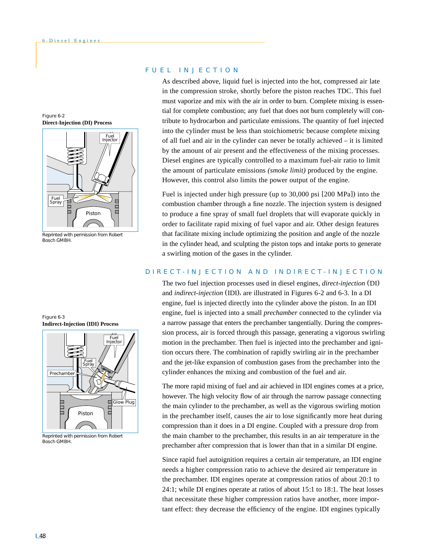Figure 6-2 **Direct-Injection (DI) Process**



Reprinted with permission from Robert Bosch GMBH.

Figure 6-3 **Indirect-Injection (IDI) Process**



Reprinted with permission from Robert Bosch GMBH.

# FUEL INJECTION

As described above, liquid fuel is injected into the hot, compressed air late in the compression stroke, shortly before the piston reaches TDC. This fuel must vaporize and mix with the air in order to burn. Complete mixing is essential for complete combustion; any fuel that does not burn completely will contribute to hydrocarbon and particulate emissions. The quantity of fuel injected into the cylinder must be less than stoichiometric because complete mixing of all fuel and air in the cylinder can never be totally achieved – it is limited by the amount of air present and the effectiveness of the mixing processes. Diesel engines are typically controlled to a maximum fuel-air ratio to limit the amount of particulate emissions *(smoke limit)* produced by the engine. However, this control also limits the power output of the engine.

Fuel is injected under high pressure (up to 30,000 psi [200 MPa]) into the combustion chamber through a fine nozzle. The injection system is designed to produce a fine spray of small fuel droplets that will evaporate quickly in order to facilitate rapid mixing of fuel vapor and air. Other design features that facilitate mixing include optimizing the position and angle of the nozzle in the cylinder head, and sculpting the piston tops and intake ports to generate a swirling motion of the gases in the cylinder.

## DIRECT-INJECTION AND INDIRECT-INJECTION

The two fuel injection processes used in diesel engines, *direct-injection* (DI) and *indirect-injection* (IDI), are illustrated in Figures 6-2 and 6-3. In a DI engine, fuel is injected directly into the cylinder above the piston. In an IDI engine, fuel is injected into a small *prechamber* connected to the cylinder via a narrow passage that enters the prechamber tangentially. During the compression process, air is forced through this passage, generating a vigorous swirling motion in the prechamber. Then fuel is injected into the prechamber and ignition occurs there. The combination of rapidly swirling air in the prechamber and the jet-like expansion of combustion gases from the prechamber into the cylinder enhances the mixing and combustion of the fuel and air.

The more rapid mixing of fuel and air achieved in IDI engines comes at a price, however. The high velocity flow of air through the narrow passage connecting the main cylinder to the prechamber, as well as the vigorous swirling motion in the prechamber itself, causes the air to lose significantly more heat during compression than it does in a DI engine. Coupled with a pressure drop from the main chamber to the prechamber, this results in an air temperature in the prechamber after compression that is lower than that in a similar DI engine.

Since rapid fuel autoignition requires a certain air temperature, an IDI engine needs a higher compression ratio to achieve the desired air temperature in the prechamber. IDI engines operate at compression ratios of about 20:1 to 24:1; while DI engines operate at ratios of about 15:1 to 18:1. The heat losses that necessitate these higher compression ratios have another, more important effect: they decrease the efficiency of the engine. IDI engines typically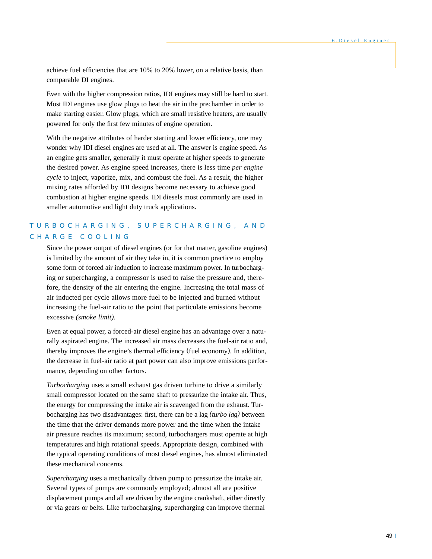achieve fuel efficiencies that are 10% to 20% lower, on a relative basis, than comparable DI engines.

Even with the higher compression ratios, IDI engines may still be hard to start. Most IDI engines use glow plugs to heat the air in the prechamber in order to make starting easier. Glow plugs, which are small resistive heaters, are usually powered for only the first few minutes of engine operation.

With the negative attributes of harder starting and lower efficiency, one may wonder why IDI diesel engines are used at all. The answer is engine speed. As an engine gets smaller, generally it must operate at higher speeds to generate the desired power. As engine speed increases, there is less time *per engine cycle* to inject, vaporize, mix, and combust the fuel. As a result, the higher mixing rates afforded by IDI designs become necessary to achieve good combustion at higher engine speeds. IDI diesels most commonly are used in smaller automotive and light duty truck applications.

# TURBOCHARGING, SUPERCHARGING, AND CHARGE COOLING

Since the power output of diesel engines (or for that matter, gasoline engines) is limited by the amount of air they take in, it is common practice to employ some form of forced air induction to increase maximum power. In turbocharging or supercharging, a compressor is used to raise the pressure and, therefore, the density of the air entering the engine. Increasing the total mass of air inducted per cycle allows more fuel to be injected and burned without increasing the fuel-air ratio to the point that particulate emissions become excessive *(smoke limit).*

Even at equal power, a forced-air diesel engine has an advantage over a naturally aspirated engine. The increased air mass decreases the fuel-air ratio and, thereby improves the engine's thermal efficiency (fuel economy). In addition, the decrease in fuel-air ratio at part power can also improve emissions performance, depending on other factors.

*Turbocharging* uses a small exhaust gas driven turbine to drive a similarly small compressor located on the same shaft to pressurize the intake air. Thus, the energy for compressing the intake air is scavenged from the exhaust. Turbocharging has two disadvantages: first, there can be a lag *(turbo lag)* between the time that the driver demands more power and the time when the intake air pressure reaches its maximum; second, turbochargers must operate at high temperatures and high rotational speeds. Appropriate design, combined with the typical operating conditions of most diesel engines, has almost eliminated these mechanical concerns.

*Supercharging* uses a mechanically driven pump to pressurize the intake air. Several types of pumps are commonly employed; almost all are positive displacement pumps and all are driven by the engine crankshaft, either directly or via gears or belts. Like turbocharging, supercharging can improve thermal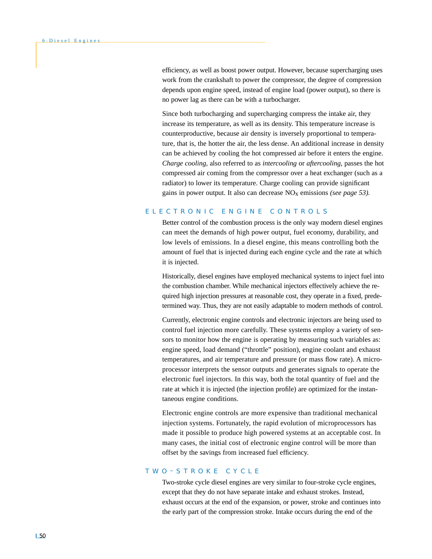efficiency, as well as boost power output. However, because supercharging uses work from the crankshaft to power the compressor, the degree of compression depends upon engine speed, instead of engine load (power output), so there is no power lag as there can be with a turbocharger.

Since both turbocharging and supercharging compress the intake air, they increase its temperature, as well as its density. This temperature increase is counterproductive, because air density is inversely proportional to temperature, that is, the hotter the air, the less dense. An additional increase in density can be achieved by cooling the hot compressed air before it enters the engine. *Charge cooling,* also referred to as *intercooling* or *aftercooling,* passes the hot compressed air coming from the compressor over a heat exchanger (such as a radiator) to lower its temperature. Charge cooling can provide significant gains in power output. It also can decrease NOx emissions *(see page 53).*

# ELECTRONIC ENGINE CONTROLS

Better control of the combustion process is the only way modern diesel engines can meet the demands of high power output, fuel economy, durability, and low levels of emissions. In a diesel engine, this means controlling both the amount of fuel that is injected during each engine cycle and the rate at which it is injected.

Historically, diesel engines have employed mechanical systems to inject fuel into the combustion chamber. While mechanical injectors effectively achieve the required high injection pressures at reasonable cost, they operate in a fixed, predetermined way. Thus, they are not easily adaptable to modern methods of control.

Currently, electronic engine controls and electronic injectors are being used to control fuel injection more carefully. These systems employ a variety of sensors to monitor how the engine is operating by measuring such variables as: engine speed, load demand ("throttle" position), engine coolant and exhaust temperatures, and air temperature and pressure (or mass flow rate). A microprocessor interprets the sensor outputs and generates signals to operate the electronic fuel injectors. In this way, both the total quantity of fuel and the rate at which it is injected (the injection profile) are optimized for the instantaneous engine conditions.

Electronic engine controls are more expensive than traditional mechanical injection systems. Fortunately, the rapid evolution of microprocessors has made it possible to produce high powered systems at an acceptable cost. In many cases, the initial cost of electronic engine control will be more than offset by the savings from increased fuel efficiency.

## TWO – STROKE CYCLE

Two-stroke cycle diesel engines are very similar to four-stroke cycle engines, except that they do not have separate intake and exhaust strokes. Instead, exhaust occurs at the end of the expansion, or power, stroke and continues into the early part of the compression stroke. Intake occurs during the end of the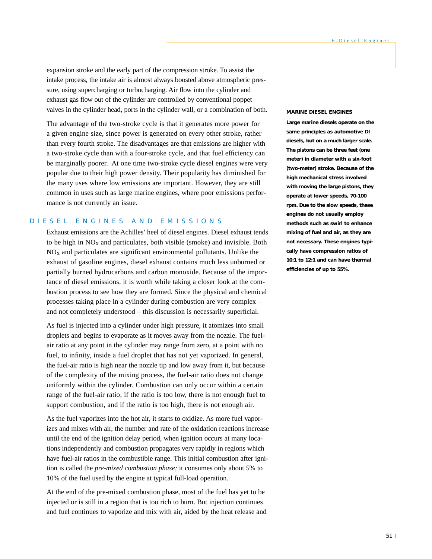expansion stroke and the early part of the compression stroke. To assist the intake process, the intake air is almost always boosted above atmospheric pressure, using supercharging or turbocharging. Air flow into the cylinder and exhaust gas flow out of the cylinder are controlled by conventional poppet valves in the cylinder head, ports in the cylinder wall, or a combination of both.

The advantage of the two-stroke cycle is that it generates more power for a given engine size, since power is generated on every other stroke, rather than every fourth stroke. The disadvantages are that emissions are higher with a two-stroke cycle than with a four-stroke cycle, and that fuel efficiency can be marginally poorer. At one time two-stroke cycle diesel engines were very popular due to their high power density. Their popularity has diminished for the many uses where low emissions are important. However, they are still common in uses such as large marine engines, where poor emissions performance is not currently an issue.

# DIESEL ENGINES AND EMISSIONS

Exhaust emissions are the Achilles' heel of diesel engines. Diesel exhaust tends to be high in  $NO<sub>x</sub>$  and particulates, both visible (smoke) and invisible. Both  $NO<sub>x</sub>$  and particulates are significant environmental pollutants. Unlike the exhaust of gasoline engines, diesel exhaust contains much less unburned or partially burned hydrocarbons and carbon monoxide. Because of the importance of diesel emissions, it is worth while taking a closer look at the combustion process to see how they are formed. Since the physical and chemical processes taking place in a cylinder during combustion are very complex – and not completely understood – this discussion is necessarily superficial.

As fuel is injected into a cylinder under high pressure, it atomizes into small droplets and begins to evaporate as it moves away from the nozzle. The fuelair ratio at any point in the cylinder may range from zero, at a point with no fuel, to infinity, inside a fuel droplet that has not yet vaporized. In general, the fuel-air ratio is high near the nozzle tip and low away from it, but because of the complexity of the mixing process, the fuel-air ratio does not change uniformly within the cylinder. Combustion can only occur within a certain range of the fuel-air ratio; if the ratio is too low, there is not enough fuel to support combustion, and if the ratio is too high, there is not enough air.

As the fuel vaporizes into the hot air, it starts to oxidize. As more fuel vaporizes and mixes with air, the number and rate of the oxidation reactions increase until the end of the ignition delay period, when ignition occurs at many locations independently and combustion propagates very rapidly in regions which have fuel-air ratios in the combustible range. This initial combustion after ignition is called the *pre-mixed combustion phase;* it consumes only about 5% to 10% of the fuel used by the engine at typical full-load operation.

At the end of the pre-mixed combustion phase, most of the fuel has yet to be injected or is still in a region that is too rich to burn. But injection continues and fuel continues to vaporize and mix with air, aided by the heat release and

#### **MARINE DIESEL ENGINES**

**Large marine diesels operate on the same principles as automotive DI diesels, but on a much larger scale. The pistons can be three feet (one meter) in diameter with a six-foot (two-meter) stroke. Because of the high mechanical stress involved with moving the large pistons, they operate at lower speeds, 70-100 rpm. Due to the slow speeds, these engines do not usually employ methods such as swirl to enhance mixing of fuel and air, as they are not necessary. These engines typically have compression ratios of 10:1 to 12:1 and can have thermal efficiencies of up to 55%.**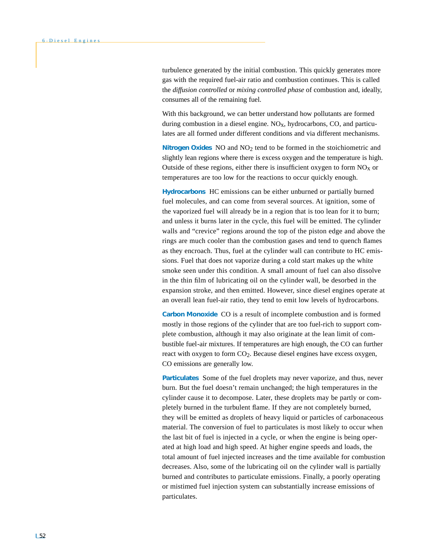turbulence generated by the initial combustion. This quickly generates more gas with the required fuel-air ratio and combustion continues. This is called the *diffusion controlled* or *mixing controlled phase* of combustion and, ideally, consumes all of the remaining fuel.

With this background, we can better understand how pollutants are formed during combustion in a diesel engine.  $NO<sub>x</sub>$ , hydrocarbons,  $CO$ , and particulates are all formed under different conditions and via different mechanisms.

**Nitrogen Oxides** NO and NO2 tend to be formed in the stoichiometric and slightly lean regions where there is excess oxygen and the temperature is high. Outside of these regions, either there is insufficient oxygen to form  $NO<sub>x</sub>$  or temperatures are too low for the reactions to occur quickly enough.

**Hydrocarbons** HC emissions can be either unburned or partially burned fuel molecules, and can come from several sources. At ignition, some of the vaporized fuel will already be in a region that is too lean for it to burn; and unless it burns later in the cycle, this fuel will be emitted. The cylinder walls and "crevice" regions around the top of the piston edge and above the rings are much cooler than the combustion gases and tend to quench flames as they encroach. Thus, fuel at the cylinder wall can contribute to HC emissions. Fuel that does not vaporize during a cold start makes up the white smoke seen under this condition. A small amount of fuel can also dissolve in the thin film of lubricating oil on the cylinder wall, be desorbed in the expansion stroke, and then emitted. However, since diesel engines operate at an overall lean fuel-air ratio, they tend to emit low levels of hydrocarbons.

**Carbon Monoxide** CO is a result of incomplete combustion and is formed mostly in those regions of the cylinder that are too fuel-rich to support complete combustion, although it may also originate at the lean limit of combustible fuel-air mixtures. If temperatures are high enough, the CO can further react with oxygen to form CO2. Because diesel engines have excess oxygen, CO emissions are generally low.

**Particulates** Some of the fuel droplets may never vaporize, and thus, never burn. But the fuel doesn't remain unchanged; the high temperatures in the cylinder cause it to decompose. Later, these droplets may be partly or completely burned in the turbulent flame. If they are not completely burned, they will be emitted as droplets of heavy liquid or particles of carbonaceous material. The conversion of fuel to particulates is most likely to occur when the last bit of fuel is injected in a cycle, or when the engine is being operated at high load and high speed. At higher engine speeds and loads, the total amount of fuel injected increases and the time available for combustion decreases. Also, some of the lubricating oil on the cylinder wall is partially burned and contributes to particulate emissions. Finally, a poorly operating or mistimed fuel injection system can substantially increase emissions of particulates.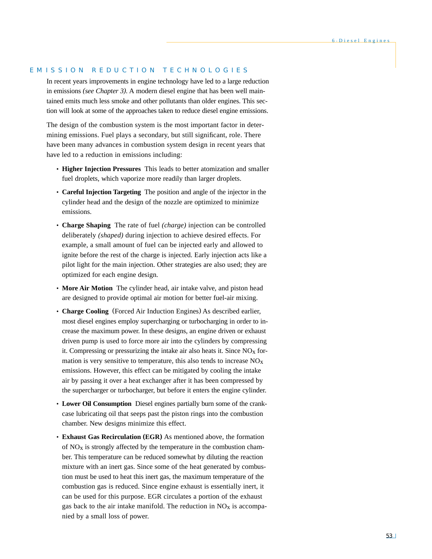# EMISSION REDUCTION TECHNOLOGIES

In recent years improvements in engine technology have led to a large reduction in emissions *(see Chapter 3).* A modern diesel engine that has been well maintained emits much less smoke and other pollutants than older engines. This section will look at some of the approaches taken to reduce diesel engine emissions.

The design of the combustion system is the most important factor in determining emissions. Fuel plays a secondary, but still significant, role. There have been many advances in combustion system design in recent years that have led to a reduction in emissions including:

- **Higher Injection Pressures** This leads to better atomization and smaller fuel droplets, which vaporize more readily than larger droplets.
- **Careful Injection Targeting** The position and angle of the injector in the cylinder head and the design of the nozzle are optimized to minimize emissions.
- **Charge Shaping** The rate of fuel *(charge)* injection can be controlled deliberately *(shaped)* during injection to achieve desired effects. For example, a small amount of fuel can be injected early and allowed to ignite before the rest of the charge is injected. Early injection acts like a pilot light for the main injection. Other strategies are also used; they are optimized for each engine design.
- **More Air Motion** The cylinder head, air intake valve, and piston head are designed to provide optimal air motion for better fuel-air mixing.
- **Charge Cooling** (Forced Air Induction Engines) As described earlier, most diesel engines employ supercharging or turbocharging in order to increase the maximum power. In these designs, an engine driven or exhaust driven pump is used to force more air into the cylinders by compressing it. Compressing or pressurizing the intake air also heats it. Since  $NO<sub>x</sub>$  formation is very sensitive to temperature, this also tends to increase  $NO<sub>x</sub>$ emissions. However, this effect can be mitigated by cooling the intake air by passing it over a heat exchanger after it has been compressed by the supercharger or turbocharger, but before it enters the engine cylinder.
- **Lower Oil Consumption** Diesel engines partially burn some of the crankcase lubricating oil that seeps past the piston rings into the combustion chamber. New designs minimize this effect.
- **Exhaust Gas Recirculation (EGR)** As mentioned above, the formation of  $NO<sub>x</sub>$  is strongly affected by the temperature in the combustion chamber. This temperature can be reduced somewhat by diluting the reaction mixture with an inert gas. Since some of the heat generated by combustion must be used to heat this inert gas, the maximum temperature of the combustion gas is reduced. Since engine exhaust is essentially inert, it can be used for this purpose. EGR circulates a portion of the exhaust gas back to the air intake manifold. The reduction in  $NO<sub>X</sub>$  is accompanied by a small loss of power.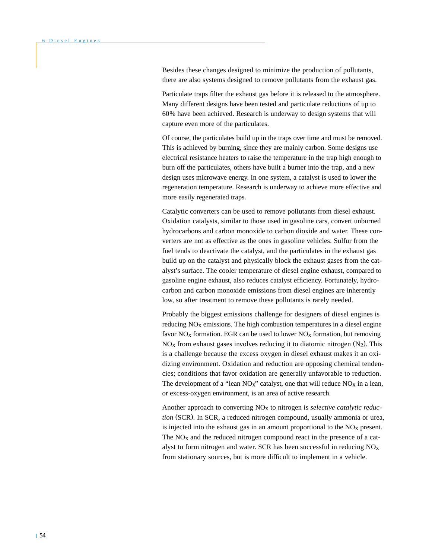Besides these changes designed to minimize the production of pollutants, there are also systems designed to remove pollutants from the exhaust gas.

Particulate traps filter the exhaust gas before it is released to the atmosphere. Many different designs have been tested and particulate reductions of up to 60% have been achieved. Research is underway to design systems that will capture even more of the particulates.

Of course, the particulates build up in the traps over time and must be removed. This is achieved by burning, since they are mainly carbon. Some designs use electrical resistance heaters to raise the temperature in the trap high enough to burn off the particulates, others have built a burner into the trap, and a new design uses microwave energy. In one system, a catalyst is used to lower the regeneration temperature. Research is underway to achieve more effective and more easily regenerated traps.

Catalytic converters can be used to remove pollutants from diesel exhaust. Oxidation catalysts, similar to those used in gasoline cars, convert unburned hydrocarbons and carbon monoxide to carbon dioxide and water. These converters are not as effective as the ones in gasoline vehicles. Sulfur from the fuel tends to deactivate the catalyst, and the particulates in the exhaust gas build up on the catalyst and physically block the exhaust gases from the catalyst's surface. The cooler temperature of diesel engine exhaust, compared to gasoline engine exhaust, also reduces catalyst efficiency. Fortunately, hydrocarbon and carbon monoxide emissions from diesel engines are inherently low, so after treatment to remove these pollutants is rarely needed.

Probably the biggest emissions challenge for designers of diesel engines is reducing  $NO<sub>x</sub>$  emissions. The high combustion temperatures in a diesel engine favor  $NO<sub>x</sub>$  formation. EGR can be used to lower  $NO<sub>x</sub>$  formation, but removing  $NO<sub>x</sub>$  from exhaust gases involves reducing it to diatomic nitrogen  $(N<sub>2</sub>)$ . This is a challenge because the excess oxygen in diesel exhaust makes it an oxidizing environment. Oxidation and reduction are opposing chemical tendencies; conditions that favor oxidation are generally unfavorable to reduction. The development of a "lean  $NO<sub>x</sub>$ " catalyst, one that will reduce  $NO<sub>x</sub>$  in a lean, or excess-oxygen environment, is an area of active research.

Another approach to converting NOx to nitrogen is *selective catalytic reduction* (SCR). In SCR, a reduced nitrogen compound, usually ammonia or urea, is injected into the exhaust gas in an amount proportional to the  $NO<sub>x</sub>$  present. The  $NO<sub>x</sub>$  and the reduced nitrogen compound react in the presence of a catalyst to form nitrogen and water. SCR has been successful in reducing  $NO<sub>X</sub>$ from stationary sources, but is more difficult to implement in a vehicle.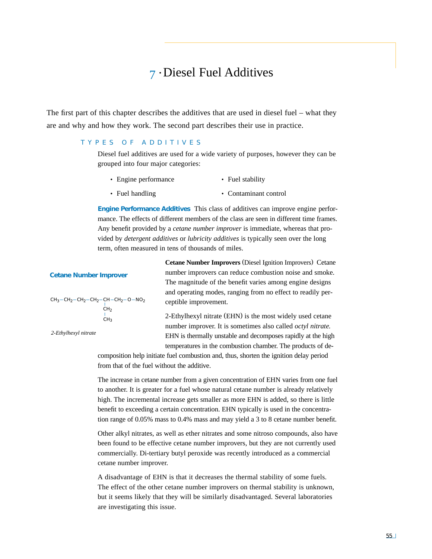# 7 • Diesel Fuel Additives

The first part of this chapter describes the additives that are used in diesel fuel – what they are and why and how they work. The second part describes their use in practice.

# TYPES OF ADDITIVES

Diesel fuel additives are used for a wide variety of purposes, however they can be grouped into four major categories:

- Engine performance • Fuel stability
- Fuel handling

• Contaminant control

**Engine Performance Additives** This class of additives can improve engine performance. The effects of different members of the class are seen in different time frames. Any benefit provided by a *cetane number improver* is immediate, whereas that provided by *detergent additives* or *lubricity additives* is typically seen over the long term, often measured in tens of thousands of miles.

| $CH3-CH2-CH2-CH2-CH-CH2-O-NO2$ |  |
|--------------------------------|--|
| CH <sub>2</sub>                |  |
|                                |  |
| CH∢                            |  |

**Cetane Number Improver**

*2-Ethylhexyl nitrate*

**Cetane Number Improvers** (Diesel Ignition Improvers) Cetane number improvers can reduce combustion noise and smoke. The magnitude of the benefit varies among engine designs and operating modes, ranging from no effect to readily perceptible improvement.

2-Ethylhexyl nitrate (EHN) is the most widely used cetane number improver. It is sometimes also called *octyl nitrate.* EHN is thermally unstable and decomposes rapidly at the high temperatures in the combustion chamber. The products of de-

composition help initiate fuel combustion and, thus, shorten the ignition delay period from that of the fuel without the additive.

The increase in cetane number from a given concentration of EHN varies from one fuel to another. It is greater for a fuel whose natural cetane number is already relatively high. The incremental increase gets smaller as more EHN is added, so there is little benefit to exceeding a certain concentration. EHN typically is used in the concentration range of 0.05% mass to 0.4% mass and may yield a 3 to 8 cetane number benefit.

Other alkyl nitrates, as well as ether nitrates and some nitroso compounds, also have been found to be effective cetane number improvers, but they are not currently used commercially. Di-tertiary butyl peroxide was recently introduced as a commercial cetane number improver.

A disadvantage of EHN is that it decreases the thermal stability of some fuels*.* The effect of the other cetane number improvers on thermal stability is unknown, but it seems likely that they will be similarly disadvantaged. Several laboratories are investigating this issue.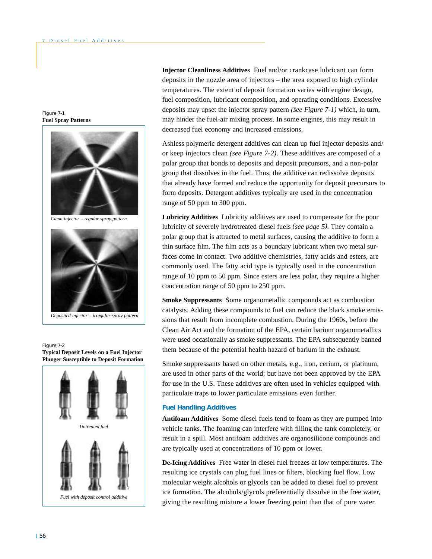Figure 7-1 **Fuel Spray Patterns**



*Deposited injector – irregular spray pattern*

Figure 7-2 **Typical Deposit Levels on a Fuel Injector Plunger Susceptible to Deposit Formation**



**Injector Cleanliness Additives** Fuel and/or crankcase lubricant can form deposits in the nozzle area of injectors – the area exposed to high cylinder temperatures. The extent of deposit formation varies with engine design, fuel composition, lubricant composition, and operating conditions. Excessive deposits may upset the injector spray pattern *(see Figure 7-1)* which, in turn, may hinder the fuel-air mixing process. In some engines, this may result in decreased fuel economy and increased emissions.

Ashless polymeric detergent additives can clean up fuel injector deposits and/ or keep injectors clean *(see Figure 7-2)*. These additives are composed of a polar group that bonds to deposits and deposit precursors, and a non-polar group that dissolves in the fuel. Thus, the additive can redissolve deposits that already have formed and reduce the opportunity for deposit precursors to form deposits. Detergent additives typically are used in the concentration range of 50 ppm to 300 ppm.

**Lubricity Additives** Lubricity additives are used to compensate for the poor lubricity of severely hydrotreated diesel fuels *(see page 5).* They contain a polar group that is attracted to metal surfaces, causing the additive to form a thin surface film. The film acts as a boundary lubricant when two metal surfaces come in contact. Two additive chemistries, fatty acids and esters, are commonly used. The fatty acid type is typically used in the concentration range of 10 ppm to 50 ppm. Since esters are less polar, they require a higher concentration range of 50 ppm to 250 ppm.

**Smoke Suppressants** Some organometallic compounds act as combustion catalysts. Adding these compounds to fuel can reduce the black smoke emissions that result from incomplete combustion. During the 1960s, before the Clean Air Act and the formation of the EPA, certain barium organometallics were used occasionally as smoke suppressants. The EPA subsequently banned them because of the potential health hazard of barium in the exhaust.

Smoke suppressants based on other metals, e.g., iron, cerium, or platinum, are used in other parts of the world; but have not been approved by the EPA for use in the U.S. These additives are often used in vehicles equipped with particulate traps to lower particulate emissions even further.

## **Fuel Handling Additives**

**Antifoam Additives** Some diesel fuels tend to foam as they are pumped into vehicle tanks. The foaming can interfere with filling the tank completely, or result in a spill. Most antifoam additives are organosilicone compounds and are typically used at concentrations of 10 ppm or lower.

**De-Icing Additives** Free water in diesel fuel freezes at low temperatures. The resulting ice crystals can plug fuel lines or filters, blocking fuel flow. Low molecular weight alcohols or glycols can be added to diesel fuel to prevent ice formation. The alcohols/glycols preferentially dissolve in the free water, giving the resulting mixture a lower freezing point than that of pure water.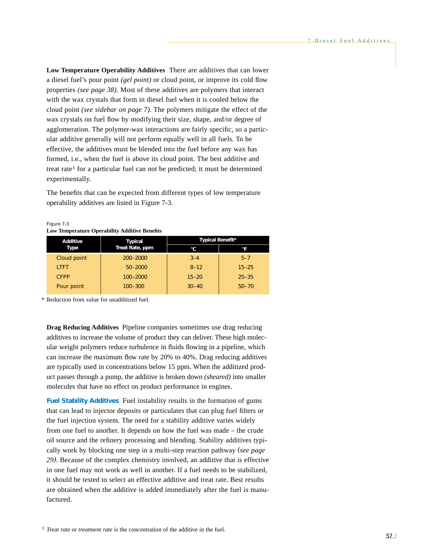**Low Temperature Operability Additives** There are additives that can lower a diesel fuel's pour point *(gel point)* or cloud point, or improve its cold flow properties *(see page 38).* Most of these additives are polymers that interact with the wax crystals that form in diesel fuel when it is cooled below the cloud point *(see sidebar on page 7).* The polymers mitigate the effect of the wax crystals on fuel flow by modifying their size, shape, and/or degree of agglomeration. The polymer-wax interactions are fairly specific, so a particular additive generally will not perform equally well in all fuels. To be effective, the additives must be blended into the fuel before any wax has formed, i.e., when the fuel is above its cloud point. The best additive and treat rate1 for a particular fuel can not be predicted; it must be determined experimentally.

The benefits that can be expected from different types of low temperature operability additives are listed in Figure 7-3.

| Low Temperature Operability Auditive Deficities |                 |                  |           |  |  |
|-------------------------------------------------|-----------------|------------------|-----------|--|--|
| Additive                                        | <b>Typical</b>  | Typical Benefit* |           |  |  |
| Type                                            | Treat Rate, ppm | °C               |           |  |  |
| Cloud point                                     | 200-2000        | $3 - 4$          | $5 - 7$   |  |  |
| <b>LTFT</b>                                     | $50 - 2000$     | $8 - 12$         | $15 - 25$ |  |  |
| <b>CFPP</b>                                     | 100-2000        | $15 - 20$        | $25 - 35$ |  |  |
| Pour point                                      | $100 - 300$     | $30 - 40$        | $50 - 70$ |  |  |

Figure 7-3 **Low Temperature Operability Additive Benefits**

\* Reduction from value for unadditized fuel.

**Drag Reducing Additives** Pipeline companies sometimes use drag reducing additives to increase the volume of product they can deliver. These high molecular weight polymers reduce turbulence in fluids flowing in a pipeline, which can increase the maximum flow rate by 20% to 40%. Drag reducing additives are typically used in concentrations below 15 ppm. When the additized product passes through a pump, the additive is broken down *(sheared)* into smaller molecules that have no effect on product performance in engines.

**Fuel Stability Additives** Fuel instability results in the formation of gums that can lead to injector deposits or particulates that can plug fuel filters or the fuel injection system*.* The need for a stability additive varies widely from one fuel to another. It depends on how the fuel was made – the crude oil source and the refinery processing and blending. Stability additives typically work by blocking one step in a multi-step reaction pathway *(see page 29)*. Because of the complex chemistry involved, an additive that is effective in one fuel may not work as well in another. If a fuel needs to be stabilized, it should be tested to select an effective additive and treat rate. Best results are obtained when the additive is added immediately after the fuel is manufactured.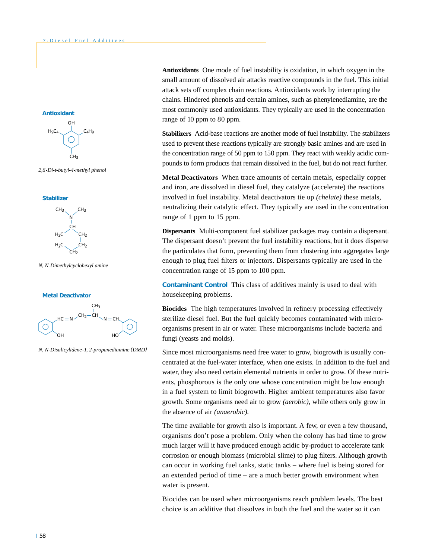

*2,6-Di-t-butyl-4-methyl phenol*



*N, N-Dimethylcyclohexyl amine*





*N, N-Disalicylidene-1, 2-propanediamine (DMD)*

**Antioxidants** One mode of fuel instability is oxidation, in which oxygen in the small amount of dissolved air attacks reactive compounds in the fuel. This initial attack sets off complex chain reactions. Antioxidants work by interrupting the chains. Hindered phenols and certain amines, such as phenylenediamine, are the most commonly used antioxidants. They typically are used in the concentration range of 10 ppm to 80 ppm.

**Stabilizers** Acid-base reactions are another mode of fuel instability. The stabilizers used to prevent these reactions typically are strongly basic amines and are used in the concentration range of 50 ppm to 150 ppm. They react with weakly acidic compounds to form products that remain dissolved in the fuel, but do not react further.

**Metal Deactivators** When trace amounts of certain metals, especially copper and iron, are dissolved in diesel fuel, they catalyze (accelerate) the reactions involved in fuel instability. Metal deactivators tie up *(chelate)* these metals, neutralizing their catalytic effect. They typically are used in the concentration range of 1 ppm to 15 ppm.

**Dispersants** Multi-component fuel stabilizer packages may contain a dispersant. The dispersant doesn't prevent the fuel instability reactions, but it does disperse the particulates that form, preventing them from clustering into aggregates large enough to plug fuel filters or injectors. Dispersants typically are used in the concentration range of 15 ppm to 100 ppm.

**Contaminant Control** This class of additives mainly is used to deal with housekeeping problems.

**Biocides** The high temperatures involved in refinery processing effectively sterilize diesel fuel. But the fuel quickly becomes contaminated with microorganisms present in air or water. These microorganisms include bacteria and fungi (yeasts and molds).

Since most microorganisms need free water to grow, biogrowth is usually concentrated at the fuel-water interface, when one exists. In addition to the fuel and water, they also need certain elemental nutrients in order to grow. Of these nutrients, phosphorous is the only one whose concentration might be low enough in a fuel system to limit biogrowth. Higher ambient temperatures also favor growth. Some organisms need air to grow *(aerobic),* while others only grow in the absence of air *(anaerobic).*

The time available for growth also is important. A few, or even a few thousand, organisms don't pose a problem. Only when the colony has had time to grow much larger will it have produced enough acidic by-product to accelerate tank corrosion or enough biomass (microbial slime) to plug filters. Although growth can occur in working fuel tanks, static tanks – where fuel is being stored for an extended period of time – are a much better growth environment when water is present.

Biocides can be used when microorganisms reach problem levels. The best choice is an additive that dissolves in both the fuel and the water so it can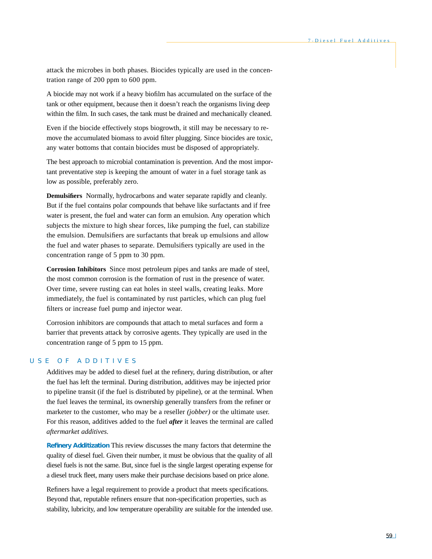attack the microbes in both phases. Biocides typically are used in the concentration range of 200 ppm to 600 ppm.

A biocide may not work if a heavy biofilm has accumulated on the surface of the tank or other equipment, because then it doesn't reach the organisms living deep within the film. In such cases, the tank must be drained and mechanically cleaned.

Even if the biocide effectively stops biogrowth, it still may be necessary to remove the accumulated biomass to avoid filter plugging. Since biocides are toxic, any water bottoms that contain biocides must be disposed of appropriately.

The best approach to microbial contamination is prevention. And the most important preventative step is keeping the amount of water in a fuel storage tank as low as possible, preferably zero.

**Demulsifiers** Normally, hydrocarbons and water separate rapidly and cleanly. But if the fuel contains polar compounds that behave like surfactants and if free water is present, the fuel and water can form an emulsion. Any operation which subjects the mixture to high shear forces, like pumping the fuel, can stabilize the emulsion. Demulsifiers are surfactants that break up emulsions and allow the fuel and water phases to separate. Demulsifiers typically are used in the concentration range of 5 ppm to 30 ppm.

**Corrosion Inhibitors** Since most petroleum pipes and tanks are made of steel, the most common corrosion is the formation of rust in the presence of water. Over time, severe rusting can eat holes in steel walls, creating leaks. More immediately, the fuel is contaminated by rust particles, which can plug fuel filters or increase fuel pump and injector wear.

Corrosion inhibitors are compounds that attach to metal surfaces and form a barrier that prevents attack by corrosive agents. They typically are used in the concentration range of 5 ppm to 15 ppm.

# USE OF ADDITIVES

Additives may be added to diesel fuel at the refinery, during distribution, or after the fuel has left the terminal. During distribution, additives may be injected prior to pipeline transit (if the fuel is distributed by pipeline), or at the terminal. When the fuel leaves the terminal, its ownership generally transfers from the refiner or marketer to the customer, who may be a reseller *(jobber)* or the ultimate user. For this reason, additives added to the fuel *after* it leaves the terminal are called *aftermarket additives.*

**Refinery Additization** This review discusses the many factors that determine the quality of diesel fuel. Given their number, it must be obvious that the quality of all diesel fuels is not the same. But, since fuel is the single largest operating expense for a diesel truck fleet, many users make their purchase decisions based on price alone.

Refiners have a legal requirement to provide a product that meets specifications. Beyond that, reputable refiners ensure that non-specification properties, such as stability, lubricity, and low temperature operability are suitable for the intended use.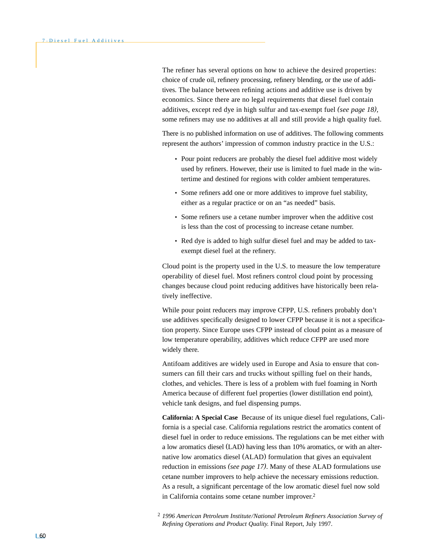The refiner has several options on how to achieve the desired properties: choice of crude oil, refinery processing, refinery blending, or the use of additives. The balance between refining actions and additive use is driven by economics. Since there are no legal requirements that diesel fuel contain additives, except red dye in high sulfur and tax-exempt fuel *(see page 18),* some refiners may use no additives at all and still provide a high quality fuel.

There is no published information on use of additives. The following comments represent the authors' impression of common industry practice in the U.S.:

- Pour point reducers are probably the diesel fuel additive most widely used by refiners. However, their use is limited to fuel made in the wintertime and destined for regions with colder ambient temperatures.
- Some refiners add one or more additives to improve fuel stability, either as a regular practice or on an "as needed" basis.
- Some refiners use a cetane number improver when the additive cost is less than the cost of processing to increase cetane number.
- Red dye is added to high sulfur diesel fuel and may be added to taxexempt diesel fuel at the refinery.

Cloud point is the property used in the U.S. to measure the low temperature operability of diesel fuel. Most refiners control cloud point by processing changes because cloud point reducing additives have historically been relatively ineffective.

While pour point reducers may improve CFPP, U.S. refiners probably don't use additives specifically designed to lower CFPP because it is not a specification property. Since Europe uses CFPP instead of cloud point as a measure of low temperature operability, additives which reduce CFPP are used more widely there*.*

Antifoam additives are widely used in Europe and Asia to ensure that consumers can fill their cars and trucks without spilling fuel on their hands, clothes, and vehicles. There is less of a problem with fuel foaming in North America because of different fuel properties (lower distillation end point), vehicle tank designs, and fuel dispensing pumps.

**California: A Special Case** Because of its unique diesel fuel regulations, California is a special case. California regulations restrict the aromatics content of diesel fuel in order to reduce emissions. The regulations can be met either with a low aromatics diesel (LAD) having less than 10% aromatics, or with an alternative low aromatics diesel (ALAD) formulation that gives an equivalent reduction in emissions *(see page 17)*. Many of these ALAD formulations use cetane number improvers to help achieve the necessary emissions reduction. As a result, a significant percentage of the low aromatic diesel fuel now sold in California contains some cetane number improver.2

<sup>2</sup> *1996 American Petroleum Institute/National Petroleum Refiners Association Survey of Refining Operations and Product Quality.* Final Report, July 1997.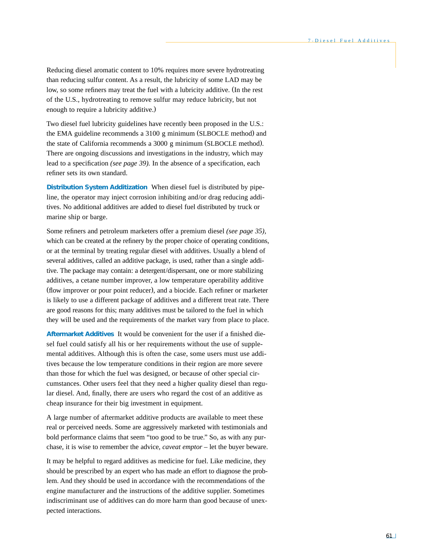Reducing diesel aromatic content to 10% requires more severe hydrotreating than reducing sulfur content. As a result, the lubricity of some LAD may be low, so some refiners may treat the fuel with a lubricity additive. (In the rest of the U.S., hydrotreating to remove sulfur may reduce lubricity, but not enough to require a lubricity additive.)

Two diesel fuel lubricity guidelines have recently been proposed in the U.S.: the EMA guideline recommends a 3100 g minimum (SLBOCLE method) and the state of California recommends a 3000 g minimum (SLBOCLE method). There are ongoing discussions and investigations in the industry, which may lead to a specification *(see page 39).* In the absence of a specification, each refiner sets its own standard.

**Distribution System Additization** When diesel fuel is distributed by pipeline, the operator may inject corrosion inhibiting and/or drag reducing additives. No additional additives are added to diesel fuel distributed by truck or marine ship or barge.

Some refiners and petroleum marketers offer a premium diesel *(see page 35),* which can be created at the refinery by the proper choice of operating conditions, or at the terminal by treating regular diesel with additives. Usually a blend of several additives, called an additive package, is used, rather than a single additive. The package may contain: a detergent/dispersant, one or more stabilizing additives, a cetane number improver, a low temperature operability additive (flow improver or pour point reducer), and a biocide. Each refiner or marketer is likely to use a different package of additives and a different treat rate. There are good reasons for this; many additives must be tailored to the fuel in which they will be used and the requirements of the market vary from place to place.

**Aftermarket Additives** It would be convenient for the user if a finished diesel fuel could satisfy all his or her requirements without the use of supplemental additives. Although this is often the case, some users must use additives because the low temperature conditions in their region are more severe than those for which the fuel was designed, or because of other special circumstances. Other users feel that they need a higher quality diesel than regular diesel. And, finally, there are users who regard the cost of an additive as cheap insurance for their big investment in equipment.

A large number of aftermarket additive products are available to meet these real or perceived needs. Some are aggressively marketed with testimonials and bold performance claims that seem "too good to be true." So, as with any purchase, it is wise to remember the advice, *caveat emptor* – let the buyer beware.

It may be helpful to regard additives as medicine for fuel. Like medicine, they should be prescribed by an expert who has made an effort to diagnose the problem. And they should be used in accordance with the recommendations of the engine manufacturer and the instructions of the additive supplier. Sometimes indiscriminant use of additives can do more harm than good because of unexpected interactions.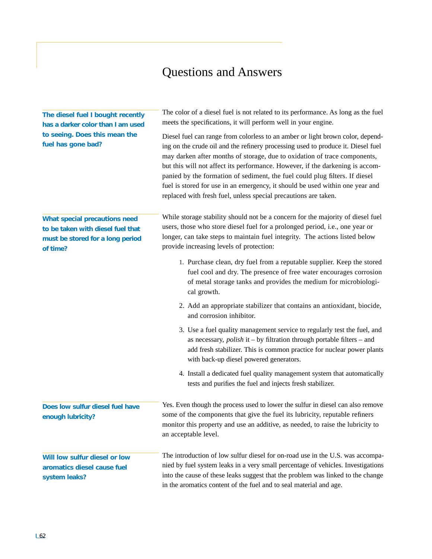# Questions and Answers

| The diesel fuel I bought recently<br>has a darker color than I am used<br>to seeing. Does this mean the<br>fuel has gone bad? | The color of a diesel fuel is not related to its performance. As long as the fuel<br>meets the specifications, it will perform well in your engine.<br>Diesel fuel can range from colorless to an amber or light brown color, depend-<br>ing on the crude oil and the refinery processing used to produce it. Diesel fuel<br>may darken after months of storage, due to oxidation of trace components,<br>but this will not affect its performance. However, if the darkening is accom-<br>panied by the formation of sediment, the fuel could plug filters. If diesel<br>fuel is stored for use in an emergency, it should be used within one year and<br>replaced with fresh fuel, unless special precautions are taken. |
|-------------------------------------------------------------------------------------------------------------------------------|----------------------------------------------------------------------------------------------------------------------------------------------------------------------------------------------------------------------------------------------------------------------------------------------------------------------------------------------------------------------------------------------------------------------------------------------------------------------------------------------------------------------------------------------------------------------------------------------------------------------------------------------------------------------------------------------------------------------------|
| What special precautions need<br>to be taken with diesel fuel that<br>must be stored for a long period<br>of time?            | While storage stability should not be a concern for the majority of diesel fuel<br>users, those who store diesel fuel for a prolonged period, i.e., one year or<br>longer, can take steps to maintain fuel integrity. The actions listed below<br>provide increasing levels of protection:                                                                                                                                                                                                                                                                                                                                                                                                                                 |
|                                                                                                                               | 1. Purchase clean, dry fuel from a reputable supplier. Keep the stored<br>fuel cool and dry. The presence of free water encourages corrosion<br>of metal storage tanks and provides the medium for microbiologi-<br>cal growth.                                                                                                                                                                                                                                                                                                                                                                                                                                                                                            |
|                                                                                                                               | 2. Add an appropriate stabilizer that contains an antioxidant, biocide,<br>and corrosion inhibitor.                                                                                                                                                                                                                                                                                                                                                                                                                                                                                                                                                                                                                        |
|                                                                                                                               | 3. Use a fuel quality management service to regularly test the fuel, and<br>as necessary, $polish$ it – by filtration through portable filters – and<br>add fresh stabilizer. This is common practice for nuclear power plants<br>with back-up diesel powered generators.                                                                                                                                                                                                                                                                                                                                                                                                                                                  |
|                                                                                                                               | 4. Install a dedicated fuel quality management system that automatically<br>tests and purifies the fuel and injects fresh stabilizer.                                                                                                                                                                                                                                                                                                                                                                                                                                                                                                                                                                                      |
| Does low sulfur diesel fuel have<br>enough lubricity?                                                                         | Yes. Even though the process used to lower the sulfur in diesel can also remove<br>some of the components that give the fuel its lubricity, reputable refiners<br>monitor this property and use an additive, as needed, to raise the lubricity to<br>an acceptable level.                                                                                                                                                                                                                                                                                                                                                                                                                                                  |
| Will low sulfur diesel or low<br>aromatics diesel cause fuel<br>system leaks?                                                 | The introduction of low sulfur diesel for on-road use in the U.S. was accompa-<br>nied by fuel system leaks in a very small percentage of vehicles. Investigations<br>into the cause of these leaks suggest that the problem was linked to the change<br>in the aromatics content of the fuel and to seal material and age.                                                                                                                                                                                                                                                                                                                                                                                                |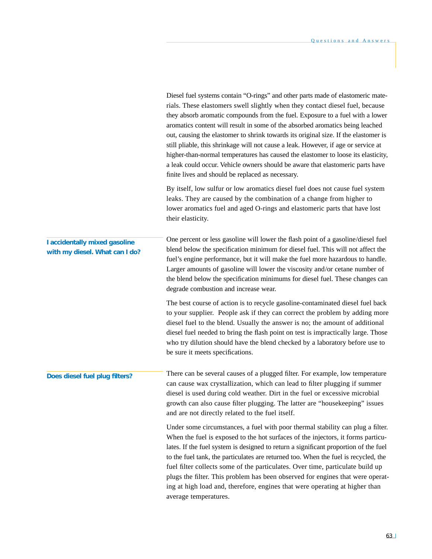|                                                                 | Diesel fuel systems contain "O-rings" and other parts made of elastomeric mate-<br>rials. These elastomers swell slightly when they contact diesel fuel, because<br>they absorb aromatic compounds from the fuel. Exposure to a fuel with a lower<br>aromatics content will result in some of the absorbed aromatics being leached<br>out, causing the elastomer to shrink towards its original size. If the elastomer is<br>still pliable, this shrinkage will not cause a leak. However, if age or service at<br>higher-than-normal temperatures has caused the elastomer to loose its elasticity,<br>a leak could occur. Vehicle owners should be aware that elastomeric parts have<br>finite lives and should be replaced as necessary. |
|-----------------------------------------------------------------|---------------------------------------------------------------------------------------------------------------------------------------------------------------------------------------------------------------------------------------------------------------------------------------------------------------------------------------------------------------------------------------------------------------------------------------------------------------------------------------------------------------------------------------------------------------------------------------------------------------------------------------------------------------------------------------------------------------------------------------------|
|                                                                 | By itself, low sulfur or low aromatics diesel fuel does not cause fuel system<br>leaks. They are caused by the combination of a change from higher to<br>lower aromatics fuel and aged O-rings and elastomeric parts that have lost<br>their elasticity.                                                                                                                                                                                                                                                                                                                                                                                                                                                                                    |
| I accidentally mixed gasoline<br>with my diesel. What can I do? | One percent or less gasoline will lower the flash point of a gasoline/diesel fuel<br>blend below the specification minimum for diesel fuel. This will not affect the<br>fuel's engine performance, but it will make the fuel more hazardous to handle.<br>Larger amounts of gasoline will lower the viscosity and/or cetane number of<br>the blend below the specification minimums for diesel fuel. These changes can<br>degrade combustion and increase wear.                                                                                                                                                                                                                                                                             |
|                                                                 | The best course of action is to recycle gasoline-contaminated diesel fuel back<br>to your supplier. People ask if they can correct the problem by adding more<br>diesel fuel to the blend. Usually the answer is no; the amount of additional<br>diesel fuel needed to bring the flash point on test is impractically large. Those<br>who try dilution should have the blend checked by a laboratory before use to<br>be sure it meets specifications.                                                                                                                                                                                                                                                                                      |
| Does diesel fuel plug filters?                                  | There can be several causes of a plugged filter. For example, low temperature<br>can cause wax crystallization, which can lead to filter plugging if summer<br>diesel is used during cold weather. Dirt in the fuel or excessive microbial<br>growth can also cause filter plugging. The latter are "housekeeping" issues<br>and are not directly related to the fuel itself.                                                                                                                                                                                                                                                                                                                                                               |
|                                                                 | Under some circumstances, a fuel with poor thermal stability can plug a filter.<br>When the fuel is exposed to the hot surfaces of the injectors, it forms particu-<br>lates. If the fuel system is designed to return a significant proportion of the fuel<br>to the fuel tank, the particulates are returned too. When the fuel is recycled, the<br>fuel filter collects some of the particulates. Over time, particulate build up<br>plugs the filter. This problem has been observed for engines that were operat-<br>ing at high load and, therefore, engines that were operating at higher than                                                                                                                                       |

average temperatures.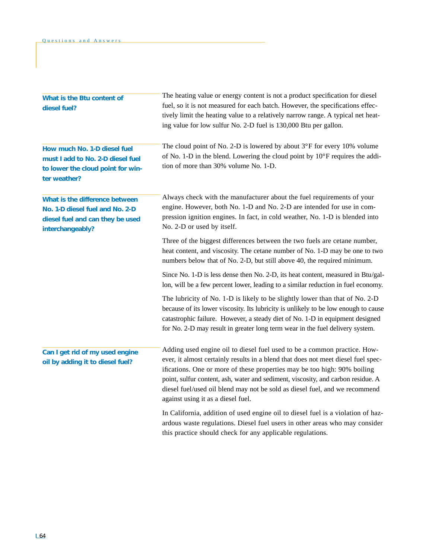| What is the Btu content of<br>diesel fuel?                                                                                | The heating value or energy content is not a product specification for diesel<br>fuel, so it is not measured for each batch. However, the specifications effec-<br>tively limit the heating value to a relatively narrow range. A typical net heat-<br>ing value for low sulfur No. 2-D fuel is 130,000 Btu per gallon.                                                                                                                            |
|---------------------------------------------------------------------------------------------------------------------------|----------------------------------------------------------------------------------------------------------------------------------------------------------------------------------------------------------------------------------------------------------------------------------------------------------------------------------------------------------------------------------------------------------------------------------------------------|
| How much No. 1-D diesel fuel<br>must I add to No. 2-D diesel fuel<br>to lower the cloud point for win-<br>ter weather?    | The cloud point of No. 2-D is lowered by about 3°F for every 10% volume<br>of No. 1-D in the blend. Lowering the cloud point by $10^{\circ}$ F requires the addi-<br>tion of more than 30% volume No. 1-D.                                                                                                                                                                                                                                         |
| What is the difference between<br>No. 1-D diesel fuel and No. 2-D<br>diesel fuel and can they be used<br>interchangeably? | Always check with the manufacturer about the fuel requirements of your<br>engine. However, both No. 1-D and No. 2-D are intended for use in com-<br>pression ignition engines. In fact, in cold weather, No. 1-D is blended into<br>No. 2-D or used by itself.                                                                                                                                                                                     |
|                                                                                                                           | Three of the biggest differences between the two fuels are cetane number,<br>heat content, and viscosity. The cetane number of No. 1-D may be one to two<br>numbers below that of No. 2-D, but still above 40, the required minimum.                                                                                                                                                                                                               |
|                                                                                                                           | Since No. 1-D is less dense then No. 2-D, its heat content, measured in Btu/gal-<br>lon, will be a few percent lower, leading to a similar reduction in fuel economy.                                                                                                                                                                                                                                                                              |
|                                                                                                                           | The lubricity of No. 1-D is likely to be slightly lower than that of No. 2-D<br>because of its lower viscosity. Its lubricity is unlikely to be low enough to cause<br>catastrophic failure. However, a steady diet of No. 1-D in equipment designed<br>for No. 2-D may result in greater long term wear in the fuel delivery system.                                                                                                              |
| Can I get rid of my used engine<br>oil by adding it to diesel fuel?                                                       | Adding used engine oil to diesel fuel used to be a common practice. How-<br>ever, it almost certainly results in a blend that does not meet diesel fuel spec-<br>ifications. One or more of these properties may be too high: 90% boiling<br>point, sulfur content, ash, water and sediment, viscosity, and carbon residue. A<br>diesel fuel/used oil blend may not be sold as diesel fuel, and we recommend<br>against using it as a diesel fuel. |
|                                                                                                                           | In California, addition of used engine oil to diesel fuel is a violation of haz-<br>ardous waste regulations. Diesel fuel users in other areas who may consider<br>this practice should check for any applicable regulations.                                                                                                                                                                                                                      |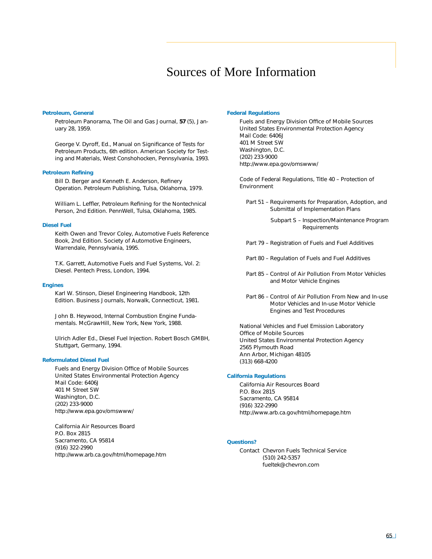# Sources of More Information

#### **Petroleum, General**

*Petroleum Panorama,* The Oil and Gas Journal, **57** (5), January 28, 1959.

George V. Dyroff, Ed., *Manual on Significance of Tests for Petroleum Products,* 6th edition. American Society for Testing and Materials, West Conshohocken, Pennsylvania, 1993.

#### **Petroleum Refining**

Bill D. Berger and Kenneth E. Anderson, *Refinery Operation.* Petroleum Publishing, Tulsa, Oklahoma, 1979.

William L. Leffler, *Petroleum Refining for the Nontechnical Person,* 2nd Edition. PennWell, Tulsa, Oklahoma, 1985.

#### **Diesel Fuel**

Keith Owen and Trevor Coley, *Automotive Fuels Reference Book,* 2nd Edition. Society of Automotive Engineers, Warrendale, Pennsylvania, 1995.

T.K. Garrett, *Automotive Fuels and Fuel Systems, Vol. 2: Diesel.* Pentech Press, London, 1994.

#### **Engines**

Karl W. Stinson, *Diesel Engineering Handbook,* 12th Edition. Business Journals, Norwalk, Connecticut, 1981.

John B. Heywood, *Internal Combustion Engine Fundamentals.* McGrawHill, New York, New York, 1988.

Ulrich Adler Ed., *Diesel Fuel Injection.* Robert Bosch GMBH, Stuttgart, Germany, 1994.

#### **Reformulated Diesel Fuel**

Fuels and Energy Division Office of Mobile Sources United States Environmental Protection Agency Mail Code: 6406J 401 M Street SW Washington, D.C. (202) 233-9000 http://www.epa.gov/omswww/

California Air Resources Board P.O. Box 2815 Sacramento, CA 95814 (916) 322-2990 http://www.arb.ca.gov/html/homepage.htm

#### **Federal Regulations**

Fuels and Energy Division Office of Mobile Sources United States Environmental Protection Agency Mail Code: 6406J 401 M Street SW Washington, D.C. (202) 233-9000 http://www.epa.gov/omswww/

Code of Federal Regulations, Title 40 – Protection of Environment

Part 51 – Requirements for Preparation, Adoption, and Submittal of Implementation Plans

> Subpart S – Inspection/Maintenance Program Requirements

- Part 79 Registration of Fuels and Fuel Additives
- Part 80 Regulation of Fuels and Fuel Additives
- Part 85 Control of Air Pollution From Motor Vehicles and Motor Vehicle Engines
- Part 86 Control of Air Pollution From New and In-use Motor Vehicles and In-use Motor Vehicle Engines and Test Procedures

National Vehicles and Fuel Emission Laboratory Office of Mobile Sources United States Environmental Protection Agency 2565 Plymouth Road Ann Arbor, Michigan 48105 (313) 668-4200

#### **California Regulations**

California Air Resources Board P.O. Box 2815 Sacramento, CA 95814 (916) 322-2990 http://www.arb.ca.gov/html/homepage.htm

#### **Questions?**

Contact Chevron Fuels Technical Service (510) 242-5357 fueltek@chevron.com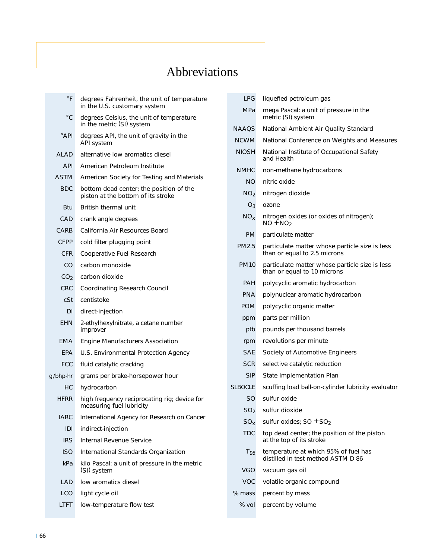# Abbreviations

| $\circ$ F       | degrees Fahrenheit, the unit of temperature<br>in the U.S. customary system   |
|-----------------|-------------------------------------------------------------------------------|
| $^{\circ}$ C    | degrees Celsius, the unit of temperature<br>in the metric (SI) system         |
| $^{\circ}$ API  | degrees API, the unit of gravity in the<br>API system                         |
| ALAD            | alternative low aromatics diesel                                              |
| <b>API</b>      | American Petroleum Institute                                                  |
| <b>ASTM</b>     | American Society for Testing and Materials                                    |
| <b>BDC</b>      | bottom dead center; the position of the<br>piston at the bottom of its stroke |
| Btu             | <b>British thermal unit</b>                                                   |
| CAD             | crank angle degrees                                                           |
| CARB            | California Air Resources Board                                                |
| CFPP            | cold filter plugging point                                                    |
| CFR.            | Cooperative Fuel Research                                                     |
| CO.             | carbon monoxide                                                               |
| CO <sub>2</sub> | carbon dioxide                                                                |
| <b>CRC</b>      | Coordinating Research Council                                                 |
| cSt.            | centistoke                                                                    |
| DI              | direct-injection                                                              |
| <b>EHN</b>      | 2-ethylhexylnitrate, a cetane number<br>improver                              |
| EMA             | <b>Engine Manufacturers Association</b>                                       |
| EPA             | U.S. Environmental Protection Agency                                          |
| <b>FCC</b>      | fluid catalytic cracking                                                      |
| g/bhp-hr        | grams per brake-horsepower hour                                               |
| НC              | hydrocarbon                                                                   |
| <b>HFRR</b>     | high frequency reciprocating rig; device for<br>measuring fuel lubricity      |
| <b>IARC</b>     | International Agency for Research on Cancer                                   |
| IDI             | indirect-injection                                                            |
| <b>IRS</b>      | Internal Revenue Service                                                      |
| <b>ISO</b>      | International Standards Organization                                          |
| kPa             | kilo Pascal: a unit of pressure in the metric<br>(SI) system                  |
| LAD             | low aromatics diesel                                                          |
| LCO.            | light cycle oil                                                               |
| <b>LTFT</b>     | low-temperature flow test                                                     |

| LPG             | liquefied petroleum gas                                                        |
|-----------------|--------------------------------------------------------------------------------|
| MPa             | mega Pascal: a unit of pressure in the<br>metric (SI) system                   |
| <b>NAAQS</b>    | National Ambient Air Quality Standard                                          |
| <b>NCWM</b>     | National Conference on Weights and Measures                                    |
| <b>NIOSH</b>    | National Institute of Occupational Safety<br>and Health                        |
| <b>NMHC</b>     | non-methane hydrocarbons                                                       |
| <b>NO</b>       | nitric oxide                                                                   |
| NO <sub>2</sub> | nitrogen dioxide                                                               |
| $O_3$           | ozone                                                                          |
| NO <sub>x</sub> | nitrogen oxides (or oxides of nitrogen);<br>$NO + NO2$                         |
| <b>PM</b>       | particulate matter                                                             |
| <b>PM2.5</b>    | particulate matter whose particle size is less<br>than or equal to 2.5 microns |
| <b>PM10</b>     | particulate matter whose particle size is less<br>than or equal to 10 microns  |
| <b>PAH</b>      | polycyclic aromatic hydrocarbon                                                |
| <b>PNA</b>      | polynuclear aromatic hydrocarbon                                               |
| <b>POM</b>      | polycyclic organic matter                                                      |
| ppm             | parts per million                                                              |
| ptb             | pounds per thousand barrels                                                    |
| rpm             | revolutions per minute                                                         |
| SAE             | Society of Automotive Engineers                                                |
| SCR             | selective catalytic reduction                                                  |
| <b>SIP</b>      | State Implementation Plan                                                      |
| <b>SLBOCLE</b>  | scuffing load ball-on-cylinder lubricity evaluator                             |
| <b>SO</b>       | sulfur oxide                                                                   |
| SO <sub>2</sub> | sulfur dioxide                                                                 |
| $SO_{x}$        | sulfur oxides; $SO + SO2$                                                      |
| <b>TDC</b>      | top dead center; the position of the piston<br>at the top of its stroke        |
| $T_{95}$        | temperature at which 95% of fuel has<br>distilled in test method ASTM D 86     |
| VGO             | vacuum gas oil                                                                 |
| VOC             | volatile organic compound                                                      |
| % mass          | percent by mass                                                                |
| % vol           | percent by volume                                                              |